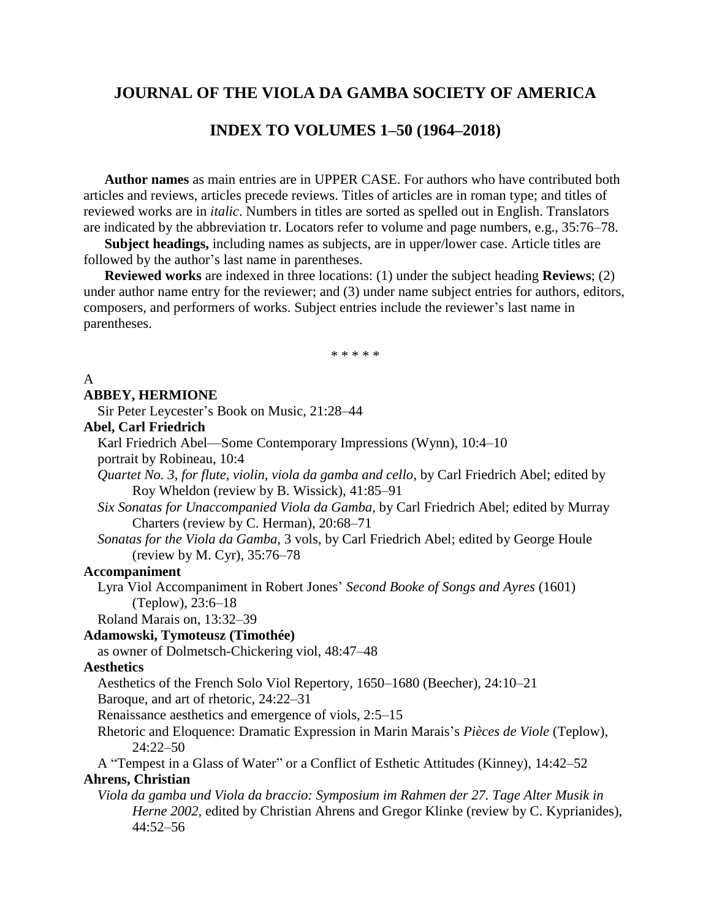## **JOURNAL OF THE VIOLA DA GAMBA SOCIETY OF AMERICA**

## **INDEX TO VOLUMES 1–50 (1964–2018)**

**Author names** as main entries are in UPPER CASE. For authors who have contributed both articles and reviews, articles precede reviews. Titles of articles are in roman type; and titles of reviewed works are in *italic*. Numbers in titles are sorted as spelled out in English. Translators are indicated by the abbreviation tr. Locators refer to volume and page numbers, e.g., 35:76–78.

**Subject headings,** including names as subjects, are in upper/lower case. Article titles are followed by the author's last name in parentheses.

**Reviewed works** are indexed in three locations: (1) under the subject heading **Reviews**; (2) under author name entry for the reviewer; and (3) under name subject entries for authors, editors, composers, and performers of works. Subject entries include the reviewer's last name in parentheses.

\* \* \* \* \*

#### A **ABBEY, HERMIONE**

Sir Peter Leycester's Book on Music, 21:28–44

## **Abel, Carl Friedrich**

Karl Friedrich Abel—Some Contemporary Impressions (Wynn), 10:4–10 portrait by Robineau, 10:4

*Quartet No. 3, for flute, violin, viola da gamba and cello,* by Carl Friedrich Abel; edited by Roy Wheldon (review by B. Wissick), 41:85–91

*Six Sonatas for Unaccompanied Viola da Gamba,* by Carl Friedrich Abel; edited by Murray Charters (review by C. Herman), 20:68–71

*Sonatas for the Viola da Gamba,* 3 vols, by Carl Friedrich Abel; edited by George Houle (review by M. Cyr), 35:76–78

## **Accompaniment**

Lyra Viol Accompaniment in Robert Jones' *Second Booke of Songs and Ayres* (1601) (Teplow), 23:6–18

Roland Marais on, 13:32–39

## **Adamowski, Tymoteusz (Timothée)**

as owner of Dolmetsch-Chickering viol, 48:47–48

## **Aesthetics**

Aesthetics of the French Solo Viol Repertory, 1650–1680 (Beecher), 24:10–21

Baroque, and art of rhetoric, 24:22–31

Renaissance aesthetics and emergence of viols, 2:5–15

Rhetoric and Eloquence: Dramatic Expression in Marin Marais's *Pièces de Viole* (Teplow), 24:22–50

A "Tempest in a Glass of Water" or a Conflict of Esthetic Attitudes (Kinney), 14:42–52

## **Ahrens, Christian**

*Viola da gamba und Viola da braccio: Symposium im Rahmen der 27. Tage Alter Musik in Herne 2002*, edited by Christian Ahrens and Gregor Klinke (review by C. Kyprianides), 44:52–56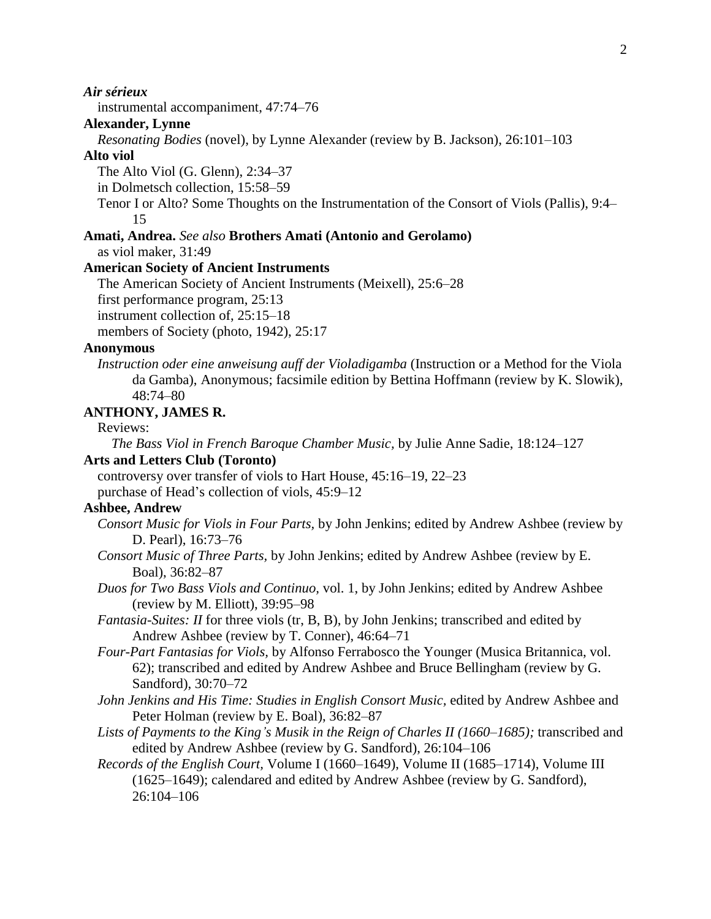## *Air sérieux*

instrumental accompaniment, 47:74–76

## **Alexander, Lynne**

*Resonating Bodies* (novel), by Lynne Alexander (review by B. Jackson), 26:101–103

## **Alto viol**

The Alto Viol (G. Glenn), 2:34–37

in Dolmetsch collection, 15:58–59

Tenor I or Alto? Some Thoughts on the Instrumentation of the Consort of Viols (Pallis), 9:4– 15

## **Amati, Andrea.** *See also* **Brothers Amati (Antonio and Gerolamo)**

as viol maker, 31:49

## **American Society of Ancient Instruments**

The American Society of Ancient Instruments (Meixell), 25:6–28

first performance program, 25:13

instrument collection of, 25:15–18

members of Society (photo, 1942), 25:17

#### **Anonymous**

*Instruction oder eine anweisung auff der Violadigamba* (Instruction or a Method for the Viola da Gamba), Anonymous; facsimile edition by Bettina Hoffmann (review by K. Slowik), 48:74–80

## **ANTHONY, JAMES R.**

## Reviews:

*The Bass Viol in French Baroque Chamber Music,* by Julie Anne Sadie, 18:124–127

#### **Arts and Letters Club (Toronto)**

controversy over transfer of viols to Hart House, 45:16–19, 22–23 purchase of Head's collection of viols, 45:9–12

## **Ashbee, Andrew**

- *Consort Music for Viols in Four Parts,* by John Jenkins; edited by Andrew Ashbee (review by D. Pearl), 16:73–76
- *Consort Music of Three Parts,* by John Jenkins; edited by Andrew Ashbee (review by E. Boal), 36:82–87
- *Duos for Two Bass Viols and Continuo,* vol. 1, by John Jenkins; edited by Andrew Ashbee (review by M. Elliott), 39:95–98

*Fantasia-Suites: II* for three viols (tr, B, B), by John Jenkins; transcribed and edited by Andrew Ashbee (review by T. Conner), 46:64–71

*Four-Part Fantasias for Viols,* by Alfonso Ferrabosco the Younger (Musica Britannica, vol. 62); transcribed and edited by Andrew Ashbee and Bruce Bellingham (review by G. Sandford), 30:70–72

*John Jenkins and His Time: Studies in English Consort Music,* edited by Andrew Ashbee and Peter Holman (review by E. Boal), 36:82–87

*Lists of Payments to the King's Musik in the Reign of Charles II (1660–1685);* transcribed and edited by Andrew Ashbee (review by G. Sandford), 26:104–106

*Records of the English Court, Volume I (1660–1649), Volume II (1685–1714), Volume III* (1625–1649); calendared and edited by Andrew Ashbee (review by G. Sandford), 26:104–106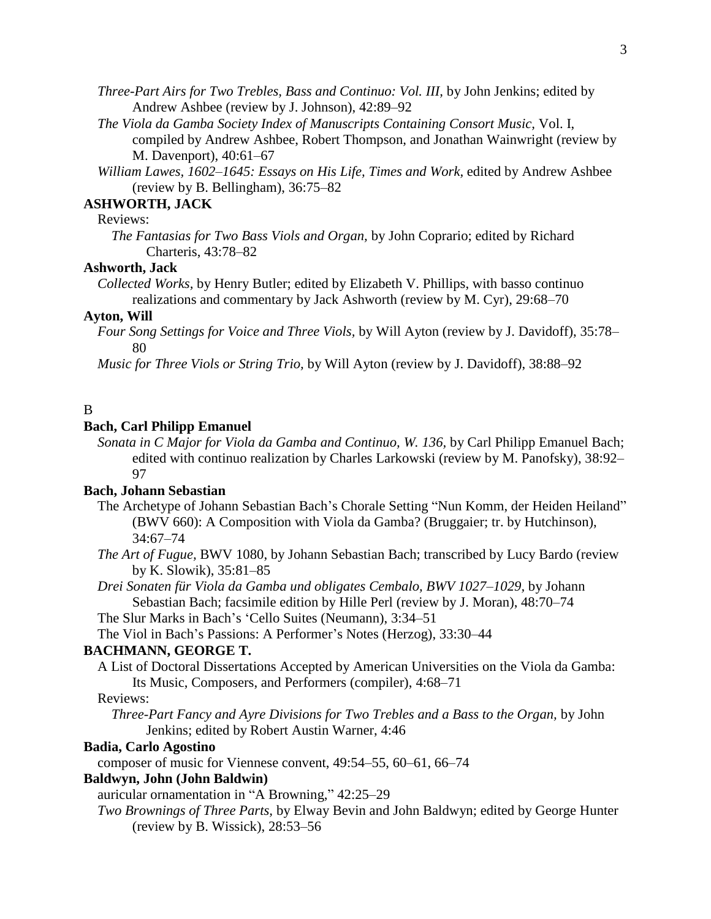- *Three-Part Airs for Two Trebles, Bass and Continuo: Vol. III,* by John Jenkins; edited by Andrew Ashbee (review by J. Johnson), 42:89–92
- *The Viola da Gamba Society Index of Manuscripts Containing Consort Music,* Vol. I, compiled by Andrew Ashbee, Robert Thompson, and Jonathan Wainwright (review by M. Davenport), 40:61–67
- *William Lawes, 1602–1645: Essays on His Life, Times and Work,* edited by Andrew Ashbee (review by B. Bellingham), 36:75–82

# **ASHWORTH, JACK**

## Reviews:

*The Fantasias for Two Bass Viols and Organ,* by John Coprario; edited by Richard Charteris, 43:78–82

## **Ashworth, Jack**

*Collected Works,* by Henry Butler; edited by Elizabeth V. Phillips, with basso continuo realizations and commentary by Jack Ashworth (review by M. Cyr), 29:68–70

#### **Ayton, Will**

*Four Song Settings for Voice and Three Viols,* by Will Ayton (review by J. Davidoff), 35:78– 80

*Music for Three Viols or String Trio,* by Will Ayton (review by J. Davidoff), 38:88–92

## B

## **Bach, Carl Philipp Emanuel**

*Sonata in C Major for Viola da Gamba and Continuo, W. 136,* by Carl Philipp Emanuel Bach; edited with continuo realization by Charles Larkowski (review by M. Panofsky), 38:92– 97

## **Bach, Johann Sebastian**

- The Archetype of Johann Sebastian Bach's Chorale Setting "Nun Komm, der Heiden Heiland" (BWV 660): A Composition with Viola da Gamba? (Bruggaier; tr. by Hutchinson), 34:67–74
- *The Art of Fugue,* BWV 1080, by Johann Sebastian Bach; transcribed by Lucy Bardo (review by K. Slowik), 35:81–85
- *Drei Sonaten für Viola da Gamba und obligates Cembalo, BWV 1027–1029,* by Johann Sebastian Bach; facsimile edition by Hille Perl (review by J. Moran), 48:70–74

The Slur Marks in Bach's 'Cello Suites (Neumann), 3:34–51

The Viol in Bach's Passions: A Performer's Notes (Herzog), 33:30–44

## **BACHMANN, GEORGE T.**

A List of Doctoral Dissertations Accepted by American Universities on the Viola da Gamba: Its Music, Composers, and Performers (compiler), 4:68–71

## Reviews:

*Three-Part Fancy and Ayre Divisions for Two Trebles and a Bass to the Organ,* by John Jenkins; edited by Robert Austin Warner, 4:46

#### **Badia, Carlo Agostino**

composer of music for Viennese convent, 49:54–55, 60–61, 66–74

## **Baldwyn, John (John Baldwin)**

auricular ornamentation in "A Browning," 42:25–29

*Two Brownings of Three Parts,* by Elway Bevin and John Baldwyn; edited by George Hunter (review by B. Wissick), 28:53–56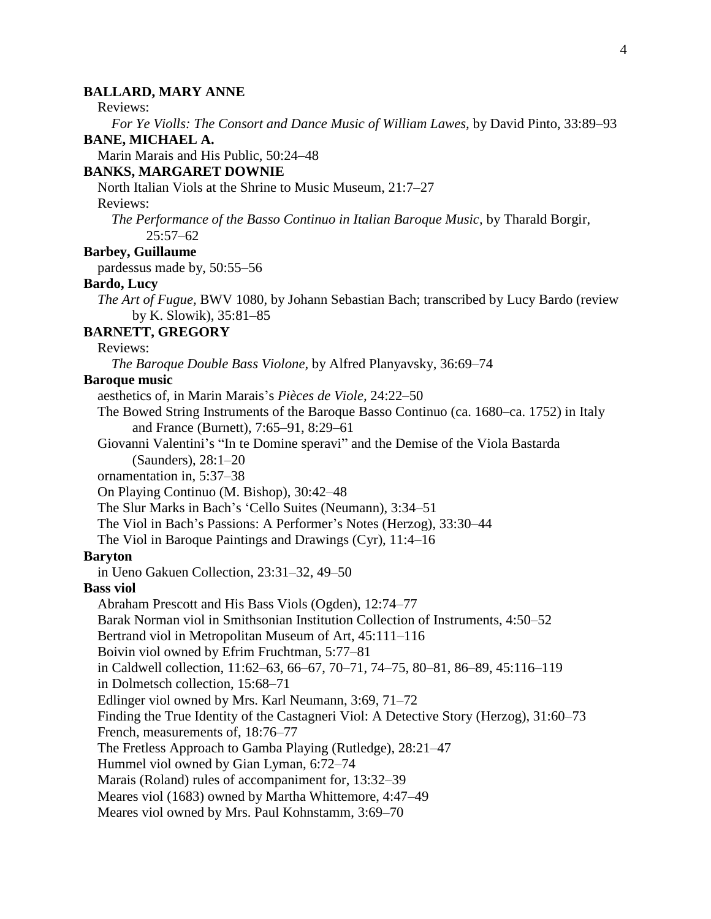#### 4

#### **BALLARD, MARY ANNE**

Reviews:

*For Ye Violls: The Consort and Dance Music of William Lawes,* by David Pinto, 33:89–93

## **BANE, MICHAEL A.**

Marin Marais and His Public, 50:24–48

## **BANKS, MARGARET DOWNIE**

North Italian Viols at the Shrine to Music Museum, 21:7–27

## Reviews:

*The Performance of the Basso Continuo in Italian Baroque Music,* by Tharald Borgir, 25:57–62

## **Barbey, Guillaume**

pardessus made by, 50:55–56

#### **Bardo, Lucy**

*The Art of Fugue,* BWV 1080, by Johann Sebastian Bach; transcribed by Lucy Bardo (review by K. Slowik), 35:81–85

## **BARNETT, GREGORY**

Reviews:

*The Baroque Double Bass Violone,* by Alfred Planyavsky, 36:69–74

#### **Baroque music**

aesthetics of, in Marin Marais's *Pièces de Viole,* 24:22–50

The Bowed String Instruments of the Baroque Basso Continuo (ca. 1680–ca. 1752) in Italy and France (Burnett), 7:65–91, 8:29–61

Giovanni Valentini's "In te Domine speravi" and the Demise of the Viola Bastarda (Saunders), 28:1–20

ornamentation in, 5:37–38

On Playing Continuo (M. Bishop), 30:42–48

The Slur Marks in Bach's 'Cello Suites (Neumann), 3:34–51

The Viol in Bach's Passions: A Performer's Notes (Herzog), 33:30–44

The Viol in Baroque Paintings and Drawings (Cyr), 11:4–16

#### **Baryton**

in Ueno Gakuen Collection, 23:31–32, 49–50

#### **Bass viol**

Abraham Prescott and His Bass Viols (Ogden), 12:74–77 Barak Norman viol in Smithsonian Institution Collection of Instruments, 4:50–52 Bertrand viol in Metropolitan Museum of Art, 45:111–116 Boivin viol owned by Efrim Fruchtman, 5:77–81 in Caldwell collection, 11:62–63, 66–67, 70–71, 74–75, 80–81, 86–89, 45:116–119 in Dolmetsch collection, 15:68–71 Edlinger viol owned by Mrs. Karl Neumann, 3:69, 71–72 Finding the True Identity of the Castagneri Viol: A Detective Story (Herzog), 31:60–73 French, measurements of, 18:76–77 The Fretless Approach to Gamba Playing (Rutledge), 28:21–47 Hummel viol owned by Gian Lyman, 6:72–74 Marais (Roland) rules of accompaniment for, 13:32–39

Meares viol (1683) owned by Martha Whittemore, 4:47–49

Meares viol owned by Mrs. Paul Kohnstamm, 3:69–70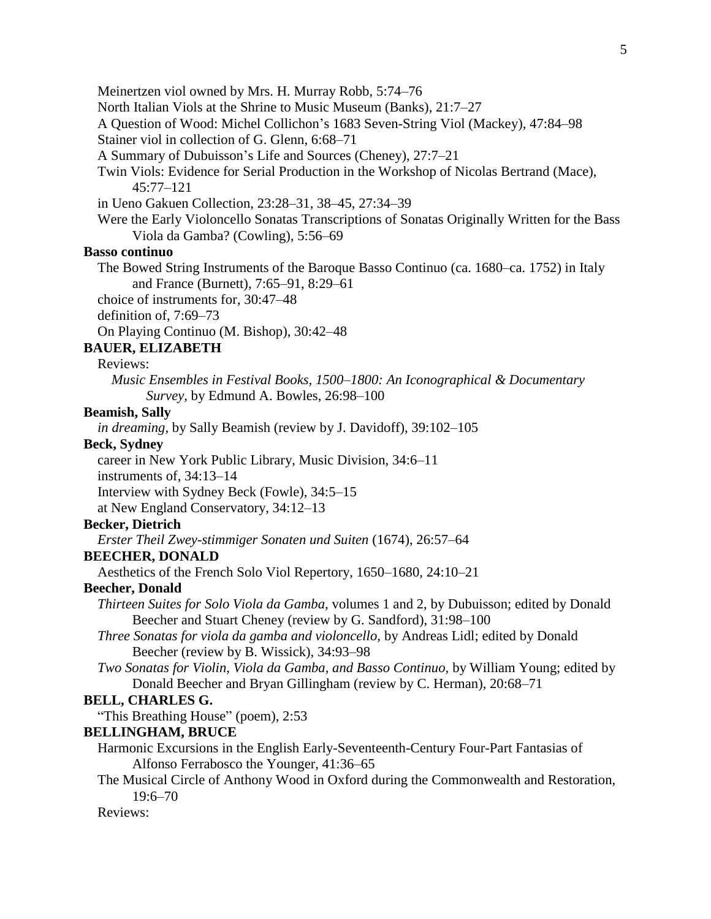Meinertzen viol owned by Mrs. H. Murray Robb, 5:74–76

North Italian Viols at the Shrine to Music Museum (Banks), 21:7–27

A Question of Wood: Michel Collichon's 1683 Seven-String Viol (Mackey), 47:84–98

Stainer viol in collection of G. Glenn, 6:68–71

A Summary of Dubuisson's Life and Sources (Cheney), 27:7–21

Twin Viols: Evidence for Serial Production in the Workshop of Nicolas Bertrand (Mace), 45:77–121

in Ueno Gakuen Collection, 23:28–31, 38–45, 27:34–39

Were the Early Violoncello Sonatas Transcriptions of Sonatas Originally Written for the Bass Viola da Gamba? (Cowling), 5:56–69

## **Basso continuo**

The Bowed String Instruments of the Baroque Basso Continuo (ca. 1680–ca. 1752) in Italy and France (Burnett), 7:65–91, 8:29–61

choice of instruments for, 30:47–48

definition of, 7:69–73

On Playing Continuo (M. Bishop), 30:42–48

## **BAUER, ELIZABETH**

## Reviews:

*Music Ensembles in Festival Books, 1500–1800: An Iconographical & Documentary Survey,* by Edmund A. Bowles, 26:98–100

#### **Beamish, Sally**

*in dreaming,* by Sally Beamish (review by J. Davidoff), 39:102–105

## **Beck, Sydney**

career in New York Public Library, Music Division, 34:6–11

instruments of, 34:13–14

Interview with Sydney Beck (Fowle), 34:5–15

at New England Conservatory, 34:12–13

## **Becker, Dietrich**

*Erster Theil Zwey-stimmiger Sonaten und Suiten* (1674), 26:57–64

## **BEECHER, DONALD**

Aesthetics of the French Solo Viol Repertory, 1650–1680, 24:10–21

#### **Beecher, Donald**

- *Thirteen Suites for Solo Viola da Gamba,* volumes 1 and 2, by Dubuisson; edited by Donald Beecher and Stuart Cheney (review by G. Sandford), 31:98–100
- *Three Sonatas for viola da gamba and violoncello,* by Andreas Lidl; edited by Donald Beecher (review by B. Wissick), 34:93–98
- *Two Sonatas for Violin, Viola da Gamba, and Basso Continuo,* by William Young; edited by Donald Beecher and Bryan Gillingham (review by C. Herman), 20:68–71

#### **BELL, CHARLES G.**

"This Breathing House" (poem), 2:53

#### **BELLINGHAM, BRUCE**

- Harmonic Excursions in the English Early-Seventeenth-Century Four-Part Fantasias of Alfonso Ferrabosco the Younger, 41:36–65
- The Musical Circle of Anthony Wood in Oxford during the Commonwealth and Restoration, 19:6–70

Reviews: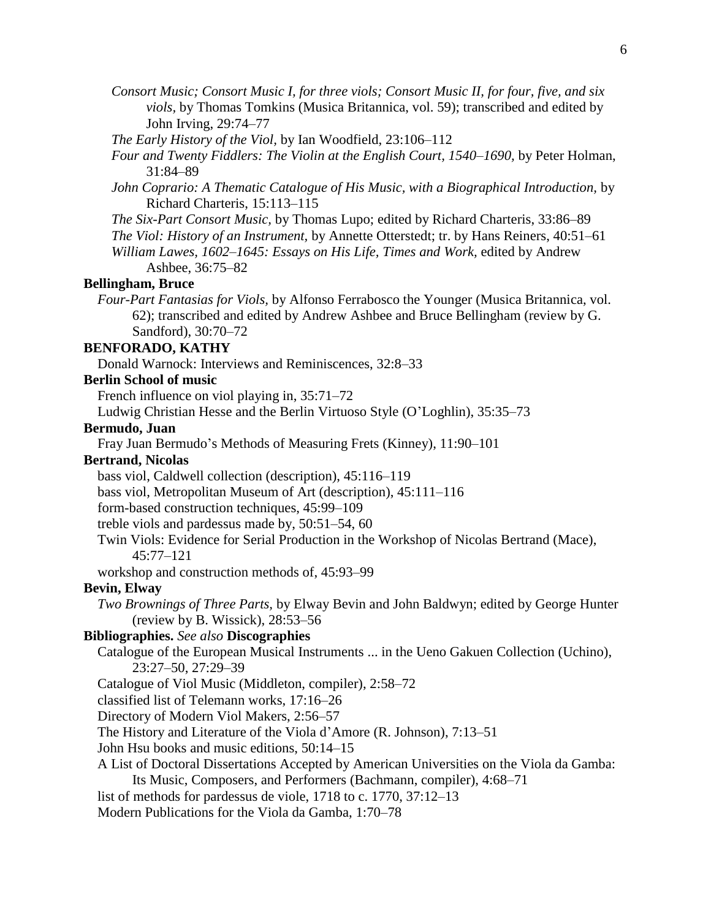- *Consort Music; Consort Music I, for three viols; Consort Music II, for four, five, and six viols,* by Thomas Tomkins (Musica Britannica, vol. 59); transcribed and edited by John Irving, 29:74–77
- *The Early History of the Viol,* by Ian Woodfield, 23:106–112
- *Four and Twenty Fiddlers: The Violin at the English Court, 1540–1690,* by Peter Holman, 31:84–89
- *John Coprario: A Thematic Catalogue of His Music, with a Biographical Introduction,* by Richard Charteris, 15:113–115
- *The Six-Part Consort Music,* by Thomas Lupo; edited by Richard Charteris, 33:86–89
- *The Viol: History of an Instrument,* by Annette Otterstedt; tr. by Hans Reiners, 40:51–61
- *William Lawes, 1602–1645: Essays on His Life, Times and Work,* edited by Andrew Ashbee, 36:75–82

## **Bellingham, Bruce**

*Four-Part Fantasias for Viols,* by Alfonso Ferrabosco the Younger (Musica Britannica, vol. 62); transcribed and edited by Andrew Ashbee and Bruce Bellingham (review by G. Sandford), 30:70–72

#### **BENFORADO, KATHY**

Donald Warnock: Interviews and Reminiscences, 32:8–33

#### **Berlin School of music**

French influence on viol playing in, 35:71–72

Ludwig Christian Hesse and the Berlin Virtuoso Style (O'Loghlin), 35:35–73

## **Bermudo, Juan**

Fray Juan Bermudo's Methods of Measuring Frets (Kinney), 11:90–101

#### **Bertrand, Nicolas**

bass viol, Caldwell collection (description), 45:116–119

bass viol, Metropolitan Museum of Art (description), 45:111–116

form-based construction techniques, 45:99–109

treble viols and pardessus made by, 50:51–54, 60

Twin Viols: Evidence for Serial Production in the Workshop of Nicolas Bertrand (Mace), 45:77–121

workshop and construction methods of, 45:93–99

#### **Bevin, Elway**

*Two Brownings of Three Parts,* by Elway Bevin and John Baldwyn; edited by George Hunter (review by B. Wissick), 28:53–56

## **Bibliographies.** *See also* **Discographies**

Catalogue of the European Musical Instruments ... in the Ueno Gakuen Collection (Uchino), 23:27–50, 27:29–39

Catalogue of Viol Music (Middleton, compiler), 2:58–72

classified list of Telemann works, 17:16–26

Directory of Modern Viol Makers, 2:56–57

The History and Literature of the Viola d'Amore (R. Johnson), 7:13–51

John Hsu books and music editions, 50:14–15

# A List of Doctoral Dissertations Accepted by American Universities on the Viola da Gamba:

Its Music, Composers, and Performers (Bachmann, compiler), 4:68–71

list of methods for pardessus de viole, 1718 to c. 1770, 37:12–13

Modern Publications for the Viola da Gamba, 1:70–78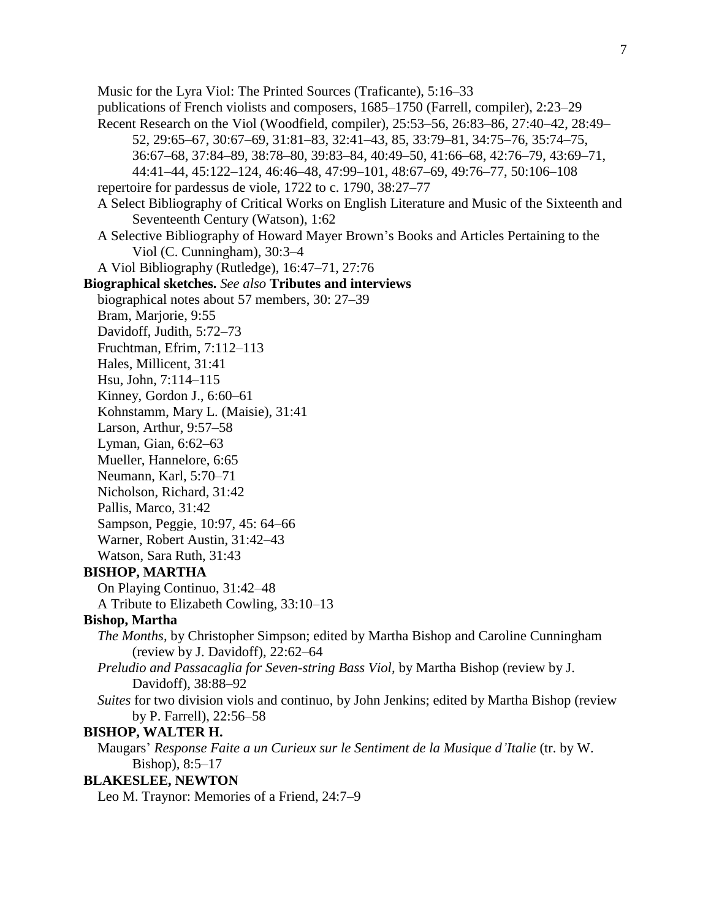Music for the Lyra Viol: The Printed Sources (Traficante), 5:16–33 publications of French violists and composers, 1685–1750 (Farrell, compiler), 2:23–29 Recent Research on the Viol (Woodfield, compiler), 25:53–56, 26:83–86, 27:40–42, 28:49– 52, 29:65–67, 30:67–69, 31:81–83, 32:41–43, 85, 33:79–81, 34:75–76, 35:74–75, 36:67–68, 37:84–89, 38:78–80, 39:83–84, 40:49–50, 41:66–68, 42:76–79, 43:69–71, 44:41–44, 45:122–124, 46:46–48, 47:99–101, 48:67–69, 49:76–77, 50:106–108 repertoire for pardessus de viole, 1722 to c. 1790, 38:27–77 A Select Bibliography of Critical Works on English Literature and Music of the Sixteenth and Seventeenth Century (Watson), 1:62 A Selective Bibliography of Howard Mayer Brown's Books and Articles Pertaining to the Viol (C. Cunningham), 30:3–4 A Viol Bibliography (Rutledge), 16:47–71, 27:76 **Biographical sketches.** *See also* **Tributes and interviews** biographical notes about 57 members, 30: 27–39 Bram, Marjorie, 9:55 Davidoff, Judith, 5:72–73 Fruchtman, Efrim, 7:112–113 Hales, Millicent, 31:41 Hsu, John, 7:114–115 Kinney, Gordon J., 6:60–61 Kohnstamm, Mary L. (Maisie), 31:41 Larson, Arthur, 9:57–58 Lyman, Gian, 6:62–63 Mueller, Hannelore, 6:65 Neumann, Karl, 5:70–71 Nicholson, Richard, 31:42 Pallis, Marco, 31:42 Sampson, Peggie, 10:97, 45: 64–66 Warner, Robert Austin, 31:42–43 Watson, Sara Ruth, 31:43 **BISHOP, MARTHA** On Playing Continuo, 31:42–48 A Tribute to Elizabeth Cowling, 33:10–13 **Bishop, Martha** *The Months,* by Christopher Simpson; edited by Martha Bishop and Caroline Cunningham (review by J. Davidoff), 22:62–64 *Preludio and Passacaglia for Seven-string Bass Viol,* by Martha Bishop (review by J. Davidoff), 38:88–92 *Suites* for two division viols and continuo, by John Jenkins; edited by Martha Bishop (review by P. Farrell), 22:56–58 **BISHOP, WALTER H.** Maugars' *Response Faite a un Curieux sur le Sentiment de la Musique d'Italie* (tr. by W. Bishop), 8:5–17 **BLAKESLEE, NEWTON** Leo M. Traynor: Memories of a Friend, 24:7–9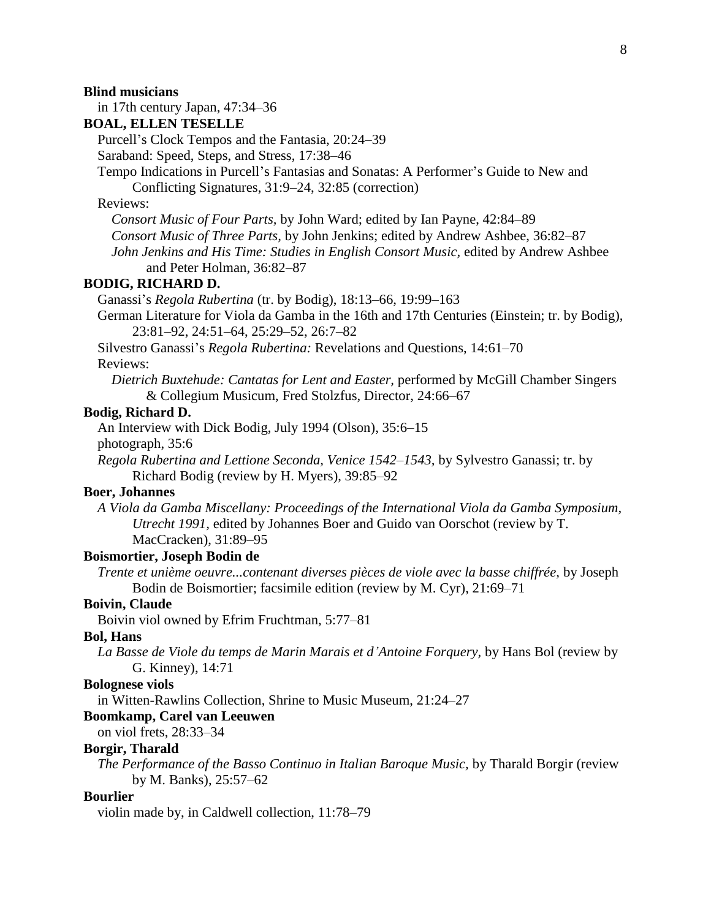#### **Blind musicians**

in 17th century Japan, 47:34–36

## **BOAL, ELLEN TESELLE**

Purcell's Clock Tempos and the Fantasia, 20:24–39

Saraband: Speed, Steps, and Stress, 17:38–46

Tempo Indications in Purcell's Fantasias and Sonatas: A Performer's Guide to New and Conflicting Signatures, 31:9–24, 32:85 (correction)

#### Reviews:

*Consort Music of Four Parts,* by John Ward; edited by Ian Payne, 42:84–89

*Consort Music of Three Parts,* by John Jenkins; edited by Andrew Ashbee, 36:82–87

*John Jenkins and His Time: Studies in English Consort Music,* edited by Andrew Ashbee and Peter Holman, 36:82–87

#### **BODIG, RICHARD D.**

Ganassi's *Regola Rubertina* (tr. by Bodig), 18:13–66, 19:99–163

German Literature for Viola da Gamba in the 16th and 17th Centuries (Einstein; tr. by Bodig), 23:81–92, 24:51–64, 25:29–52, 26:7–82

Silvestro Ganassi's *Regola Rubertina:* Revelations and Questions, 14:61–70 Reviews:

*Dietrich Buxtehude: Cantatas for Lent and Easter,* performed by McGill Chamber Singers & Collegium Musicum, Fred Stolzfus, Director, 24:66–67

#### **Bodig, Richard D.**

An Interview with Dick Bodig, July 1994 (Olson), 35:6–15

photograph, 35:6

*Regola Rubertina and Lettione Seconda, Venice 1542–1543,* by Sylvestro Ganassi; tr. by Richard Bodig (review by H. Myers), 39:85–92

#### **Boer, Johannes**

*A Viola da Gamba Miscellany: Proceedings of the International Viola da Gamba Symposium, Utrecht 1991,* edited by Johannes Boer and Guido van Oorschot (review by T. MacCracken), 31:89–95

#### **Boismortier, Joseph Bodin de**

*Trente et unième oeuvre...contenant diverses pièces de viole avec la basse chiffrée,* by Joseph Bodin de Boismortier; facsimile edition (review by M. Cyr), 21:69–71

#### **Boivin, Claude**

Boivin viol owned by Efrim Fruchtman, 5:77–81

#### **Bol, Hans**

*La Basse de Viole du temps de Marin Marais et d'Antoine Forquery,* by Hans Bol (review by G. Kinney), 14:71

#### **Bolognese viols**

in Witten-Rawlins Collection, Shrine to Music Museum, 21:24–27

#### **Boomkamp, Carel van Leeuwen**

on viol frets, 28:33–34

#### **Borgir, Tharald**

*The Performance of the Basso Continuo in Italian Baroque Music,* by Tharald Borgir (review by M. Banks), 25:57–62

#### **Bourlier**

violin made by, in Caldwell collection, 11:78–79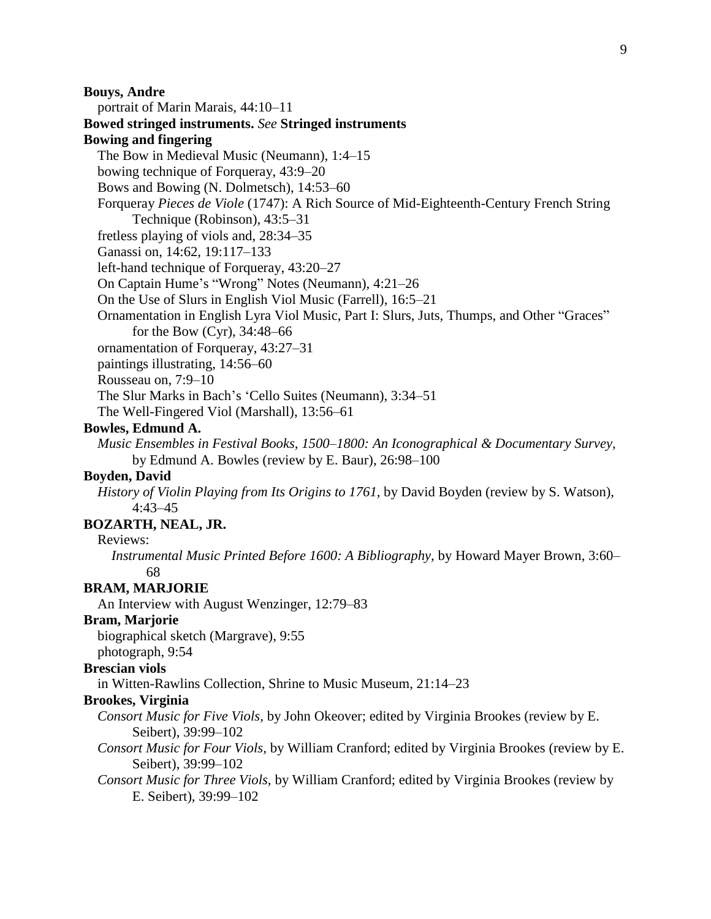## **Bouys, Andre**

portrait of Marin Marais, 44:10–11 **Bowed stringed instruments.** *See* **Stringed instruments Bowing and fingering** The Bow in Medieval Music (Neumann), 1:4–15 bowing technique of Forqueray, 43:9–20 Bows and Bowing (N. Dolmetsch), 14:53–60

Forqueray *Pieces de Viole* (1747): A Rich Source of Mid-Eighteenth-Century French String

Technique (Robinson), 43:5–31

fretless playing of viols and, 28:34–35

Ganassi on, 14:62, 19:117–133

left-hand technique of Forqueray, 43:20–27

On Captain Hume's "Wrong" Notes (Neumann), 4:21–26

On the Use of Slurs in English Viol Music (Farrell), 16:5–21

Ornamentation in English Lyra Viol Music, Part I: Slurs, Juts, Thumps, and Other "Graces" for the Bow (Cyr), 34:48–66

ornamentation of Forqueray, 43:27–31

paintings illustrating, 14:56–60

Rousseau on, 7:9–10

The Slur Marks in Bach's 'Cello Suites (Neumann), 3:34–51

The Well-Fingered Viol (Marshall), 13:56–61

## **Bowles, Edmund A.**

*Music Ensembles in Festival Books, 1500–1800: An Iconographical & Documentary Survey,* by Edmund A. Bowles (review by E. Baur), 26:98–100

## **Boyden, David**

*History of Violin Playing from Its Origins to 1761,* by David Boyden (review by S. Watson), 4:43–45

## **BOZARTH, NEAL, JR.**

Reviews:

*Instrumental Music Printed Before 1600: A Bibliography,* by Howard Mayer Brown, 3:60– 68

#### **BRAM, MARJORIE**

An Interview with August Wenzinger, 12:79–83

## **Bram, Marjorie**

biographical sketch (Margrave), 9:55 photograph, 9:54

## **Brescian viols**

in Witten-Rawlins Collection, Shrine to Music Museum, 21:14–23

## **Brookes, Virginia**

*Consort Music for Five Viols,* by John Okeover; edited by Virginia Brookes (review by E. Seibert), 39:99–102

*Consort Music for Four Viols,* by William Cranford; edited by Virginia Brookes (review by E. Seibert), 39:99–102

*Consort Music for Three Viols,* by William Cranford; edited by Virginia Brookes (review by E. Seibert), 39:99–102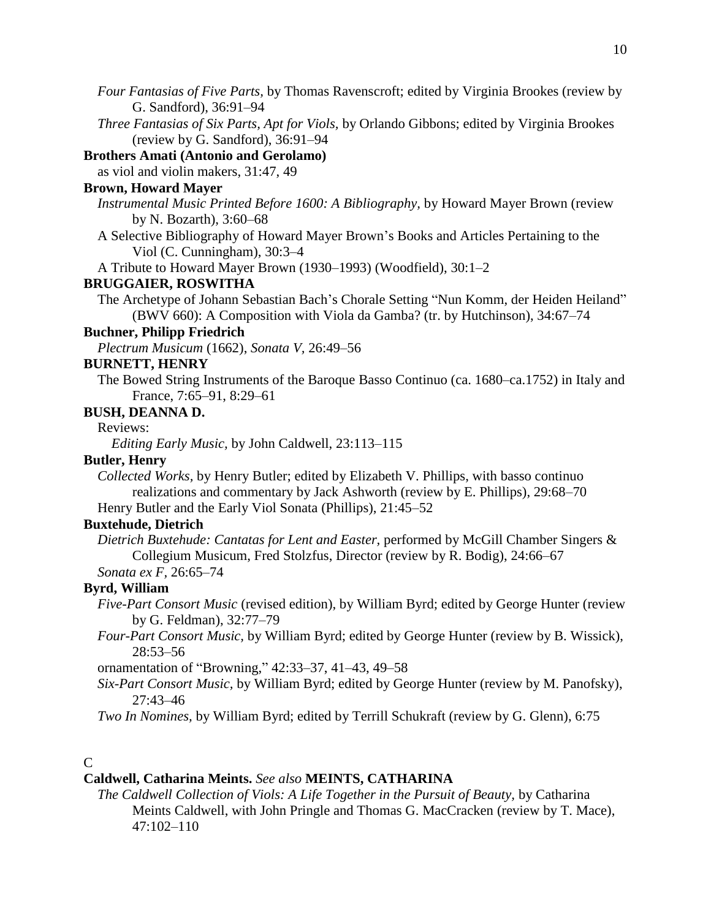- *Four Fantasias of Five Parts,* by Thomas Ravenscroft; edited by Virginia Brookes (review by G. Sandford), 36:91–94
- *Three Fantasias of Six Parts, Apt for Viols,* by Orlando Gibbons; edited by Virginia Brookes (review by G. Sandford), 36:91–94

## **Brothers Amati (Antonio and Gerolamo)**

as viol and violin makers, 31:47, 49

## **Brown, Howard Mayer**

- *Instrumental Music Printed Before 1600: A Bibliography,* by Howard Mayer Brown (review by N. Bozarth), 3:60–68
- A Selective Bibliography of Howard Mayer Brown's Books and Articles Pertaining to the Viol (C. Cunningham), 30:3–4

A Tribute to Howard Mayer Brown (1930–1993) (Woodfield), 30:1–2

## **BRUGGAIER, ROSWITHA**

The Archetype of Johann Sebastian Bach's Chorale Setting "Nun Komm, der Heiden Heiland" (BWV 660): A Composition with Viola da Gamba? (tr. by Hutchinson), 34:67–74

## **Buchner, Philipp Friedrich**

*Plectrum Musicum* (1662), *Sonata V,* 26:49–56

#### **BURNETT, HENRY**

The Bowed String Instruments of the Baroque Basso Continuo (ca. 1680–ca.1752) in Italy and France, 7:65–91, 8:29–61

## **BUSH, DEANNA D.**

Reviews:

*Editing Early Music,* by John Caldwell, 23:113–115

#### **Butler, Henry**

*Collected Works,* by Henry Butler; edited by Elizabeth V. Phillips, with basso continuo realizations and commentary by Jack Ashworth (review by E. Phillips), 29:68–70 Henry Butler and the Early Viol Sonata (Phillips), 21:45–52

## **Buxtehude, Dietrich**

*Dietrich Buxtehude: Cantatas for Lent and Easter,* performed by McGill Chamber Singers & Collegium Musicum, Fred Stolzfus, Director (review by R. Bodig), 24:66–67

*Sonata ex F,* 26:65–74

## **Byrd, William**

- *Five-Part Consort Music* (revised edition), by William Byrd; edited by George Hunter (review by G. Feldman), 32:77–79
- *Four-Part Consort Music,* by William Byrd; edited by George Hunter (review by B. Wissick), 28:53–56

ornamentation of "Browning," 42:33–37, 41–43, 49–58

*Six-Part Consort Music,* by William Byrd; edited by George Hunter (review by M. Panofsky), 27:43–46

*Two In Nomines,* by William Byrd; edited by Terrill Schukraft (review by G. Glenn), 6:75

## $\mathcal{C}$

## **Caldwell, Catharina Meints.** *See also* **MEINTS, CATHARINA**

*The Caldwell Collection of Viols: A Life Together in the Pursuit of Beauty,* by Catharina Meints Caldwell, with John Pringle and Thomas G. MacCracken (review by T. Mace), 47:102–110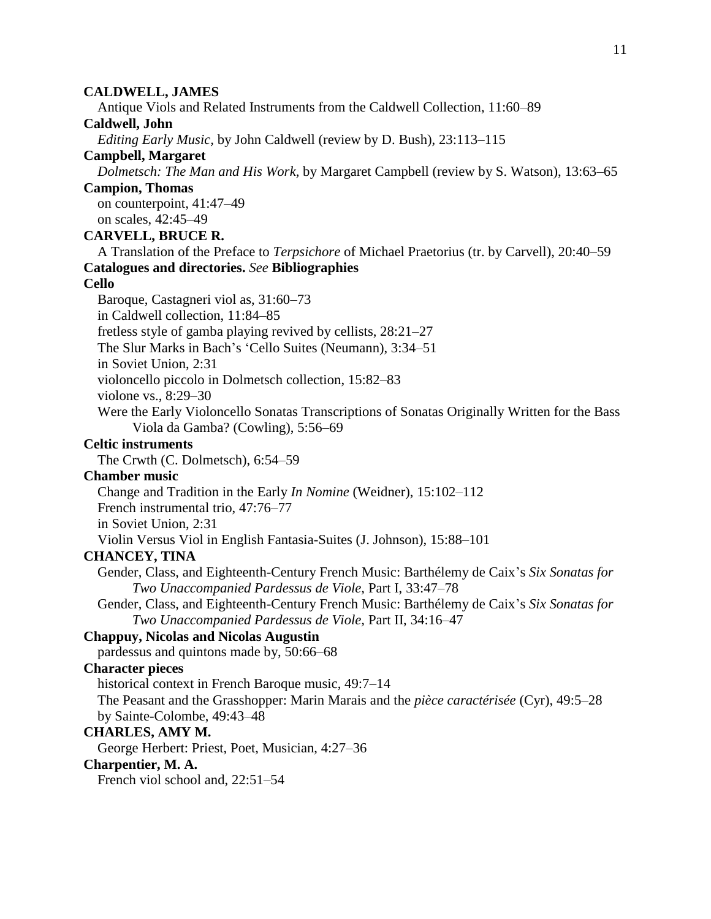## **CALDWELL, JAMES**

Antique Viols and Related Instruments from the Caldwell Collection, 11:60–89

## **Caldwell, John**

*Editing Early Music,* by John Caldwell (review by D. Bush), 23:113–115

## **Campbell, Margaret**

*Dolmetsch: The Man and His Work,* by Margaret Campbell (review by S. Watson), 13:63–65

**Campion, Thomas**

on counterpoint, 41:47–49 on scales, 42:45–49

## **CARVELL, BRUCE R.**

A Translation of the Preface to *Terpsichore* of Michael Praetorius (tr. by Carvell), 20:40–59 **Catalogues and directories.** *See* **Bibliographies**

## **Cello**

Baroque, Castagneri viol as, 31:60–73 in Caldwell collection, 11:84–85 fretless style of gamba playing revived by cellists, 28:21–27 The Slur Marks in Bach's 'Cello Suites (Neumann), 3:34–51 in Soviet Union, 2:31 violoncello piccolo in Dolmetsch collection, 15:82–83 violone vs., 8:29–30 Were the Early Violoncello Sonatas Transcriptions of Sonatas Originally Written for the Bass Viola da Gamba? (Cowling), 5:56–69

## **Celtic instruments**

The Crwth (C. Dolmetsch), 6:54–59

## **Chamber music**

Change and Tradition in the Early *In Nomine* (Weidner), 15:102–112

French instrumental trio, 47:76–77

in Soviet Union, 2:31

Violin Versus Viol in English Fantasia-Suites (J. Johnson), 15:88–101

## **CHANCEY, TINA**

Gender, Class, and Eighteenth-Century French Music: Barthélemy de Caix's *Six Sonatas for Two Unaccompanied Pardessus de Viole,* Part I, 33:47–78

Gender, Class, and Eighteenth-Century French Music: Barthélemy de Caix's *Six Sonatas for Two Unaccompanied Pardessus de Viole,* Part II, 34:16–47

## **Chappuy, Nicolas and Nicolas Augustin**

pardessus and quintons made by, 50:66–68

## **Character pieces**

historical context in French Baroque music, 49:7–14

The Peasant and the Grasshopper: Marin Marais and the *pièce caractérisée* (Cyr), 49:5–28 by Sainte-Colombe, 49:43–48

## **CHARLES, AMY M.**

George Herbert: Priest, Poet, Musician, 4:27–36

## **Charpentier, M. A.**

French viol school and, 22:51–54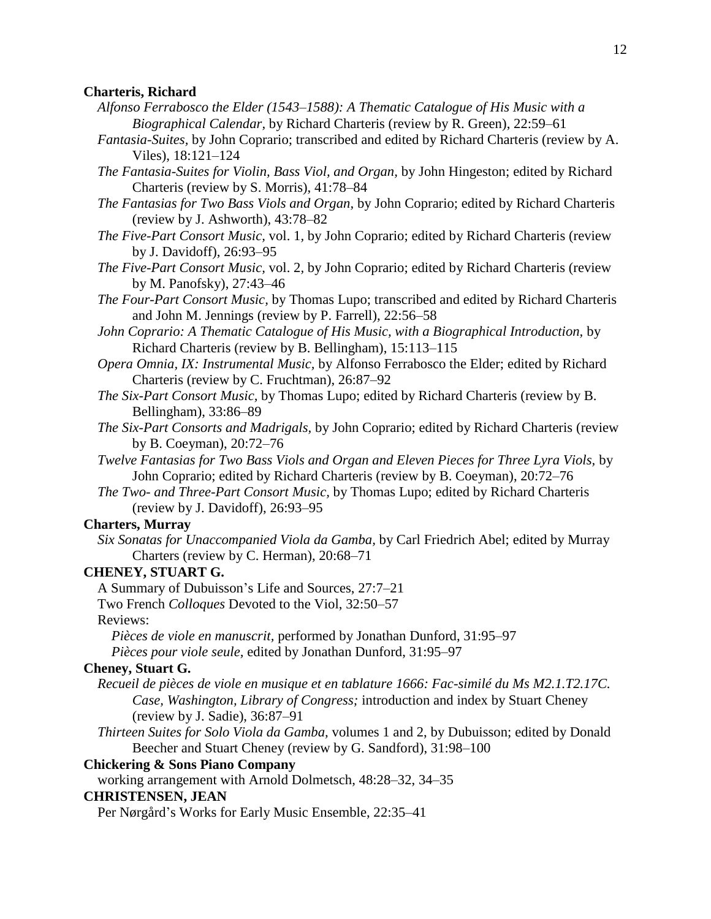#### **Charteris, Richard**

- *Alfonso Ferrabosco the Elder (1543–1588): A Thematic Catalogue of His Music with a Biographical Calendar,* by Richard Charteris (review by R. Green), 22:59–61
- *Fantasia-Suites,* by John Coprario; transcribed and edited by Richard Charteris (review by A. Viles), 18:121–124
- *The Fantasia-Suites for Violin, Bass Viol, and Organ,* by John Hingeston; edited by Richard Charteris (review by S. Morris), 41:78–84
- *The Fantasias for Two Bass Viols and Organ,* by John Coprario; edited by Richard Charteris (review by J. Ashworth), 43:78–82
- *The Five-Part Consort Music,* vol. 1*,* by John Coprario; edited by Richard Charteris (review by J. Davidoff), 26:93–95
- *The Five-Part Consort Music,* vol. 2*,* by John Coprario; edited by Richard Charteris (review by M. Panofsky), 27:43–46
- *The Four-Part Consort Music,* by Thomas Lupo; transcribed and edited by Richard Charteris and John M. Jennings (review by P. Farrell), 22:56–58
- *John Coprario: A Thematic Catalogue of His Music, with a Biographical Introduction,* by Richard Charteris (review by B. Bellingham), 15:113–115
- *Opera Omnia, IX: Instrumental Music,* by Alfonso Ferrabosco the Elder; edited by Richard Charteris (review by C. Fruchtman), 26:87–92
- *The Six-Part Consort Music,* by Thomas Lupo; edited by Richard Charteris (review by B. Bellingham), 33:86–89
- *The Six-Part Consorts and Madrigals,* by John Coprario; edited by Richard Charteris (review by B. Coeyman), 20:72–76
- *Twelve Fantasias for Two Bass Viols and Organ and Eleven Pieces for Three Lyra Viols,* by John Coprario; edited by Richard Charteris (review by B. Coeyman), 20:72–76
- *The Two- and Three-Part Consort Music,* by Thomas Lupo; edited by Richard Charteris (review by J. Davidoff), 26:93–95

## **Charters, Murray**

*Six Sonatas for Unaccompanied Viola da Gamba,* by Carl Friedrich Abel; edited by Murray Charters (review by C. Herman), 20:68–71

#### **CHENEY, STUART G.**

A Summary of Dubuisson's Life and Sources, 27:7–21

Two French *Colloques* Devoted to the Viol, 32:50–57

Reviews:

*Pièces de viole en manuscrit,* performed by Jonathan Dunford, 31:95–97 *Pièces pour viole seule,* edited by Jonathan Dunford, 31:95–97

#### **Cheney, Stuart G.**

- *Recueil de pièces de viole en musique et en tablature 1666: Fac-similé du Ms M2.1.T2.17C. Case, Washington, Library of Congress;* introduction and index by Stuart Cheney (review by J. Sadie), 36:87–91
- *Thirteen Suites for Solo Viola da Gamba,* volumes 1 and 2, by Dubuisson; edited by Donald Beecher and Stuart Cheney (review by G. Sandford), 31:98–100

## **Chickering & Sons Piano Company**

working arrangement with Arnold Dolmetsch, 48:28–32, 34–35

#### **CHRISTENSEN, JEAN**

Per Nørgård's Works for Early Music Ensemble, 22:35–41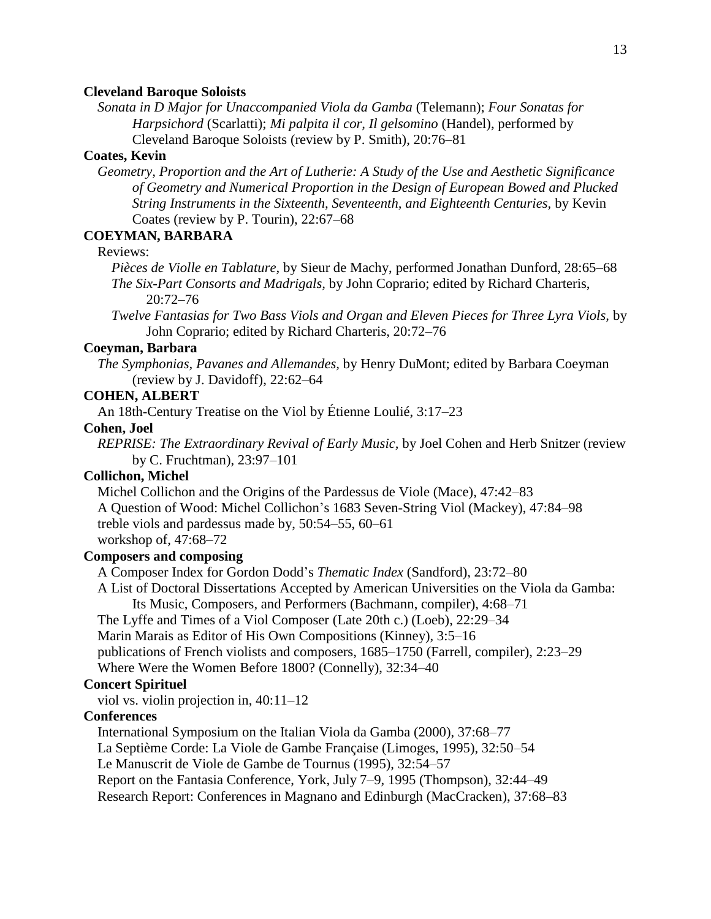#### **Cleveland Baroque Soloists**

*Sonata in D Major for Unaccompanied Viola da Gamba* (Telemann); *Four Sonatas for Harpsichord* (Scarlatti); *Mi palpita il cor, Il gelsomino* (Handel), performed by Cleveland Baroque Soloists (review by P. Smith), 20:76–81

### **Coates, Kevin**

*Geometry, Proportion and the Art of Lutherie: A Study of the Use and Aesthetic Significance of Geometry and Numerical Proportion in the Design of European Bowed and Plucked String Instruments in the Sixteenth, Seventeenth, and Eighteenth Centuries,* by Kevin Coates (review by P. Tourin), 22:67–68

## **COEYMAN, BARBARA**

## Reviews:

*Pièces de Violle en Tablature,* by Sieur de Machy, performed Jonathan Dunford, 28:65–68 *The Six-Part Consorts and Madrigals,* by John Coprario; edited by Richard Charteris, 20:72–76

*Twelve Fantasias for Two Bass Viols and Organ and Eleven Pieces for Three Lyra Viols,* by John Coprario; edited by Richard Charteris, 20:72–76

#### **Coeyman, Barbara**

*The Symphonias, Pavanes and Allemandes,* by Henry DuMont; edited by Barbara Coeyman (review by J. Davidoff), 22:62–64

#### **COHEN, ALBERT**

An 18th-Century Treatise on the Viol by Étienne Loulié, 3:17–23

## **Cohen, Joel**

*REPRISE: The Extraordinary Revival of Early Music,* by Joel Cohen and Herb Snitzer (review by C. Fruchtman), 23:97–101

## **Collichon, Michel**

Michel Collichon and the Origins of the Pardessus de Viole (Mace), 47:42–83

A Question of Wood: Michel Collichon's 1683 Seven-String Viol (Mackey), 47:84–98

treble viols and pardessus made by, 50:54–55, 60–61

workshop of, 47:68–72

## **Composers and composing**

A Composer Index for Gordon Dodd's *Thematic Index* (Sandford), 23:72–80

A List of Doctoral Dissertations Accepted by American Universities on the Viola da Gamba: Its Music, Composers, and Performers (Bachmann, compiler), 4:68–71

The Lyffe and Times of a Viol Composer (Late 20th c.) (Loeb), 22:29–34

Marin Marais as Editor of His Own Compositions (Kinney), 3:5–16

publications of French violists and composers, 1685–1750 (Farrell, compiler), 2:23–29

Where Were the Women Before 1800? (Connelly), 32:34–40

## **Concert Spirituel**

viol vs. violin projection in, 40:11–12

## **Conferences**

International Symposium on the Italian Viola da Gamba (2000), 37:68–77

La Septième Corde: La Viole de Gambe Française (Limoges, 1995), 32:50–54

Le Manuscrit de Viole de Gambe de Tournus (1995), 32:54–57

Report on the Fantasia Conference, York, July 7–9, 1995 (Thompson), 32:44–49

Research Report: Conferences in Magnano and Edinburgh (MacCracken), 37:68–83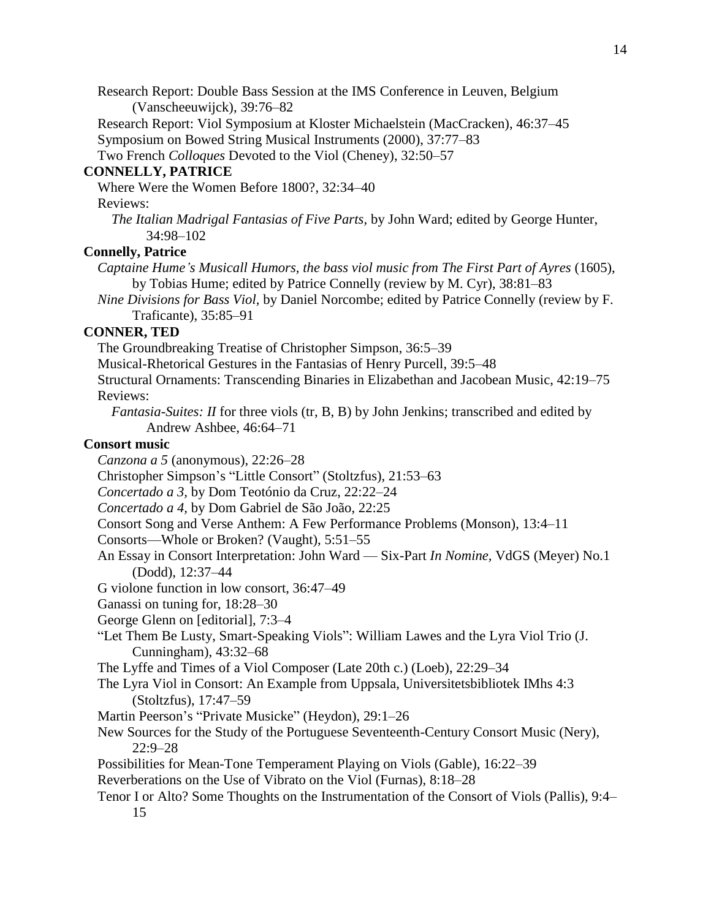Research Report: Double Bass Session at the IMS Conference in Leuven, Belgium (Vanscheeuwijck), 39:76–82

Research Report: Viol Symposium at Kloster Michaelstein (MacCracken), 46:37–45 Symposium on Bowed String Musical Instruments (2000), 37:77–83

Two French *Colloques* Devoted to the Viol (Cheney), 32:50–57

## **CONNELLY, PATRICE**

Where Were the Women Before 1800?, 32:34–40

Reviews:

*The Italian Madrigal Fantasias of Five Parts,* by John Ward; edited by George Hunter, 34:98–102

## **Connelly, Patrice**

- *Captaine Hume's Musicall Humors, the bass viol music from The First Part of Ayres* (1605), by Tobias Hume; edited by Patrice Connelly (review by M. Cyr), 38:81–83
- *Nine Divisions for Bass Viol,* by Daniel Norcombe; edited by Patrice Connelly (review by F. Traficante), 35:85–91

## **CONNER, TED**

The Groundbreaking Treatise of Christopher Simpson, 36:5–39

Musical-Rhetorical Gestures in the Fantasias of Henry Purcell, 39:5–48

Structural Ornaments: Transcending Binaries in Elizabethan and Jacobean Music, 42:19–75 Reviews:

*Fantasia-Suites: II* for three viols (tr, B, B) by John Jenkins; transcribed and edited by Andrew Ashbee, 46:64–71

## **Consort music**

*Canzona a 5* (anonymous), 22:26–28

Christopher Simpson's "Little Consort" (Stoltzfus), 21:53–63

*Concertado a 3,* by Dom Teotónio da Cruz, 22:22–24

- *Concertado a 4,* by Dom Gabriel de São João, 22:25
- Consort Song and Verse Anthem: A Few Performance Problems (Monson), 13:4–11

Consorts—Whole or Broken? (Vaught), 5:51–55

- An Essay in Consort Interpretation: John Ward Six-Part *In Nomine,* VdGS (Meyer) No.1 (Dodd), 12:37–44
- G violone function in low consort, 36:47–49

Ganassi on tuning for, 18:28–30

George Glenn on [editorial], 7:3–4

"Let Them Be Lusty, Smart-Speaking Viols": William Lawes and the Lyra Viol Trio (J. Cunningham), 43:32–68

The Lyffe and Times of a Viol Composer (Late 20th c.) (Loeb), 22:29–34

- The Lyra Viol in Consort: An Example from Uppsala, Universitetsbibliotek IMhs 4:3 (Stoltzfus), 17:47–59
- Martin Peerson's "Private Musicke" (Heydon), 29:1–26
- New Sources for the Study of the Portuguese Seventeenth-Century Consort Music (Nery), 22:9–28
- Possibilities for Mean-Tone Temperament Playing on Viols (Gable), 16:22–39
- Reverberations on the Use of Vibrato on the Viol (Furnas), 8:18–28
- Tenor I or Alto? Some Thoughts on the Instrumentation of the Consort of Viols (Pallis), 9:4– 15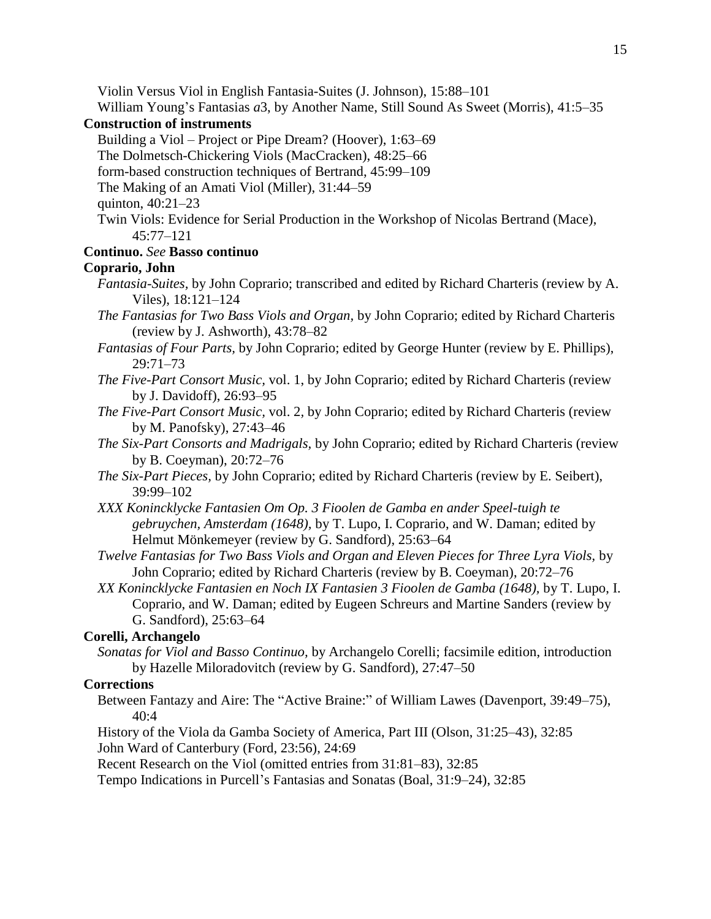Violin Versus Viol in English Fantasia-Suites (J. Johnson), 15:88–101

William Young's Fantasias *a*3, by Another Name, Still Sound As Sweet (Morris), 41:5–35

## **Construction of instruments**

Building a Viol – Project or Pipe Dream? (Hoover), 1:63–69

The Dolmetsch-Chickering Viols (MacCracken), 48:25–66

form-based construction techniques of Bertrand, 45:99–109

The Making of an Amati Viol (Miller), 31:44–59

quinton, 40:21–23

Twin Viols: Evidence for Serial Production in the Workshop of Nicolas Bertrand (Mace), 45:77–121

## **Continuo.** *See* **Basso continuo**

## **Coprario, John**

- *Fantasia-Suites,* by John Coprario; transcribed and edited by Richard Charteris (review by A. Viles), 18:121–124
- *The Fantasias for Two Bass Viols and Organ,* by John Coprario; edited by Richard Charteris (review by J. Ashworth), 43:78–82
- *Fantasias of Four Parts,* by John Coprario; edited by George Hunter (review by E. Phillips), 29:71–73
- *The Five-Part Consort Music,* vol. 1, by John Coprario; edited by Richard Charteris (review by J. Davidoff), 26:93–95
- *The Five-Part Consort Music,* vol. 2*,* by John Coprario; edited by Richard Charteris (review by M. Panofsky), 27:43–46
- *The Six-Part Consorts and Madrigals,* by John Coprario; edited by Richard Charteris (review by B. Coeyman), 20:72–76
- *The Six-Part Pieces,* by John Coprario; edited by Richard Charteris (review by E. Seibert), 39:99–102
- *XXX Konincklycke Fantasien Om Op. 3 Fioolen de Gamba en ander Speel-tuigh te gebruychen, Amsterdam (1648),* by T. Lupo, I. Coprario, and W. Daman; edited by Helmut Mönkemeyer (review by G. Sandford), 25:63–64
- *Twelve Fantasias for Two Bass Viols and Organ and Eleven Pieces for Three Lyra Viols,* by John Coprario; edited by Richard Charteris (review by B. Coeyman), 20:72–76
- *XX Konincklycke Fantasien en Noch IX Fantasien 3 Fioolen de Gamba (1648),* by T. Lupo, I. Coprario, and W. Daman; edited by Eugeen Schreurs and Martine Sanders (review by G. Sandford), 25:63–64

## **Corelli, Archangelo**

*Sonatas for Viol and Basso Continuo,* by Archangelo Corelli; facsimile edition, introduction by Hazelle Miloradovitch (review by G. Sandford), 27:47–50

## **Corrections**

- Between Fantazy and Aire: The "Active Braine:" of William Lawes (Davenport, 39:49–75), 40:4
- History of the Viola da Gamba Society of America, Part III (Olson, 31:25–43), 32:85 John Ward of Canterbury (Ford, 23:56), 24:69

Recent Research on the Viol (omitted entries from 31:81–83), 32:85

Tempo Indications in Purcell's Fantasias and Sonatas (Boal, 31:9–24), 32:85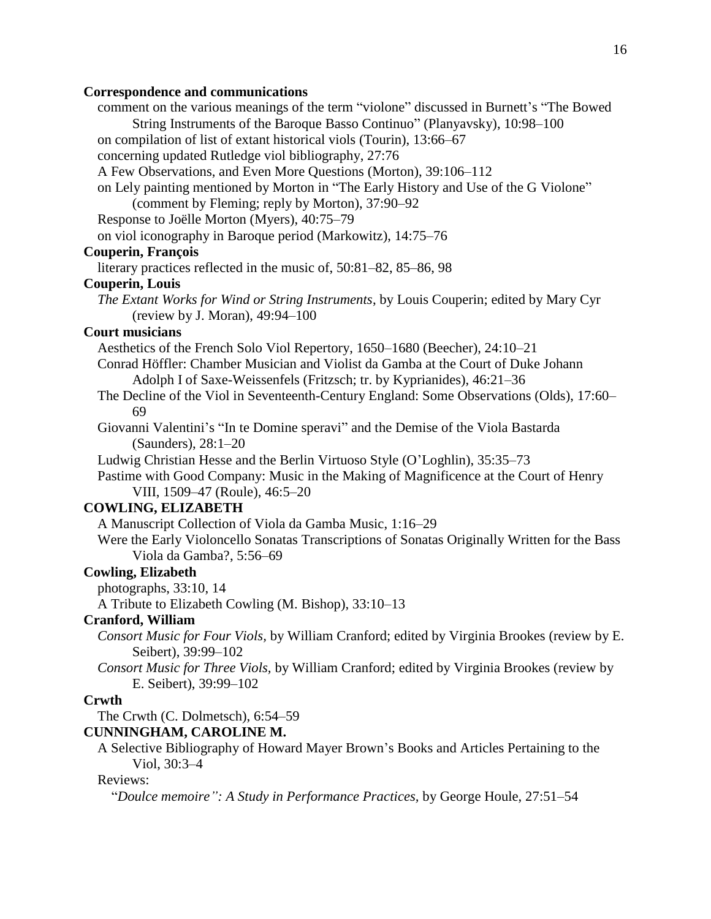## **Correspondence and communications**

| comment on the various meanings of the term "violone" discussed in Burnett's "The Bowed<br>String Instruments of the Baroque Basso Continuo" (Planyavsky), 10:98-100<br>on compilation of list of extant historical viols (Tourin), 13:66–67 |  |
|----------------------------------------------------------------------------------------------------------------------------------------------------------------------------------------------------------------------------------------------|--|
| concerning updated Rutledge viol bibliography, 27:76                                                                                                                                                                                         |  |
| A Few Observations, and Even More Questions (Morton), 39:106-112                                                                                                                                                                             |  |
| on Lely painting mentioned by Morton in "The Early History and Use of the G Violone"<br>(comment by Fleming; reply by Morton), 37:90-92                                                                                                      |  |
| Response to Joëlle Morton (Myers), 40:75-79                                                                                                                                                                                                  |  |
| on viol iconography in Baroque period (Markowitz), 14:75–76                                                                                                                                                                                  |  |
| Couperin, François                                                                                                                                                                                                                           |  |
| literary practices reflected in the music of, 50:81–82, 85–86, 98                                                                                                                                                                            |  |
| <b>Couperin, Louis</b>                                                                                                                                                                                                                       |  |
| The Extant Works for Wind or String Instruments, by Louis Couperin; edited by Mary Cyr                                                                                                                                                       |  |
| (review by J. Moran), 49:94-100                                                                                                                                                                                                              |  |
| <b>Court musicians</b>                                                                                                                                                                                                                       |  |
| Aesthetics of the French Solo Viol Repertory, 1650–1680 (Beecher), 24:10–21                                                                                                                                                                  |  |
| Conrad Höffler: Chamber Musician and Violist da Gamba at the Court of Duke Johann<br>Adolph I of Saxe-Weissenfels (Fritzsch; tr. by Kyprianides), 46:21-36                                                                                   |  |
| The Decline of the Viol in Seventeenth-Century England: Some Observations (Olds), 17:60–<br>69                                                                                                                                               |  |
| Giovanni Valentini's "In te Domine speravi" and the Demise of the Viola Bastarda                                                                                                                                                             |  |
| (Saunders), 28:1-20                                                                                                                                                                                                                          |  |
| Ludwig Christian Hesse and the Berlin Virtuoso Style (O'Loghlin), 35:35–73                                                                                                                                                                   |  |
| Pastime with Good Company: Music in the Making of Magnificence at the Court of Henry<br>VIII, 1509–47 (Roule), 46:5–20                                                                                                                       |  |
| <b>COWLING, ELIZABETH</b>                                                                                                                                                                                                                    |  |
| A Manuscript Collection of Viola da Gamba Music, 1:16-29                                                                                                                                                                                     |  |
| Were the Early Violoncello Sonatas Transcriptions of Sonatas Originally Written for the Bass<br>Viola da Gamba?, 5:56-69                                                                                                                     |  |
| <b>Cowling, Elizabeth</b>                                                                                                                                                                                                                    |  |
| photographs, 33:10, 14                                                                                                                                                                                                                       |  |
| A Tribute to Elizabeth Cowling (M. Bishop), 33:10-13                                                                                                                                                                                         |  |
| <b>Cranford, William</b>                                                                                                                                                                                                                     |  |
| Consort Music for Four Viols, by William Cranford; edited by Virginia Brookes (review by E.<br>Seibert), 39:99-102                                                                                                                           |  |
| Consort Music for Three Viols, by William Cranford; edited by Virginia Brookes (review by<br>E. Seibert), 39:99-102                                                                                                                          |  |
| Crwth                                                                                                                                                                                                                                        |  |
| The Crwth (C. Dolmetsch), 6:54–59                                                                                                                                                                                                            |  |
| <b>CUNNINGHAM, CAROLINE M.</b>                                                                                                                                                                                                               |  |
| A Selective Bibliography of Howard Mayer Brown's Books and Articles Pertaining to the<br>Viol, 30:3-4                                                                                                                                        |  |
| Reviews:                                                                                                                                                                                                                                     |  |
|                                                                                                                                                                                                                                              |  |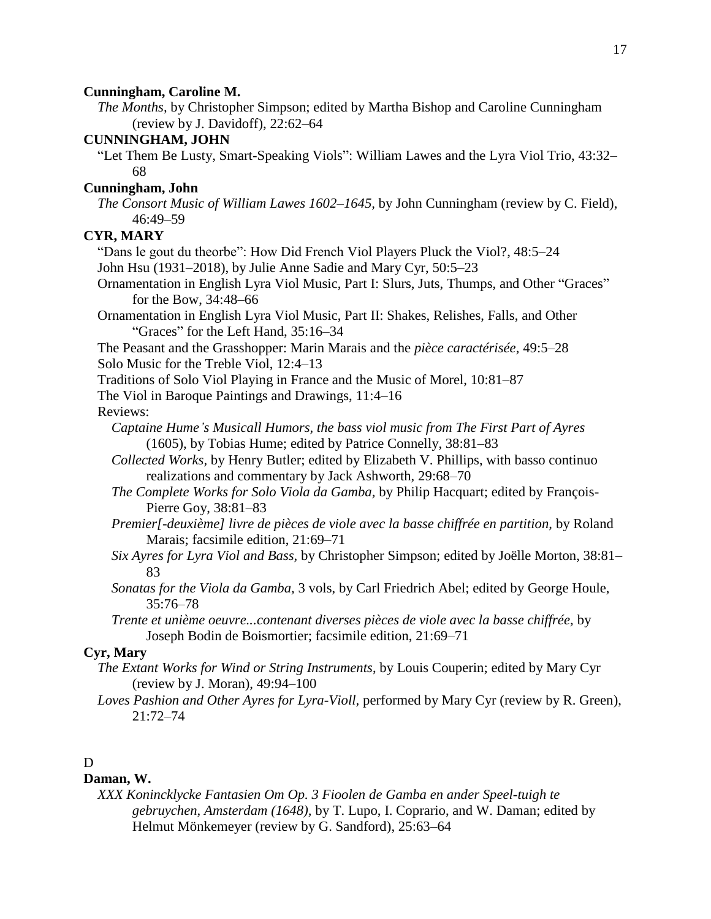## **Cunningham, Caroline M.**

*The Months,* by Christopher Simpson; edited by Martha Bishop and Caroline Cunningham (review by J. Davidoff), 22:62–64

## **CUNNINGHAM, JOHN**

"Let Them Be Lusty, Smart-Speaking Viols": William Lawes and the Lyra Viol Trio, 43:32– 68

## **Cunningham, John**

*The Consort Music of William Lawes 1602–1645,* by John Cunningham (review by C. Field), 46:49–59

## **CYR, MARY**

"Dans le gout du theorbe": How Did French Viol Players Pluck the Viol?, 48:5–24

John Hsu (1931–2018), by Julie Anne Sadie and Mary Cyr, 50:5–23

Ornamentation in English Lyra Viol Music, Part I: Slurs, Juts, Thumps, and Other "Graces" for the Bow, 34:48–66

Ornamentation in English Lyra Viol Music, Part II: Shakes, Relishes, Falls, and Other "Graces" for the Left Hand, 35:16–34

The Peasant and the Grasshopper: Marin Marais and the *pièce caractérisée*, 49:5–28 Solo Music for the Treble Viol, 12:4–13

Traditions of Solo Viol Playing in France and the Music of Morel, 10:81–87

The Viol in Baroque Paintings and Drawings, 11:4–16

## Reviews:

*Captaine Hume's Musicall Humors, the bass viol music from The First Part of Ayres* (1605), by Tobias Hume; edited by Patrice Connelly, 38:81–83

*Collected Works,* by Henry Butler; edited by Elizabeth V. Phillips, with basso continuo realizations and commentary by Jack Ashworth, 29:68–70

- *The Complete Works for Solo Viola da Gamba,* by Philip Hacquart; edited by François-Pierre Goy, 38:81–83
- *Premier[-deuxième] livre de pièces de viole avec la basse chiffrée en partition,* by Roland Marais; facsimile edition, 21:69–71
- *Six Ayres for Lyra Viol and Bass,* by Christopher Simpson; edited by Joëlle Morton, 38:81– 83
- *Sonatas for the Viola da Gamba,* 3 vols, by Carl Friedrich Abel; edited by George Houle,  $35:76 - 78$
- *Trente et unième oeuvre...contenant diverses pièces de viole avec la basse chiffrée,* by Joseph Bodin de Boismortier; facsimile edition, 21:69–71

## **Cyr, Mary**

*The Extant Works for Wind or String Instruments*, by Louis Couperin; edited by Mary Cyr (review by J. Moran), 49:94–100

*Loves Pashion and Other Ayres for Lyra-Violl,* performed by Mary Cyr (review by R. Green), 21:72–74

## D

## **Daman, W.**

*XXX Konincklycke Fantasien Om Op. 3 Fioolen de Gamba en ander Speel-tuigh te gebruychen, Amsterdam (1648),* by T. Lupo, I. Coprario, and W. Daman; edited by Helmut Mönkemeyer (review by G. Sandford), 25:63–64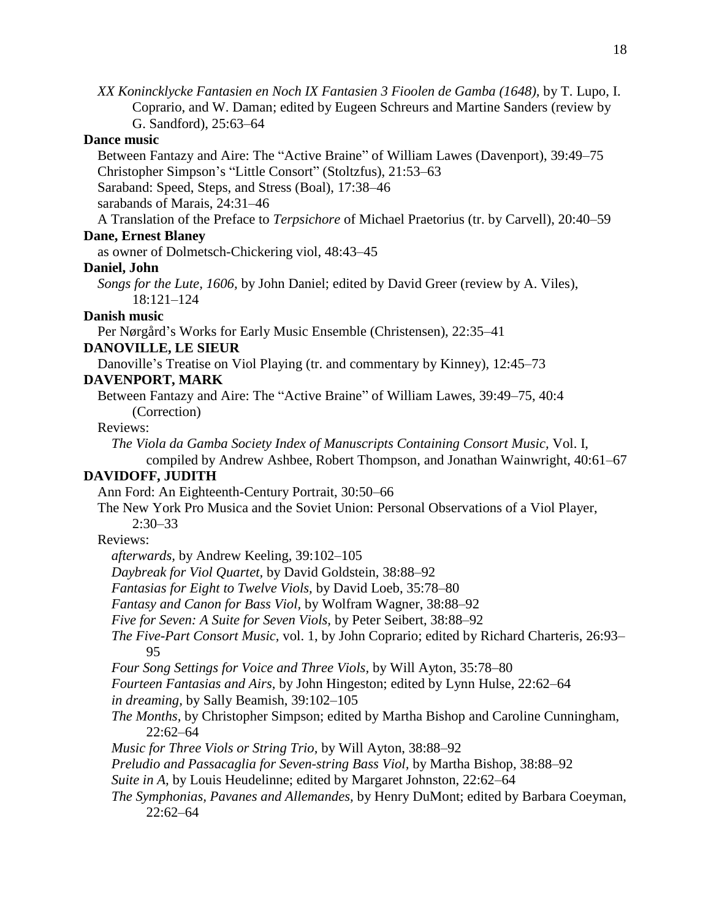*XX Konincklycke Fantasien en Noch IX Fantasien 3 Fioolen de Gamba (1648),* by T. Lupo, I. Coprario, and W. Daman; edited by Eugeen Schreurs and Martine Sanders (review by G. Sandford), 25:63–64

## **Dance music**

Between Fantazy and Aire: The "Active Braine" of William Lawes (Davenport), 39:49–75 Christopher Simpson's "Little Consort" (Stoltzfus), 21:53–63

Saraband: Speed, Steps, and Stress (Boal), 17:38–46

sarabands of Marais, 24:31–46

A Translation of the Preface to *Terpsichore* of Michael Praetorius (tr. by Carvell), 20:40–59

#### **Dane, Ernest Blaney**

as owner of Dolmetsch-Chickering viol, 48:43–45

#### **Daniel, John**

*Songs for the Lute, 1606,* by John Daniel; edited by David Greer (review by A. Viles), 18:121–124

#### **Danish music**

Per Nørgård's Works for Early Music Ensemble (Christensen), 22:35–41

## **DANOVILLE, LE SIEUR**

Danoville's Treatise on Viol Playing (tr. and commentary by Kinney), 12:45–73

#### **DAVENPORT, MARK**

Between Fantazy and Aire: The "Active Braine" of William Lawes, 39:49–75, 40:4 (Correction)

## Reviews:

*The Viola da Gamba Society Index of Manuscripts Containing Consort Music,* Vol. I,

compiled by Andrew Ashbee, Robert Thompson, and Jonathan Wainwright, 40:61–67

## **DAVIDOFF, JUDITH**

Ann Ford: An Eighteenth-Century Portrait, 30:50–66

The New York Pro Musica and the Soviet Union: Personal Observations of a Viol Player, 2:30–33

#### Reviews:

*afterwards,* by Andrew Keeling, 39:102–105

*Daybreak for Viol Quartet,* by David Goldstein, 38:88–92

*Fantasias for Eight to Twelve Viols,* by David Loeb, 35:78–80

*Fantasy and Canon for Bass Viol,* by Wolfram Wagner, 38:88–92

*Five for Seven: A Suite for Seven Viols,* by Peter Seibert, 38:88–92

*The Five-Part Consort Music,* vol. 1, by John Coprario; edited by Richard Charteris, 26:93– 95

*Four Song Settings for Voice and Three Viols,* by Will Ayton, 35:78–80

*Fourteen Fantasias and Airs,* by John Hingeston; edited by Lynn Hulse, 22:62–64

*in dreaming,* by Sally Beamish, 39:102–105

- *The Months,* by Christopher Simpson; edited by Martha Bishop and Caroline Cunningham, 22:62–64
- *Music for Three Viols or String Trio,* by Will Ayton, 38:88–92

*Preludio and Passacaglia for Seven-string Bass Viol,* by Martha Bishop, 38:88–92

*Suite in A,* by Louis Heudelinne; edited by Margaret Johnston, 22:62–64

*The Symphonias, Pavanes and Allemandes,* by Henry DuMont; edited by Barbara Coeyman, 22:62–64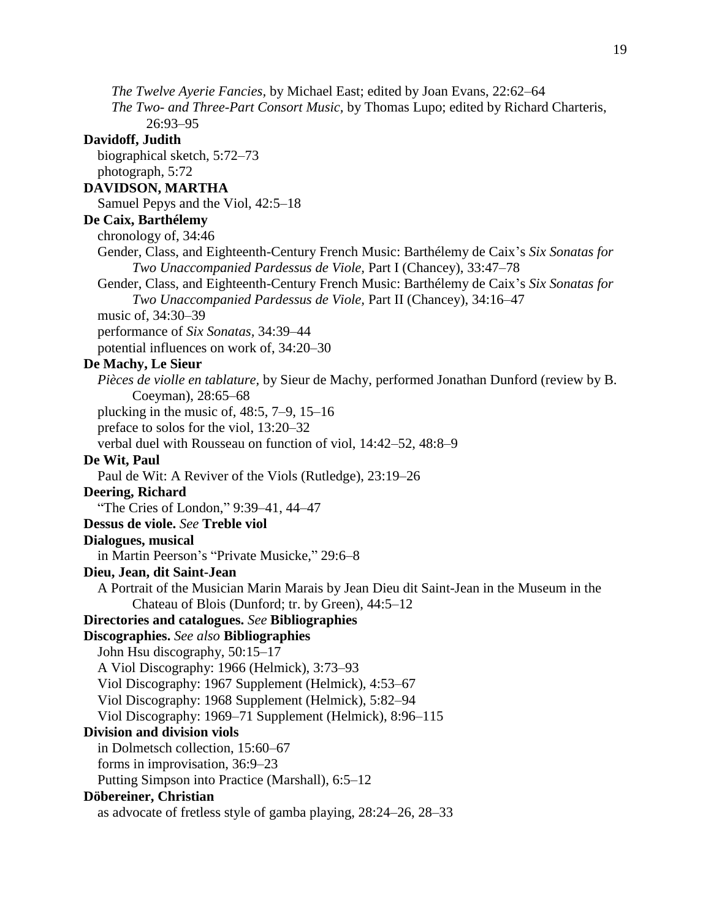*The Twelve Ayerie Fancies,* by Michael East; edited by Joan Evans, 22:62–64 *The Two- and Three-Part Consort Music,* by Thomas Lupo; edited by Richard Charteris, 26:93–95 **Davidoff, Judith** biographical sketch, 5:72–73 photograph, 5:72 **DAVIDSON, MARTHA** Samuel Pepys and the Viol, 42:5–18 **De Caix, Barthélemy** chronology of, 34:46 Gender, Class, and Eighteenth-Century French Music: Barthélemy de Caix's *Six Sonatas for Two Unaccompanied Pardessus de Viole,* Part I (Chancey), 33:47–78 Gender, Class, and Eighteenth-Century French Music: Barthélemy de Caix's *Six Sonatas for Two Unaccompanied Pardessus de Viole,* Part II (Chancey), 34:16–47 music of, 34:30–39 performance of *Six Sonatas,* 34:39–44 potential influences on work of, 34:20–30 **De Machy, Le Sieur** *Pièces de violle en tablature,* by Sieur de Machy, performed Jonathan Dunford (review by B. Coeyman), 28:65–68 plucking in the music of, 48:5, 7–9, 15–16 preface to solos for the viol, 13:20–32 verbal duel with Rousseau on function of viol, 14:42–52, 48:8–9 **De Wit, Paul** Paul de Wit: A Reviver of the Viols (Rutledge), 23:19–26 **Deering, Richard** "The Cries of London," 9:39–41, 44–47 **Dessus de viole.** *See* **Treble viol Dialogues, musical** in Martin Peerson's "Private Musicke," 29:6–8 **Dieu, Jean, dit Saint-Jean** A Portrait of the Musician Marin Marais by Jean Dieu dit Saint-Jean in the Museum in the Chateau of Blois (Dunford; tr. by Green), 44:5–12 **Directories and catalogues.** *See* **Bibliographies Discographies.** *See also* **Bibliographies** John Hsu discography, 50:15–17 A Viol Discography: 1966 (Helmick), 3:73–93 Viol Discography: 1967 Supplement (Helmick), 4:53–67 Viol Discography: 1968 Supplement (Helmick), 5:82–94 Viol Discography: 1969–71 Supplement (Helmick), 8:96–115 **Division and division viols** in Dolmetsch collection, 15:60–67 forms in improvisation, 36:9–23 Putting Simpson into Practice (Marshall), 6:5–12 **Döbereiner, Christian** as advocate of fretless style of gamba playing, 28:24–26, 28–33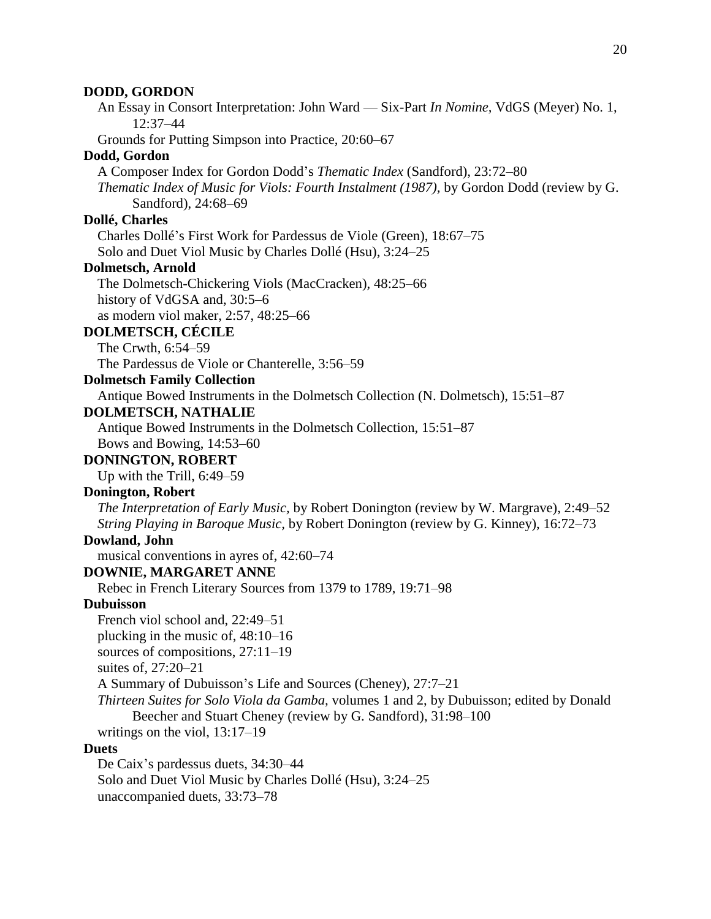An Essay in Consort Interpretation: John Ward — Six-Part *In Nomine,* VdGS (Meyer) No. 1, 12:37–44

Grounds for Putting Simpson into Practice, 20:60–67

#### **Dodd, Gordon**

A Composer Index for Gordon Dodd's *Thematic Index* (Sandford), 23:72–80

*Thematic Index of Music for Viols: Fourth Instalment (1987),* by Gordon Dodd (review by G. Sandford), 24:68–69

#### **Dollé, Charles**

Charles Dollé's First Work for Pardessus de Viole (Green), 18:67–75 Solo and Duet Viol Music by Charles Dollé (Hsu), 3:24–25

#### **Dolmetsch, Arnold**

The Dolmetsch-Chickering Viols (MacCracken), 48:25–66 history of VdGSA and, 30:5–6 as modern viol maker, 2:57, 48:25–66

## **DOLMETSCH, CÉCILE**

The Crwth, 6:54–59

The Pardessus de Viole or Chanterelle, 3:56–59

## **Dolmetsch Family Collection**

Antique Bowed Instruments in the Dolmetsch Collection (N. Dolmetsch), 15:51–87

#### **DOLMETSCH, NATHALIE**

Antique Bowed Instruments in the Dolmetsch Collection, 15:51–87 Bows and Bowing, 14:53–60

## **DONINGTON, ROBERT**

Up with the Trill, 6:49–59

## **Donington, Robert**

*The Interpretation of Early Music,* by Robert Donington (review by W. Margrave), 2:49–52 *String Playing in Baroque Music,* by Robert Donington (review by G. Kinney), 16:72–73

#### **Dowland, John**

musical conventions in ayres of, 42:60–74

#### **DOWNIE, MARGARET ANNE**

Rebec in French Literary Sources from 1379 to 1789, 19:71–98

#### **Dubuisson**

French viol school and, 22:49–51

plucking in the music of, 48:10–16

sources of compositions, 27:11–19

suites of, 27:20–21

A Summary of Dubuisson's Life and Sources (Cheney), 27:7–21

*Thirteen Suites for Solo Viola da Gamba,* volumes 1 and 2, by Dubuisson; edited by Donald Beecher and Stuart Cheney (review by G. Sandford), 31:98–100

writings on the viol, 13:17–19

#### **Duets**

De Caix's pardessus duets, 34:30–44 Solo and Duet Viol Music by Charles Dollé (Hsu), 3:24–25 unaccompanied duets, 33:73–78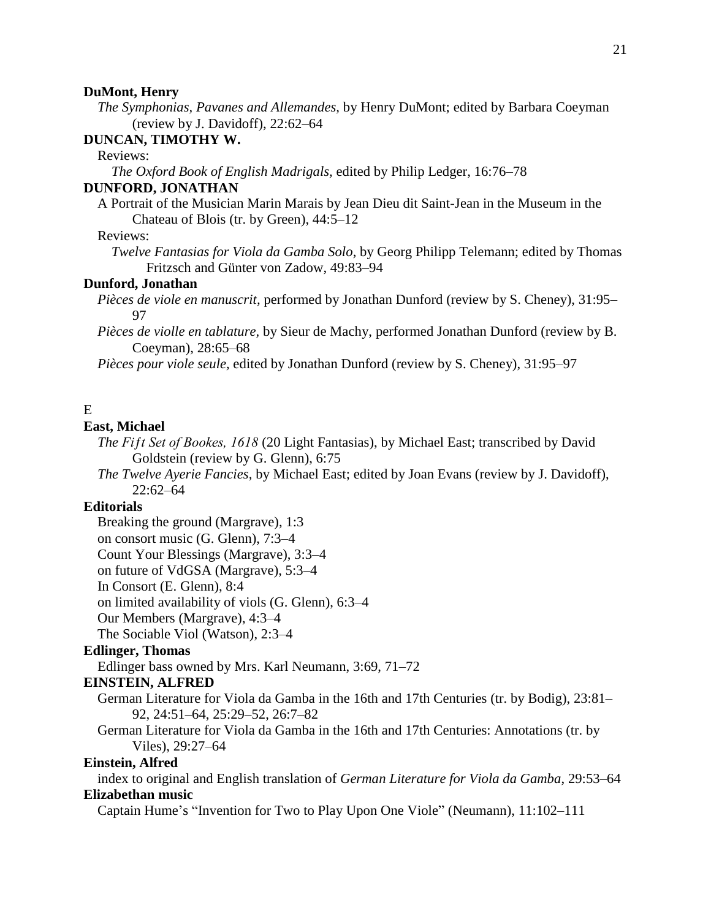#### **DuMont, Henry**

*The Symphonias, Pavanes and Allemandes,* by Henry DuMont; edited by Barbara Coeyman (review by J. Davidoff), 22:62–64

## **DUNCAN, TIMOTHY W.**

Reviews:

*The Oxford Book of English Madrigals,* edited by Philip Ledger, 16:76–78

## **DUNFORD, JONATHAN**

A Portrait of the Musician Marin Marais by Jean Dieu dit Saint-Jean in the Museum in the Chateau of Blois (tr. by Green), 44:5–12

#### Reviews:

*Twelve Fantasias for Viola da Gamba Solo*, by Georg Philipp Telemann; edited by Thomas Fritzsch and Günter von Zadow, 49:83–94

#### **Dunford, Jonathan**

- *Pièces de viole en manuscrit,* performed by Jonathan Dunford (review by S. Cheney), 31:95– 97
- *Pièces de violle en tablature,* by Sieur de Machy, performed Jonathan Dunford (review by B. Coeyman), 28:65–68

*Pièces pour viole seule,* edited by Jonathan Dunford (review by S. Cheney), 31:95–97

## E

#### **East, Michael**

*The Fiƒt Set of Bookes, 1618* (20 Light Fantasias), by Michael East; transcribed by David Goldstein (review by G. Glenn), 6:75

*The Twelve Ayerie Fancies,* by Michael East; edited by Joan Evans (review by J. Davidoff), 22:62–64

## **Editorials**

Breaking the ground (Margrave), 1:3

on consort music (G. Glenn), 7:3–4

Count Your Blessings (Margrave), 3:3–4

on future of VdGSA (Margrave), 5:3–4

In Consort (E. Glenn), 8:4

on limited availability of viols (G. Glenn), 6:3–4

Our Members (Margrave), 4:3–4

The Sociable Viol (Watson), 2:3–4

## **Edlinger, Thomas**

Edlinger bass owned by Mrs. Karl Neumann, 3:69, 71–72

#### **EINSTEIN, ALFRED**

- German Literature for Viola da Gamba in the 16th and 17th Centuries (tr. by Bodig), 23:81– 92, 24:51–64, 25:29–52, 26:7–82
- German Literature for Viola da Gamba in the 16th and 17th Centuries: Annotations (tr. by Viles), 29:27–64

#### **Einstein, Alfred**

index to original and English translation of *German Literature for Viola da Gamba*, 29:53–64 **Elizabethan music**

Captain Hume's "Invention for Two to Play Upon One Viole" (Neumann), 11:102–111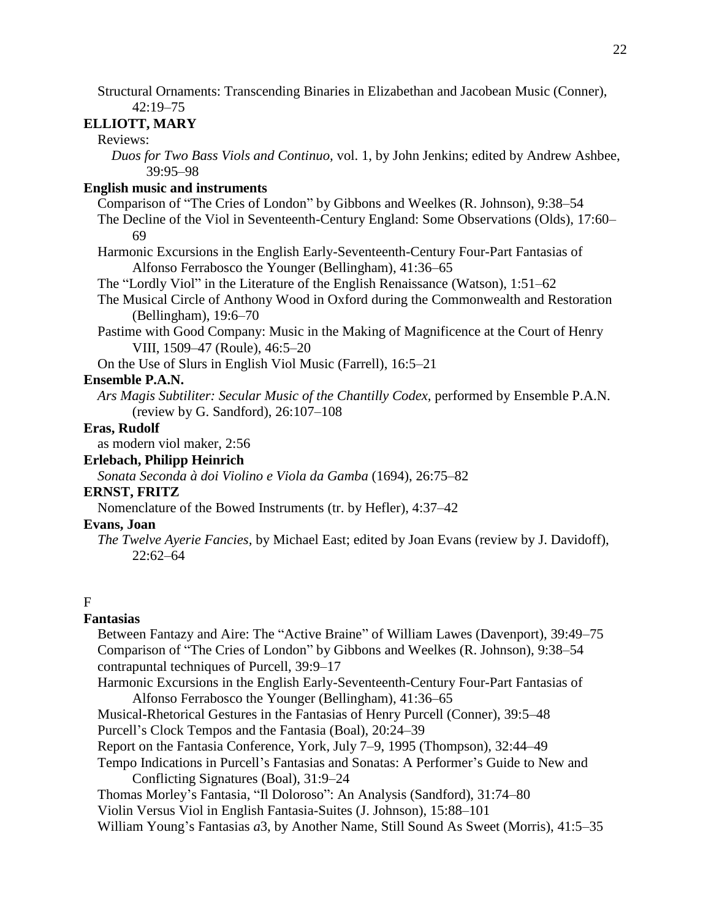Structural Ornaments: Transcending Binaries in Elizabethan and Jacobean Music (Conner), 42:19–75

## **ELLIOTT, MARY**

## Reviews:

*Duos for Two Bass Viols and Continuo,* vol. 1, by John Jenkins; edited by Andrew Ashbee, 39:95–98

## **English music and instruments**

Comparison of "The Cries of London" by Gibbons and Weelkes (R. Johnson), 9:38–54

The Decline of the Viol in Seventeenth-Century England: Some Observations (Olds), 17:60– 69

Harmonic Excursions in the English Early-Seventeenth-Century Four-Part Fantasias of Alfonso Ferrabosco the Younger (Bellingham), 41:36–65

The "Lordly Viol" in the Literature of the English Renaissance (Watson), 1:51–62

The Musical Circle of Anthony Wood in Oxford during the Commonwealth and Restoration (Bellingham), 19:6–70

- Pastime with Good Company: Music in the Making of Magnificence at the Court of Henry VIII, 1509–47 (Roule), 46:5–20
- On the Use of Slurs in English Viol Music (Farrell), 16:5–21

## **Ensemble P.A.N.**

*Ars Magis Subtiliter: Secular Music of the Chantilly Codex,* performed by Ensemble P.A.N. (review by G. Sandford), 26:107–108

## **Eras, Rudolf**

as modern viol maker, 2:56

## **Erlebach, Philipp Heinrich**

*Sonata Seconda à doi Violino e Viola da Gamba* (1694), 26:75–82

#### **ERNST, FRITZ**

Nomenclature of the Bowed Instruments (tr. by Hefler), 4:37–42

## **Evans, Joan**

*The Twelve Ayerie Fancies,* by Michael East; edited by Joan Evans (review by J. Davidoff), 22:62–64

#### F

## **Fantasias**

Between Fantazy and Aire: The "Active Braine" of William Lawes (Davenport), 39:49–75 Comparison of "The Cries of London" by Gibbons and Weelkes (R. Johnson), 9:38–54 contrapuntal techniques of Purcell, 39:9–17

Harmonic Excursions in the English Early-Seventeenth-Century Four-Part Fantasias of Alfonso Ferrabosco the Younger (Bellingham), 41:36–65

Musical-Rhetorical Gestures in the Fantasias of Henry Purcell (Conner), 39:5–48 Purcell's Clock Tempos and the Fantasia (Boal), 20:24–39

Report on the Fantasia Conference, York, July 7–9, 1995 (Thompson), 32:44–49

Tempo Indications in Purcell's Fantasias and Sonatas: A Performer's Guide to New and Conflicting Signatures (Boal), 31:9–24

Thomas Morley's Fantasia, "Il Doloroso": An Analysis (Sandford), 31:74–80

Violin Versus Viol in English Fantasia-Suites (J. Johnson), 15:88–101

William Young's Fantasias *a*3, by Another Name, Still Sound As Sweet (Morris), 41:5–35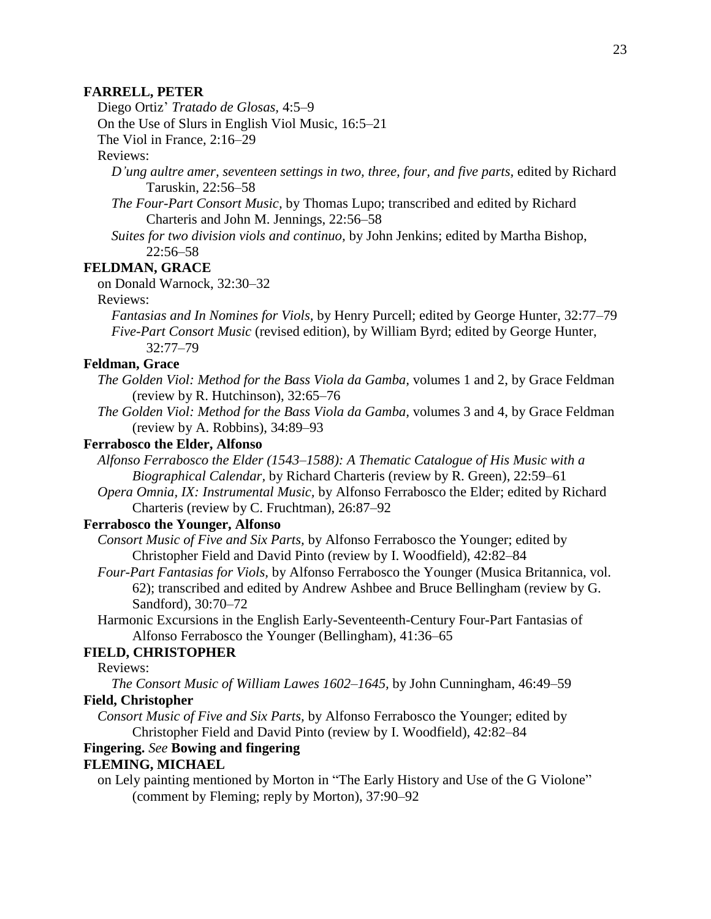#### **FARRELL, PETER**

Diego Ortiz' *Tratado de Glosas,* 4:5–9

On the Use of Slurs in English Viol Music, 16:5–21

The Viol in France, 2:16–29

## Reviews:

- *D'ung aultre amer, seventeen settings in two, three, four, and five parts,* edited by Richard Taruskin, 22:56–58
- *The Four-Part Consort Music,* by Thomas Lupo; transcribed and edited by Richard Charteris and John M. Jennings, 22:56–58
- *Suites for two division viols and continuo,* by John Jenkins; edited by Martha Bishop, 22:56–58

## **FELDMAN, GRACE**

on Donald Warnock, 32:30–32

Reviews:

*Fantasias and In Nomines for Viols,* by Henry Purcell; edited by George Hunter, 32:77–79 *Five-Part Consort Music* (revised edition), by William Byrd; edited by George Hunter, 32:77–79

## **Feldman, Grace**

- *The Golden Viol: Method for the Bass Viola da Gamba,* volumes 1 and 2, by Grace Feldman (review by R. Hutchinson), 32:65–76
- *The Golden Viol: Method for the Bass Viola da Gamba,* volumes 3 and 4, by Grace Feldman (review by A. Robbins), 34:89–93

## **Ferrabosco the Elder, Alfonso**

*Alfonso Ferrabosco the Elder (1543–1588): A Thematic Catalogue of His Music with a Biographical Calendar,* by Richard Charteris (review by R. Green), 22:59–61

*Opera Omnia, IX: Instrumental Music,* by Alfonso Ferrabosco the Elder; edited by Richard Charteris (review by C. Fruchtman), 26:87–92

## **Ferrabosco the Younger, Alfonso**

- *Consort Music of Five and Six Parts,* by Alfonso Ferrabosco the Younger; edited by Christopher Field and David Pinto (review by I. Woodfield), 42:82–84
- *Four-Part Fantasias for Viols,* by Alfonso Ferrabosco the Younger (Musica Britannica, vol. 62); transcribed and edited by Andrew Ashbee and Bruce Bellingham (review by G. Sandford), 30:70–72
- Harmonic Excursions in the English Early-Seventeenth-Century Four-Part Fantasias of Alfonso Ferrabosco the Younger (Bellingham), 41:36–65

## **FIELD, CHRISTOPHER**

Reviews:

*The Consort Music of William Lawes 1602–1645,* by John Cunningham, 46:49–59 **Field, Christopher**

*Consort Music of Five and Six Parts,* by Alfonso Ferrabosco the Younger; edited by Christopher Field and David Pinto (review by I. Woodfield), 42:82–84

## **Fingering.** *See* **Bowing and fingering**

## **FLEMING, MICHAEL**

on Lely painting mentioned by Morton in "The Early History and Use of the G Violone" (comment by Fleming; reply by Morton), 37:90–92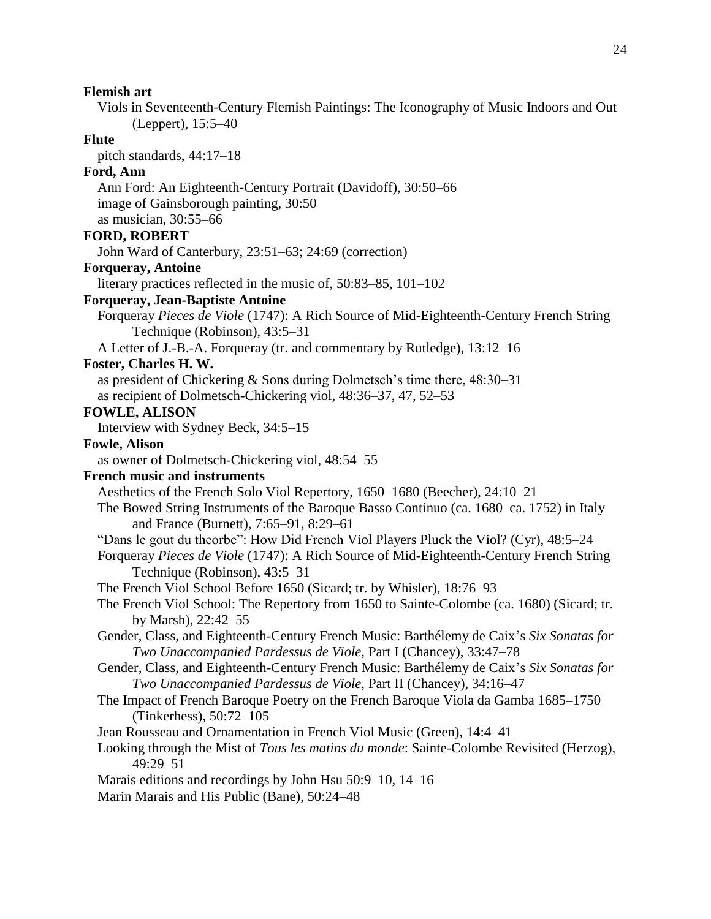## **Flemish art**

Viols in Seventeenth-Century Flemish Paintings: The Iconography of Music Indoors and Out (Leppert), 15:5–40

## **Flute**

pitch standards, 44:17–18

## **Ford, Ann**

Ann Ford: An Eighteenth-Century Portrait (Davidoff), 30:50–66 image of Gainsborough painting, 30:50 as musician, 30:55–66

## **FORD, ROBERT**

John Ward of Canterbury, 23:51–63; 24:69 (correction)

## **Forqueray, Antoine**

literary practices reflected in the music of, 50:83–85, 101–102

## **Forqueray, Jean-Baptiste Antoine**

Forqueray *Pieces de Viole* (1747): A Rich Source of Mid-Eighteenth-Century French String Technique (Robinson), 43:5–31

A Letter of J.-B.-A. Forqueray (tr. and commentary by Rutledge), 13:12–16

## **Foster, Charles H. W.**

as president of Chickering & Sons during Dolmetsch's time there, 48:30–31 as recipient of Dolmetsch-Chickering viol, 48:36–37, 47, 52–53

## **FOWLE, ALISON**

Interview with Sydney Beck, 34:5–15

#### **Fowle, Alison**

as owner of Dolmetsch-Chickering viol, 48:54–55

## **French music and instruments**

Aesthetics of the French Solo Viol Repertory, 1650–1680 (Beecher), 24:10–21

- The Bowed String Instruments of the Baroque Basso Continuo (ca. 1680–ca. 1752) in Italy and France (Burnett), 7:65–91, 8:29–61
- "Dans le gout du theorbe": How Did French Viol Players Pluck the Viol? (Cyr), 48:5–24
- Forqueray *Pieces de Viole* (1747): A Rich Source of Mid-Eighteenth-Century French String Technique (Robinson), 43:5–31
- The French Viol School Before 1650 (Sicard; tr. by Whisler), 18:76–93
- The French Viol School: The Repertory from 1650 to Sainte-Colombe (ca. 1680) (Sicard; tr. by Marsh), 22:42–55
- Gender, Class, and Eighteenth-Century French Music: Barthélemy de Caix's *Six Sonatas for Two Unaccompanied Pardessus de Viole,* Part I (Chancey), 33:47–78
- Gender, Class, and Eighteenth-Century French Music: Barthélemy de Caix's *Six Sonatas for Two Unaccompanied Pardessus de Viole,* Part II (Chancey), 34:16–47
- The Impact of French Baroque Poetry on the French Baroque Viola da Gamba 1685–1750 (Tinkerhess), 50:72–105
- Jean Rousseau and Ornamentation in French Viol Music (Green), 14:4–41
- Looking through the Mist of *Tous les matins du monde*: Sainte-Colombe Revisited (Herzog), 49:29–51
- Marais editions and recordings by John Hsu 50:9–10, 14–16
- Marin Marais and His Public (Bane), 50:24–48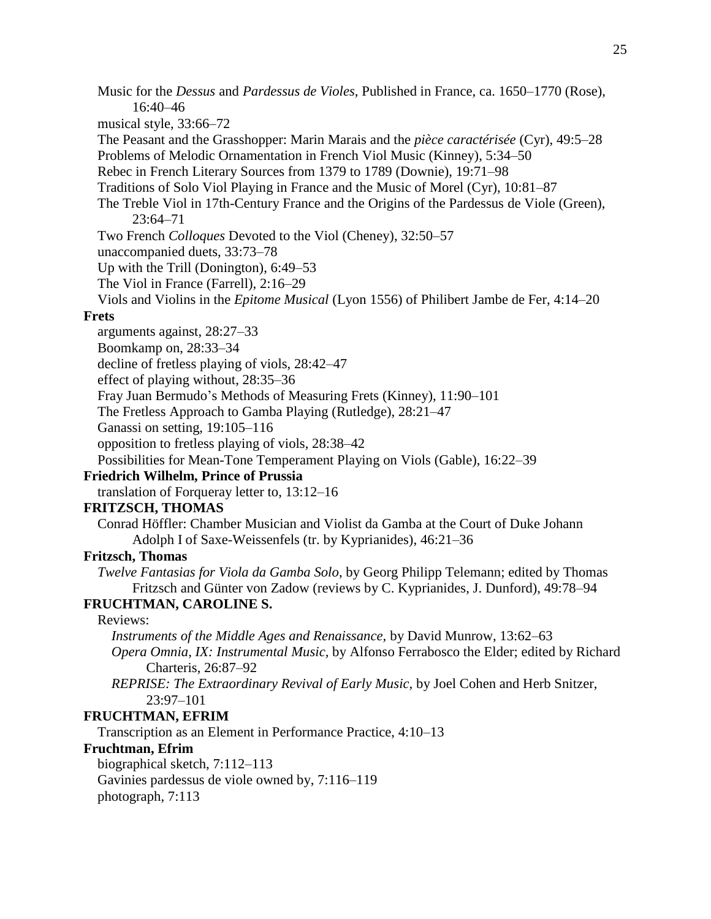musical style, 33:66–72 The Peasant and the Grasshopper: Marin Marais and the *pièce caractérisée* (Cyr), 49:5–28 Problems of Melodic Ornamentation in French Viol Music (Kinney), 5:34–50 Rebec in French Literary Sources from 1379 to 1789 (Downie), 19:71–98 Traditions of Solo Viol Playing in France and the Music of Morel (Cyr), 10:81–87 The Treble Viol in 17th-Century France and the Origins of the Pardessus de Viole (Green), 23:64–71 Two French *Colloques* Devoted to the Viol (Cheney), 32:50–57 unaccompanied duets, 33:73–78 Up with the Trill (Donington), 6:49–53 The Viol in France (Farrell), 2:16–29 Viols and Violins in the *Epitome Musical* (Lyon 1556) of Philibert Jambe de Fer, 4:14–20 **Frets** arguments against, 28:27–33 Boomkamp on, 28:33–34 decline of fretless playing of viols, 28:42–47 effect of playing without, 28:35–36 Fray Juan Bermudo's Methods of Measuring Frets (Kinney), 11:90–101 The Fretless Approach to Gamba Playing (Rutledge), 28:21–47 Ganassi on setting, 19:105–116 opposition to fretless playing of viols, 28:38–42 Possibilities for Mean-Tone Temperament Playing on Viols (Gable), 16:22–39

Music for the *Dessus* and *Pardessus de Violes,* Published in France, ca. 1650–1770 (Rose),

## **Friedrich Wilhelm, Prince of Prussia**

translation of Forqueray letter to, 13:12–16

## **FRITZSCH, THOMAS**

16:40–46

Conrad Höffler: Chamber Musician and Violist da Gamba at the Court of Duke Johann Adolph I of Saxe-Weissenfels (tr. by Kyprianides), 46:21–36

#### **Fritzsch, Thomas**

*Twelve Fantasias for Viola da Gamba Solo*, by Georg Philipp Telemann; edited by Thomas Fritzsch and Günter von Zadow (reviews by C. Kyprianides, J. Dunford), 49:78–94

## **FRUCHTMAN, CAROLINE S.**

## Reviews:

*Instruments of the Middle Ages and Renaissance,* by David Munrow, 13:62–63 *Opera Omnia, IX: Instrumental Music,* by Alfonso Ferrabosco the Elder; edited by Richard Charteris, 26:87–92

*REPRISE: The Extraordinary Revival of Early Music,* by Joel Cohen and Herb Snitzer, 23:97–101

#### **FRUCHTMAN, EFRIM**

Transcription as an Element in Performance Practice, 4:10–13

#### **Fruchtman, Efrim**

biographical sketch, 7:112–113 Gavinies pardessus de viole owned by, 7:116–119 photograph, 7:113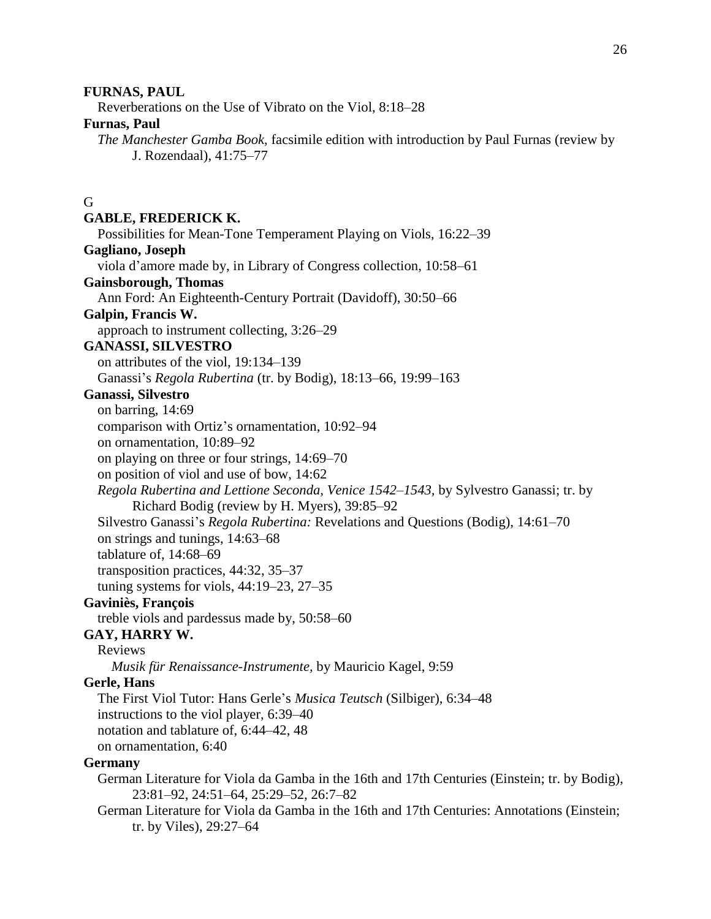#### **FURNAS, PAUL**

Reverberations on the Use of Vibrato on the Viol, 8:18–28

## **Furnas, Paul**

*The Manchester Gamba Book,* facsimile edition with introduction by Paul Furnas (review by J. Rozendaal), 41:75–77

## G

#### **GABLE, FREDERICK K.**

Possibilities for Mean-Tone Temperament Playing on Viols, 16:22–39

#### **Gagliano, Joseph**

viola d'amore made by, in Library of Congress collection, 10:58–61

#### **Gainsborough, Thomas**

Ann Ford: An Eighteenth-Century Portrait (Davidoff), 30:50–66

#### **Galpin, Francis W.**

approach to instrument collecting, 3:26–29

#### **GANASSI, SILVESTRO**

on attributes of the viol, 19:134–139

Ganassi's *Regola Rubertina* (tr. by Bodig), 18:13–66, 19:99–163

#### **Ganassi, Silvestro**

on barring, 14:69

comparison with Ortiz's ornamentation, 10:92–94

on ornamentation, 10:89–92

on playing on three or four strings, 14:69–70

on position of viol and use of bow, 14:62

*Regola Rubertina and Lettione Seconda, Venice 1542–1543,* by Sylvestro Ganassi; tr. by Richard Bodig (review by H. Myers), 39:85–92

Silvestro Ganassi's *Regola Rubertina:* Revelations and Questions (Bodig), 14:61–70

on strings and tunings, 14:63–68

tablature of, 14:68–69

transposition practices, 44:32, 35–37

tuning systems for viols, 44:19–23, 27–35

## **Gaviniès, François**

treble viols and pardessus made by, 50:58–60

## **GAY, HARRY W.**

Reviews

*Musik für Renaissance-Instrumente,* by Mauricio Kagel, 9:59

#### **Gerle, Hans**

The First Viol Tutor: Hans Gerle's *Musica Teutsch* (Silbiger), 6:34–48 instructions to the viol player, 6:39–40

notation and tablature of, 6:44–42, 48

on ornamentation, 6:40

#### **Germany**

- German Literature for Viola da Gamba in the 16th and 17th Centuries (Einstein; tr. by Bodig), 23:81–92, 24:51–64, 25:29–52, 26:7–82
- German Literature for Viola da Gamba in the 16th and 17th Centuries: Annotations (Einstein; tr. by Viles), 29:27–64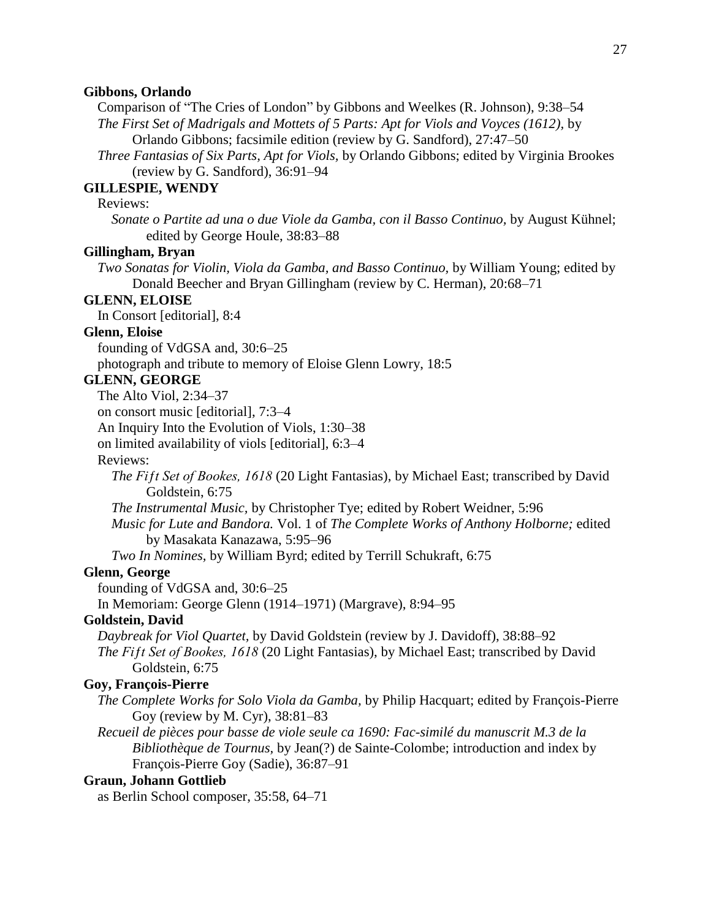#### **Gibbons, Orlando**

Comparison of "The Cries of London" by Gibbons and Weelkes (R. Johnson), 9:38–54 *The First Set of Madrigals and Mottets of 5 Parts: Apt for Viols and Voyces (1612),* by

Orlando Gibbons; facsimile edition (review by G. Sandford), 27:47–50

*Three Fantasias of Six Parts, Apt for Viols,* by Orlando Gibbons; edited by Virginia Brookes (review by G. Sandford), 36:91–94

### **GILLESPIE, WENDY**

Reviews:

*Sonate o Partite ad una o due Viole da Gamba, con il Basso Continuo,* by August Kühnel; edited by George Houle, 38:83–88

## **Gillingham, Bryan**

*Two Sonatas for Violin, Viola da Gamba, and Basso Continuo,* by William Young; edited by Donald Beecher and Bryan Gillingham (review by C. Herman), 20:68–71

#### **GLENN, ELOISE**

In Consort [editorial], 8:4

## **Glenn, Eloise**

founding of VdGSA and, 30:6–25

photograph and tribute to memory of Eloise Glenn Lowry, 18:5

## **GLENN, GEORGE**

The Alto Viol, 2:34–37

on consort music [editorial], 7:3–4

An Inquiry Into the Evolution of Viols, 1:30–38

on limited availability of viols [editorial], 6:3–4

## Reviews:

*The Fiƒt Set of Bookes, 1618* (20 Light Fantasias), by Michael East; transcribed by David Goldstein, 6:75

*The Instrumental Music,* by Christopher Tye; edited by Robert Weidner, 5:96

*Music for Lute and Bandora.* Vol. 1 of *The Complete Works of Anthony Holborne;* edited by Masakata Kanazawa, 5:95–96

*Two In Nomines,* by William Byrd; edited by Terrill Schukraft, 6:75

## **Glenn, George**

founding of VdGSA and, 30:6–25

In Memoriam: George Glenn (1914–1971) (Margrave), 8:94–95

## **Goldstein, David**

*Daybreak for Viol Quartet,* by David Goldstein (review by J. Davidoff), 38:88–92 *The Fiƒt Set of Bookes, 1618* (20 Light Fantasias), by Michael East; transcribed by David Goldstein, 6:75

#### **Goy, François-Pierre**

*The Complete Works for Solo Viola da Gamba,* by Philip Hacquart; edited by François-Pierre Goy (review by M. Cyr), 38:81–83

*Recueil de pièces pour basse de viole seule ca 1690: Fac-similé du manuscrit M.3 de la Bibliothèque de Tournus,* by Jean(?) de Sainte-Colombe; introduction and index by François-Pierre Goy (Sadie), 36:87–91

## **Graun, Johann Gottlieb**

as Berlin School composer, 35:58, 64–71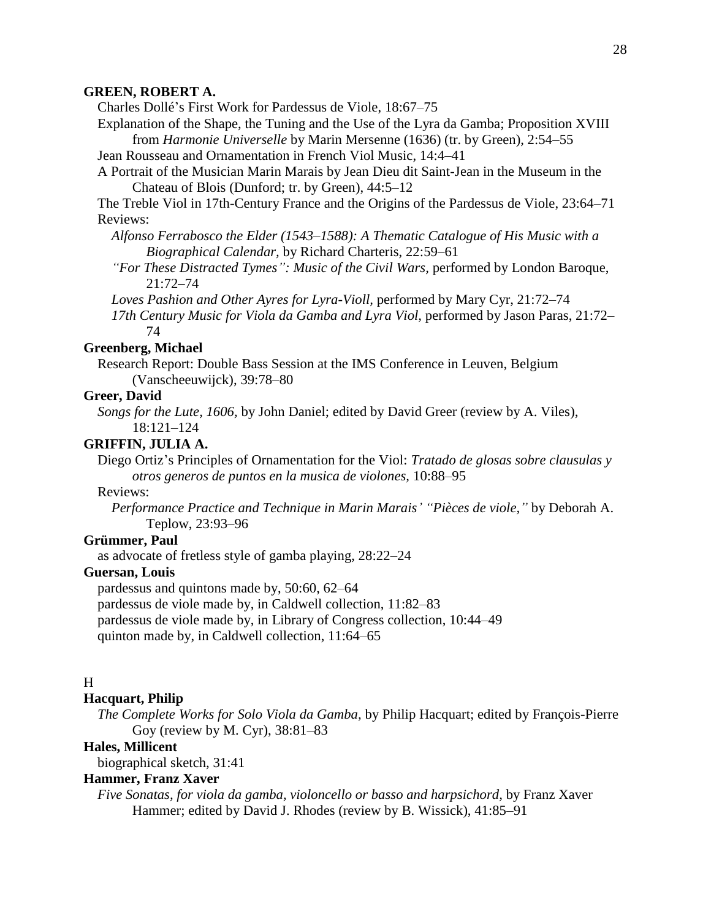#### **GREEN, ROBERT A.**

Charles Dollé's First Work for Pardessus de Viole, 18:67–75

Explanation of the Shape, the Tuning and the Use of the Lyra da Gamba; Proposition XVIII from *Harmonie Universelle* by Marin Mersenne (1636) (tr. by Green), 2:54–55

Jean Rousseau and Ornamentation in French Viol Music, 14:4–41

A Portrait of the Musician Marin Marais by Jean Dieu dit Saint-Jean in the Museum in the Chateau of Blois (Dunford; tr. by Green), 44:5–12

The Treble Viol in 17th-Century France and the Origins of the Pardessus de Viole, 23:64–71 Reviews:

- *Alfonso Ferrabosco the Elder (1543–1588): A Thematic Catalogue of His Music with a Biographical Calendar,* by Richard Charteris, 22:59–61
- *"For These Distracted Tymes": Music of the Civil Wars,* performed by London Baroque, 21:72–74
- *Loves Pashion and Other Ayres for Lyra-Violl,* performed by Mary Cyr, 21:72–74
- *17th Century Music for Viola da Gamba and Lyra Viol,* performed by Jason Paras, 21:72– 74

## **Greenberg, Michael**

Research Report: Double Bass Session at the IMS Conference in Leuven, Belgium (Vanscheeuwijck), 39:78–80

#### **Greer, David**

*Songs for the Lute, 1606,* by John Daniel; edited by David Greer (review by A. Viles), 18:121–124

#### **GRIFFIN, JULIA A.**

Diego Ortiz's Principles of Ornamentation for the Viol: *Tratado de glosas sobre clausulas y otros generos de puntos en la musica de violones,* 10:88–95

## Reviews:

*Performance Practice and Technique in Marin Marais' "Pièces de viole,"* by Deborah A. Teplow, 23:93–96

#### **Grümmer, Paul**

as advocate of fretless style of gamba playing, 28:22–24

#### **Guersan, Louis**

pardessus and quintons made by, 50:60, 62–64

pardessus de viole made by, in Caldwell collection, 11:82–83

pardessus de viole made by, in Library of Congress collection, 10:44–49

quinton made by, in Caldwell collection, 11:64–65

## H

## **Hacquart, Philip**

*The Complete Works for Solo Viola da Gamba,* by Philip Hacquart; edited by François-Pierre Goy (review by M. Cyr), 38:81–83

## **Hales, Millicent**

biographical sketch, 31:41

## **Hammer, Franz Xaver**

*Five Sonatas, for viola da gamba, violoncello or basso and harpsichord,* by Franz Xaver Hammer; edited by David J. Rhodes (review by B. Wissick), 41:85–91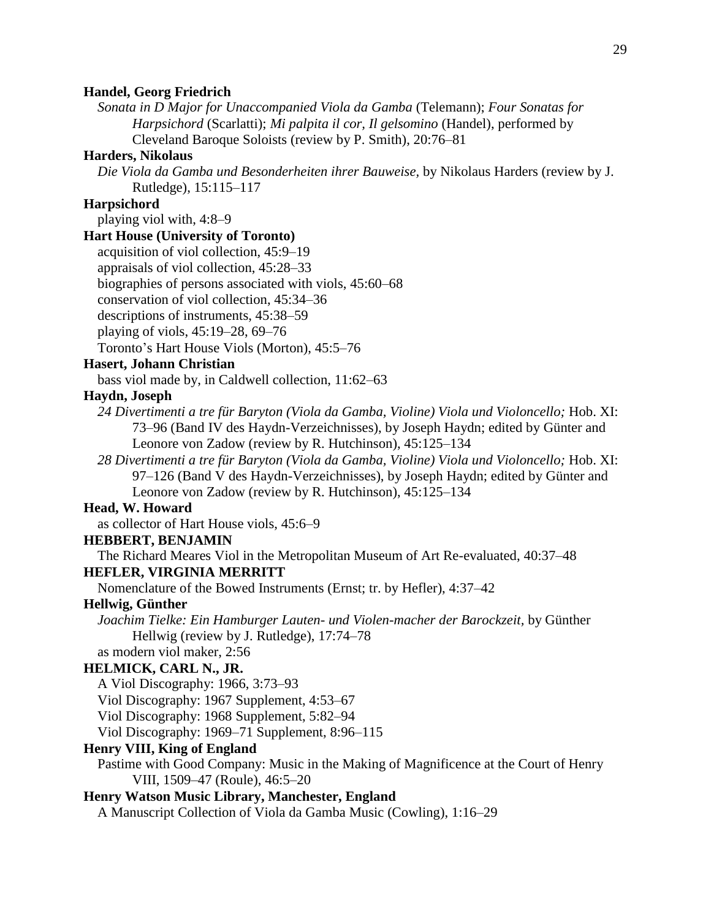#### **Handel, Georg Friedrich**

*Sonata in D Major for Unaccompanied Viola da Gamba* (Telemann); *Four Sonatas for Harpsichord* (Scarlatti); *Mi palpita il cor, Il gelsomino* (Handel), performed by Cleveland Baroque Soloists (review by P. Smith), 20:76–81

#### **Harders, Nikolaus**

*Die Viola da Gamba und Besonderheiten ihrer Bauweise,* by Nikolaus Harders (review by J. Rutledge), 15:115–117

## **Harpsichord**

playing viol with, 4:8–9

## **Hart House (University of Toronto)**

acquisition of viol collection, 45:9–19

appraisals of viol collection, 45:28–33

biographies of persons associated with viols, 45:60–68

conservation of viol collection, 45:34–36

descriptions of instruments, 45:38–59

playing of viols, 45:19–28, 69–76

Toronto's Hart House Viols (Morton), 45:5–76

## **Hasert, Johann Christian**

bass viol made by, in Caldwell collection, 11:62–63

## **Haydn, Joseph**

*24 Divertimenti a tre für Baryton (Viola da Gamba, Violine) Viola und Violoncello;* Hob. XI: 73–96 (Band IV des Haydn-Verzeichnisses), by Joseph Haydn; edited by Günter and Leonore von Zadow (review by R. Hutchinson), 45:125–134

*28 Divertimenti a tre für Baryton (Viola da Gamba, Violine) Viola und Violoncello;* Hob. XI: 97–126 (Band V des Haydn-Verzeichnisses), by Joseph Haydn; edited by Günter and Leonore von Zadow (review by R. Hutchinson), 45:125–134

## **Head, W. Howard**

as collector of Hart House viols, 45:6–9

#### **HEBBERT, BENJAMIN**

The Richard Meares Viol in the Metropolitan Museum of Art Re-evaluated, 40:37–48

## **HEFLER, VIRGINIA MERRITT**

Nomenclature of the Bowed Instruments (Ernst; tr. by Hefler), 4:37–42

## **Hellwig, Günther**

*Joachim Tielke: Ein Hamburger Lauten- und Violen-macher der Barockzeit,* by Günther Hellwig (review by J. Rutledge), 17:74–78

as modern viol maker, 2:56

## **HELMICK, CARL N., JR.**

A Viol Discography: 1966, 3:73–93

Viol Discography: 1967 Supplement, 4:53–67

Viol Discography: 1968 Supplement, 5:82–94

Viol Discography: 1969–71 Supplement, 8:96–115

## **Henry VIII, King of England**

Pastime with Good Company: Music in the Making of Magnificence at the Court of Henry VIII, 1509–47 (Roule), 46:5–20

## **Henry Watson Music Library, Manchester, England**

A Manuscript Collection of Viola da Gamba Music (Cowling), 1:16–29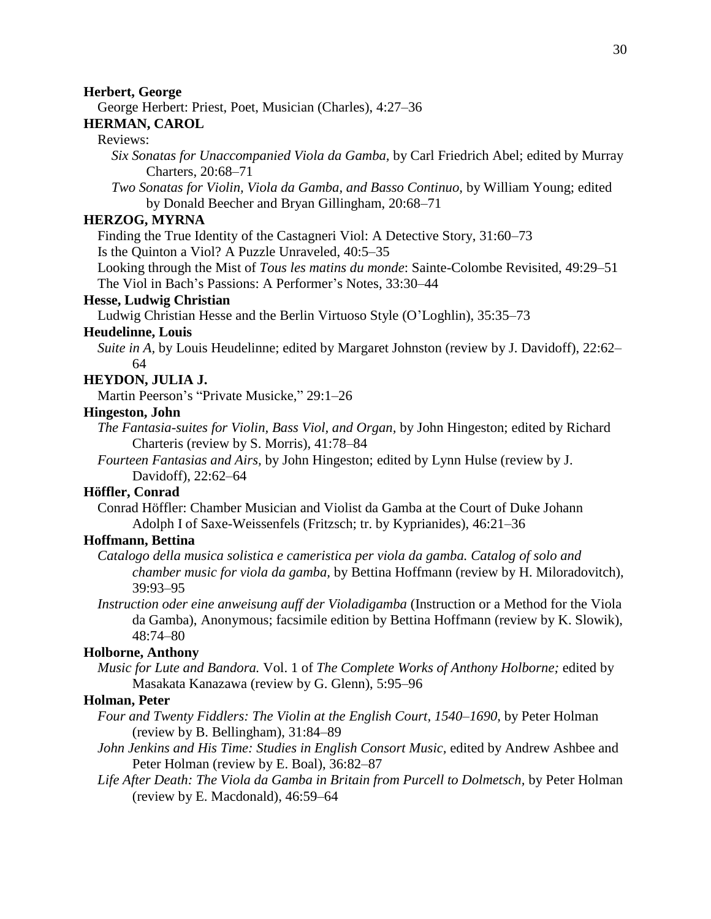#### **Herbert, George**

George Herbert: Priest, Poet, Musician (Charles), 4:27–36

## **HERMAN, CAROL**

## Reviews:

*Six Sonatas for Unaccompanied Viola da Gamba,* by Carl Friedrich Abel; edited by Murray Charters, 20:68–71

*Two Sonatas for Violin, Viola da Gamba, and Basso Continuo,* by William Young; edited by Donald Beecher and Bryan Gillingham, 20:68–71

## **HERZOG, MYRNA**

Finding the True Identity of the Castagneri Viol: A Detective Story, 31:60–73

Is the Quinton a Viol? A Puzzle Unraveled, 40:5–35

Looking through the Mist of *Tous les matins du monde*: Sainte-Colombe Revisited, 49:29–51 The Viol in Bach's Passions: A Performer's Notes, 33:30–44

## **Hesse, Ludwig Christian**

Ludwig Christian Hesse and the Berlin Virtuoso Style (O'Loghlin), 35:35–73

#### **Heudelinne, Louis**

*Suite in A,* by Louis Heudelinne; edited by Margaret Johnston (review by J. Davidoff), 22:62– 64

## **HEYDON, JULIA J.**

Martin Peerson's "Private Musicke," 29:1–26

#### **Hingeston, John**

*The Fantasia-suites for Violin, Bass Viol, and Organ,* by John Hingeston; edited by Richard Charteris (review by S. Morris), 41:78–84

*Fourteen Fantasias and Airs,* by John Hingeston; edited by Lynn Hulse (review by J. Davidoff), 22:62–64

#### **Höffler, Conrad**

Conrad Höffler: Chamber Musician and Violist da Gamba at the Court of Duke Johann Adolph I of Saxe-Weissenfels (Fritzsch; tr. by Kyprianides), 46:21–36

## **Hoffmann, Bettina**

- *Catalogo della musica solistica e cameristica per viola da gamba. Catalog of solo and chamber music for viola da gamba,* by Bettina Hoffmann (review by H. Miloradovitch), 39:93–95
- *Instruction oder eine anweisung auff der Violadigamba* (Instruction or a Method for the Viola da Gamba), Anonymous; facsimile edition by Bettina Hoffmann (review by K. Slowik), 48:74–80

## **Holborne, Anthony**

*Music for Lute and Bandora.* Vol. 1 of *The Complete Works of Anthony Holborne;* edited by Masakata Kanazawa (review by G. Glenn), 5:95–96

#### **Holman, Peter**

- *Four and Twenty Fiddlers: The Violin at the English Court, 1540–1690,* by Peter Holman (review by B. Bellingham), 31:84–89
- *John Jenkins and His Time: Studies in English Consort Music,* edited by Andrew Ashbee and Peter Holman (review by E. Boal), 36:82–87
- *Life After Death: The Viola da Gamba in Britain from Purcell to Dolmetsch,* by Peter Holman (review by E. Macdonald), 46:59–64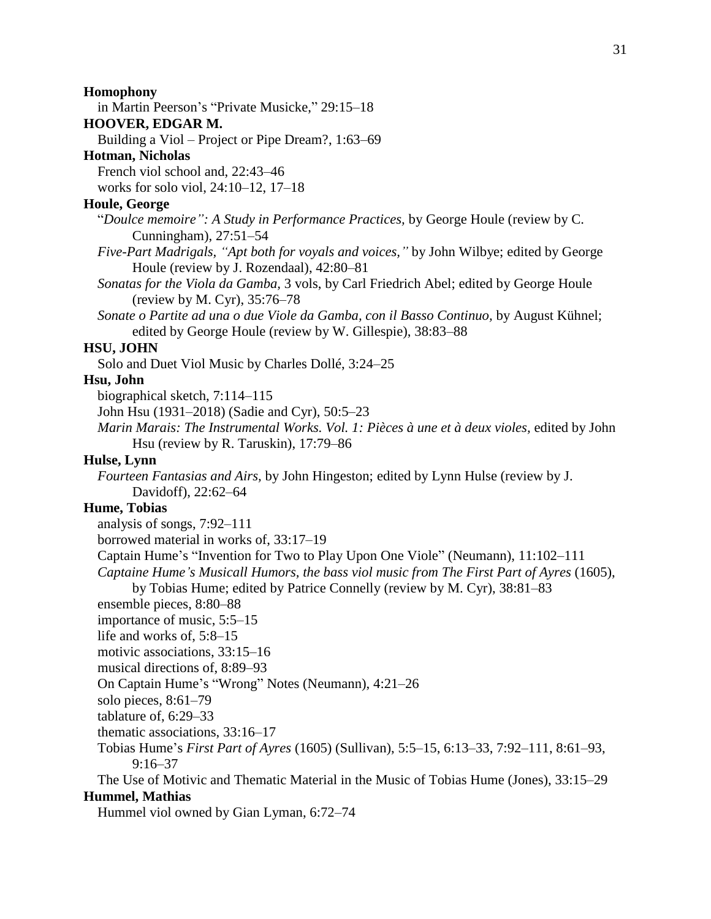## **Homophony**

in Martin Peerson's "Private Musicke," 29:15–18

## **HOOVER, EDGAR M.**

Building a Viol – Project or Pipe Dream?, 1:63–69

## **Hotman, Nicholas**

French viol school and, 22:43–46

works for solo viol, 24:10–12, 17–18

## **Houle, George**

"*Doulce memoire": A Study in Performance Practices,* by George Houle (review by C. Cunningham), 27:51–54

- *Five-Part Madrigals, "Apt both for voyals and voices,"* by John Wilbye; edited by George Houle (review by J. Rozendaal), 42:80–81
- *Sonatas for the Viola da Gamba,* 3 vols, by Carl Friedrich Abel; edited by George Houle (review by M. Cyr), 35:76–78
- *Sonate o Partite ad una o due Viole da Gamba, con il Basso Continuo,* by August Kühnel; edited by George Houle (review by W. Gillespie), 38:83–88

## **HSU, JOHN**

Solo and Duet Viol Music by Charles Dollé, 3:24–25

## **Hsu, John**

biographical sketch, 7:114–115

John Hsu (1931–2018) (Sadie and Cyr), 50:5–23

*Marin Marais: The Instrumental Works. Vol. 1: Pièces à une et à deux violes,* edited by John Hsu (review by R. Taruskin), 17:79–86

## **Hulse, Lynn**

*Fourteen Fantasias and Airs,* by John Hingeston; edited by Lynn Hulse (review by J. Davidoff), 22:62–64

## **Hume, Tobias**

analysis of songs, 7:92–111

borrowed material in works of, 33:17–19

Captain Hume's "Invention for Two to Play Upon One Viole" (Neumann), 11:102–111

*Captaine Hume's Musicall Humors, the bass viol music from The First Part of Ayres* (1605),

by Tobias Hume; edited by Patrice Connelly (review by M. Cyr), 38:81–83

ensemble pieces, 8:80–88

importance of music, 5:5–15

life and works of, 5:8–15

motivic associations, 33:15–16

musical directions of, 8:89–93

On Captain Hume's "Wrong" Notes (Neumann), 4:21–26

solo pieces, 8:61–79

tablature of, 6:29–33

thematic associations, 33:16–17

Tobias Hume's *First Part of Ayres* (1605) (Sullivan), 5:5–15, 6:13–33, 7:92–111, 8:61–93, 9:16–37

The Use of Motivic and Thematic Material in the Music of Tobias Hume (Jones), 33:15–29 **Hummel, Mathias**

Hummel viol owned by Gian Lyman, 6:72–74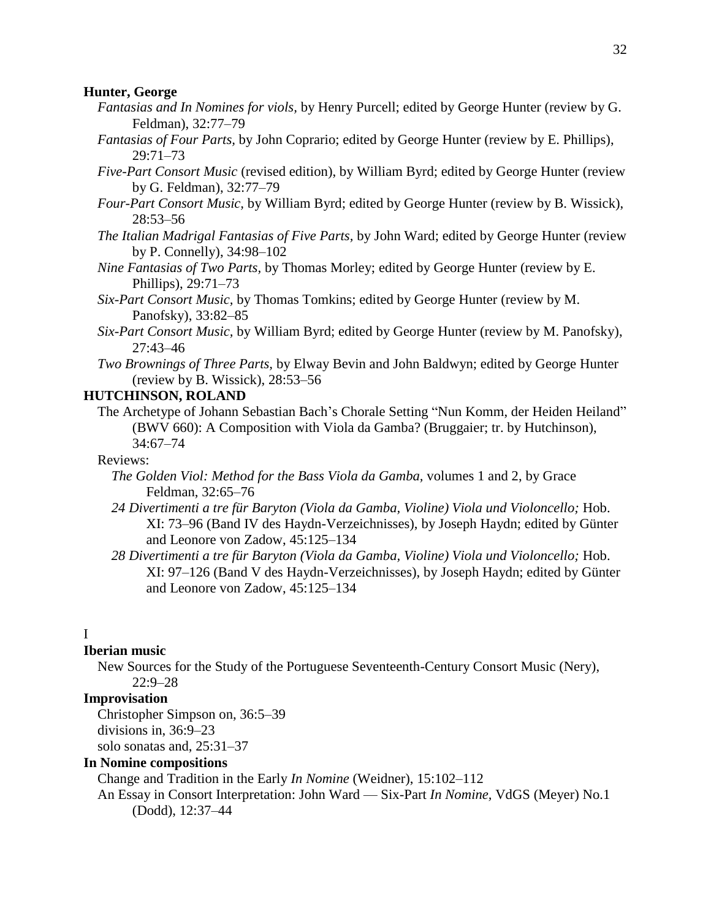#### **Hunter, George**

- *Fantasias and In Nomines for viols,* by Henry Purcell; edited by George Hunter (review by G. Feldman), 32:77–79
- *Fantasias of Four Parts,* by John Coprario; edited by George Hunter (review by E. Phillips), 29:71–73
- *Five-Part Consort Music* (revised edition), by William Byrd; edited by George Hunter (review by G. Feldman), 32:77–79
- *Four-Part Consort Music,* by William Byrd; edited by George Hunter (review by B. Wissick), 28:53–56
- *The Italian Madrigal Fantasias of Five Parts,* by John Ward; edited by George Hunter (review by P. Connelly), 34:98–102
- *Nine Fantasias of Two Parts,* by Thomas Morley; edited by George Hunter (review by E. Phillips), 29:71–73
- *Six-Part Consort Music,* by Thomas Tomkins; edited by George Hunter (review by M. Panofsky), 33:82–85
- *Six-Part Consort Music,* by William Byrd; edited by George Hunter (review by M. Panofsky), 27:43–46
- *Two Brownings of Three Parts,* by Elway Bevin and John Baldwyn; edited by George Hunter (review by B. Wissick), 28:53–56

## **HUTCHINSON, ROLAND**

The Archetype of Johann Sebastian Bach's Chorale Setting "Nun Komm, der Heiden Heiland" (BWV 660): A Composition with Viola da Gamba? (Bruggaier; tr. by Hutchinson), 34:67–74

## Reviews:

- *The Golden Viol: Method for the Bass Viola da Gamba,* volumes 1 and 2, by Grace Feldman, 32:65–76
- *24 Divertimenti a tre für Baryton (Viola da Gamba, Violine) Viola und Violoncello;* Hob. XI: 73–96 (Band IV des Haydn-Verzeichnisses), by Joseph Haydn; edited by Günter and Leonore von Zadow, 45:125–134
- *28 Divertimenti a tre für Baryton (Viola da Gamba, Violine) Viola und Violoncello;* Hob. XI: 97–126 (Band V des Haydn-Verzeichnisses), by Joseph Haydn; edited by Günter and Leonore von Zadow, 45:125–134

## I

## **Iberian music**

New Sources for the Study of the Portuguese Seventeenth-Century Consort Music (Nery), 22:9–28

## **Improvisation**

Christopher Simpson on, 36:5–39 divisions in, 36:9–23 solo sonatas and, 25:31–37

## **In Nomine compositions**

Change and Tradition in the Early *In Nomine* (Weidner), 15:102–112

An Essay in Consort Interpretation: John Ward — Six-Part *In Nomine,* VdGS (Meyer) No.1 (Dodd), 12:37–44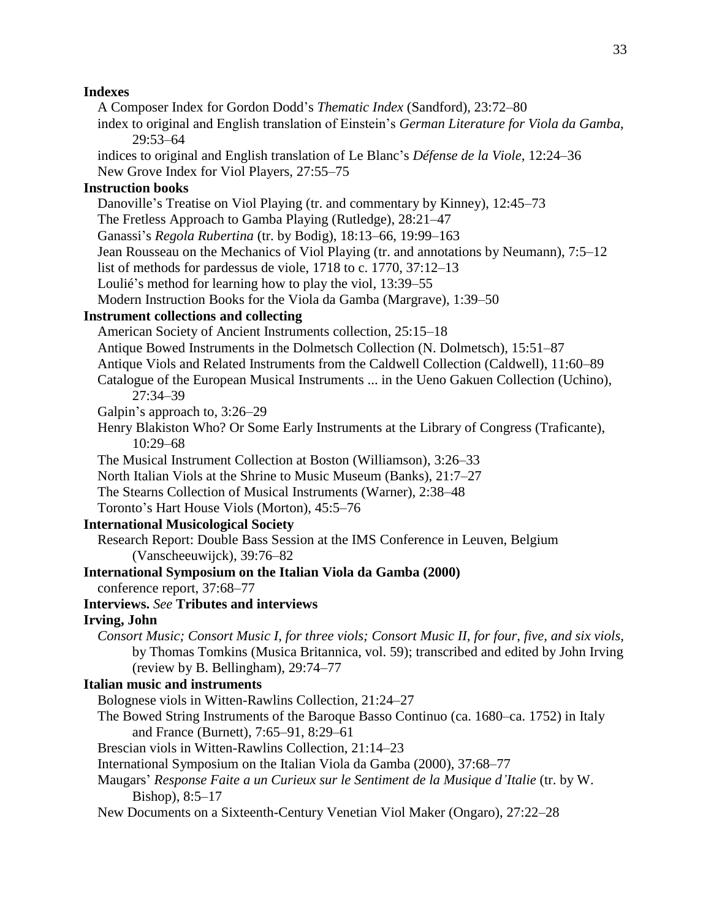## **Indexes**

A Composer Index for Gordon Dodd's *Thematic Index* (Sandford), 23:72–80 index to original and English translation of Einstein's *German Literature for Viola da Gamba*, 29:53–64 indices to original and English translation of Le Blanc's *Défense de la Viole,* 12:24–36 New Grove Index for Viol Players, 27:55–75 **Instruction books** Danoville's Treatise on Viol Playing (tr. and commentary by Kinney), 12:45–73 The Fretless Approach to Gamba Playing (Rutledge), 28:21–47 Ganassi's *Regola Rubertina* (tr. by Bodig), 18:13–66, 19:99–163 Jean Rousseau on the Mechanics of Viol Playing (tr. and annotations by Neumann), 7:5–12 list of methods for pardessus de viole, 1718 to c. 1770, 37:12–13 Loulié's method for learning how to play the viol, 13:39–55 Modern Instruction Books for the Viola da Gamba (Margrave), 1:39–50 **Instrument collections and collecting** American Society of Ancient Instruments collection, 25:15–18 Antique Bowed Instruments in the Dolmetsch Collection (N. Dolmetsch), 15:51–87 Antique Viols and Related Instruments from the Caldwell Collection (Caldwell), 11:60–89 Catalogue of the European Musical Instruments ... in the Ueno Gakuen Collection (Uchino), 27:34–39 Galpin's approach to, 3:26–29 Henry Blakiston Who? Or Some Early Instruments at the Library of Congress (Traficante), 10:29–68 The Musical Instrument Collection at Boston (Williamson), 3:26–33 North Italian Viols at the Shrine to Music Museum (Banks), 21:7–27 The Stearns Collection of Musical Instruments (Warner), 2:38–48 Toronto's Hart House Viols (Morton), 45:5–76 **International Musicological Society** Research Report: Double Bass Session at the IMS Conference in Leuven, Belgium (Vanscheeuwijck), 39:76–82 **International Symposium on the Italian Viola da Gamba (2000)** conference report, 37:68–77 **Interviews.** *See* **Tributes and interviews Irving, John** *Consort Music; Consort Music I, for three viols; Consort Music II, for four, five, and six viols,* by Thomas Tomkins (Musica Britannica, vol. 59); transcribed and edited by John Irving (review by B. Bellingham), 29:74–77 **Italian music and instruments** Bolognese viols in Witten-Rawlins Collection, 21:24–27 The Bowed String Instruments of the Baroque Basso Continuo (ca. 1680–ca. 1752) in Italy and France (Burnett), 7:65–91, 8:29–61 Brescian viols in Witten-Rawlins Collection, 21:14–23 International Symposium on the Italian Viola da Gamba (2000), 37:68–77 Maugars' *Response Faite a un Curieux sur le Sentiment de la Musique d'Italie* (tr. by W. Bishop), 8:5–17 New Documents on a Sixteenth-Century Venetian Viol Maker (Ongaro), 27:22–28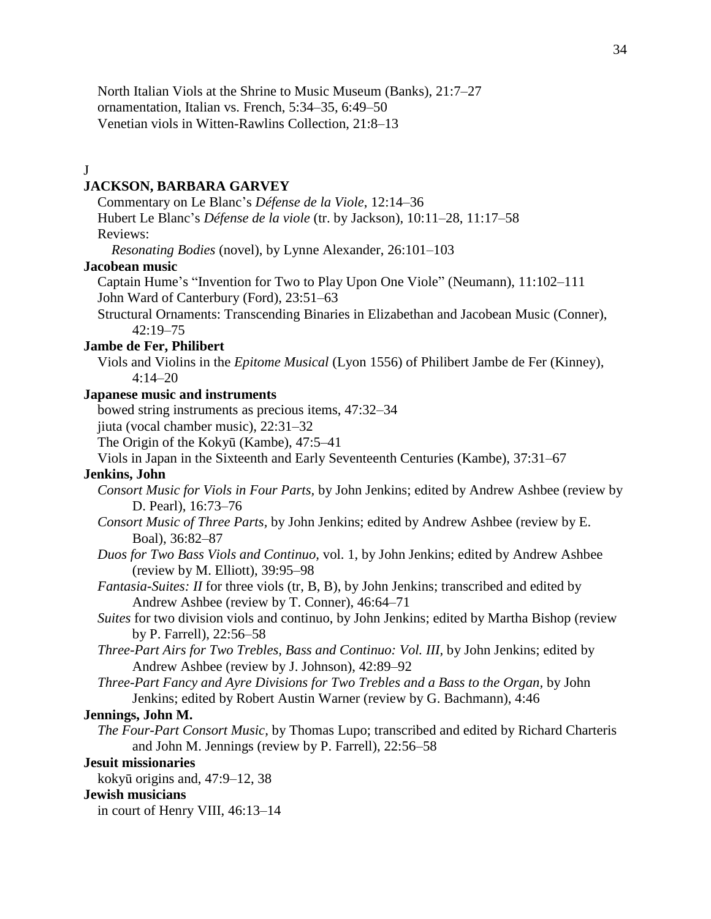North Italian Viols at the Shrine to Music Museum (Banks), 21:7–27 ornamentation, Italian vs. French, 5:34–35, 6:49–50 Venetian viols in Witten-Rawlins Collection, 21:8–13

#### J

#### **JACKSON, BARBARA GARVEY**

Commentary on Le Blanc's *Défense de la Viole*, 12:14–36 Hubert Le Blanc's *Défense de la viole* (tr. by Jackson), 10:11–28, 11:17–58 Reviews:

*Resonating Bodies* (novel), by Lynne Alexander, 26:101–103

#### **Jacobean music**

Captain Hume's "Invention for Two to Play Upon One Viole" (Neumann), 11:102–111 John Ward of Canterbury (Ford), 23:51–63

Structural Ornaments: Transcending Binaries in Elizabethan and Jacobean Music (Conner), 42:19–75

#### **Jambe de Fer, Philibert**

Viols and Violins in the *Epitome Musical* (Lyon 1556) of Philibert Jambe de Fer (Kinney), 4:14–20

#### **Japanese music and instruments**

bowed string instruments as precious items, 47:32–34

jiuta (vocal chamber music), 22:31–32

The Origin of the Kokyū (Kambe), 47:5–41

Viols in Japan in the Sixteenth and Early Seventeenth Centuries (Kambe), 37:31–67

## **Jenkins, John**

- *Consort Music for Viols in Four Parts,* by John Jenkins; edited by Andrew Ashbee (review by D. Pearl), 16:73–76
- *Consort Music of Three Parts,* by John Jenkins; edited by Andrew Ashbee (review by E. Boal), 36:82–87
- *Duos for Two Bass Viols and Continuo,* vol. 1, by John Jenkins; edited by Andrew Ashbee (review by M. Elliott), 39:95–98
- *Fantasia-Suites: II* for three viols (tr, B, B), by John Jenkins; transcribed and edited by Andrew Ashbee (review by T. Conner), 46:64–71
- *Suites* for two division viols and continuo, by John Jenkins; edited by Martha Bishop (review by P. Farrell), 22:56–58
- *Three-Part Airs for Two Trebles, Bass and Continuo: Vol. III,* by John Jenkins; edited by Andrew Ashbee (review by J. Johnson), 42:89–92
- *Three-Part Fancy and Ayre Divisions for Two Trebles and a Bass to the Organ,* by John Jenkins; edited by Robert Austin Warner (review by G. Bachmann), 4:46

## **Jennings, John M.**

*The Four-Part Consort Music,* by Thomas Lupo; transcribed and edited by Richard Charteris and John M. Jennings (review by P. Farrell), 22:56–58

#### **Jesuit missionaries**

kokyū origins and, 47:9–12, 38

#### **Jewish musicians**

in court of Henry VIII, 46:13–14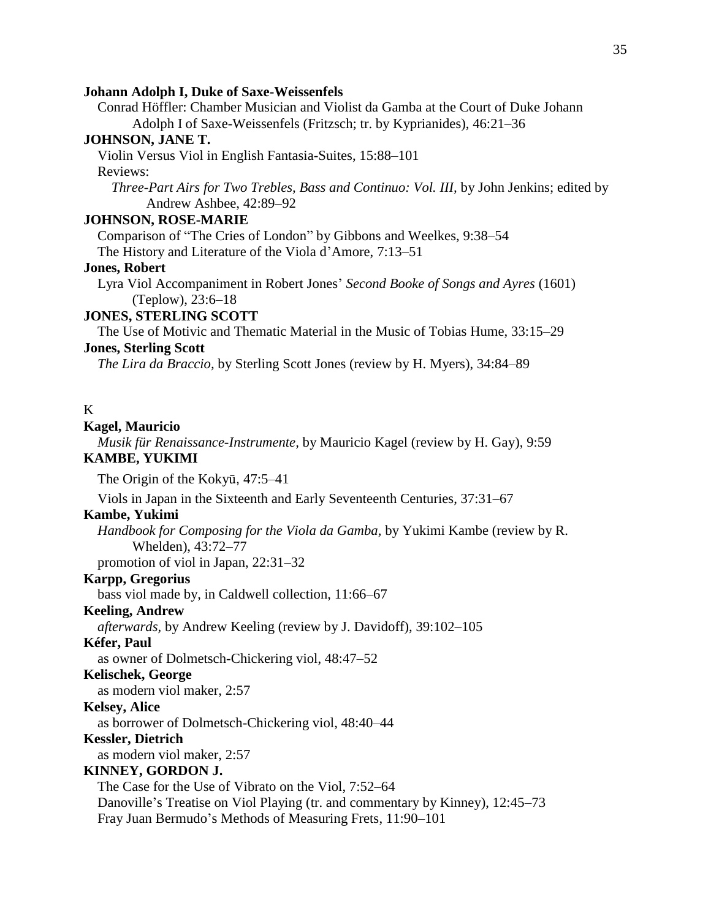#### **Johann Adolph I, Duke of Saxe-Weissenfels**

Conrad Höffler: Chamber Musician and Violist da Gamba at the Court of Duke Johann Adolph I of Saxe-Weissenfels (Fritzsch; tr. by Kyprianides), 46:21–36

## **JOHNSON, JANE T.**

Violin Versus Viol in English Fantasia-Suites, 15:88–101 Reviews:

*Three-Part Airs for Two Trebles, Bass and Continuo: Vol. III,* by John Jenkins; edited by Andrew Ashbee, 42:89–92

## **JOHNSON, ROSE-MARIE**

Comparison of "The Cries of London" by Gibbons and Weelkes, 9:38–54

The History and Literature of the Viola d'Amore, 7:13–51

## **Jones, Robert**

Lyra Viol Accompaniment in Robert Jones' *Second Booke of Songs and Ayres* (1601) (Teplow), 23:6–18

#### **JONES, STERLING SCOTT**

The Use of Motivic and Thematic Material in the Music of Tobias Hume, 33:15–29 **Jones, Sterling Scott**

*The Lira da Braccio,* by Sterling Scott Jones (review by H. Myers), 34:84–89

## K

#### **Kagel, Mauricio**

*Musik für Renaissance-Instrumente,* by Mauricio Kagel (review by H. Gay), 9:59

## **KAMBE, YUKIMI**

The Origin of the Kokyū, 47:5–41

Viols in Japan in the Sixteenth and Early Seventeenth Centuries, 37:31–67

## **Kambe, Yukimi**

*Handbook for Composing for the Viola da Gamba,* by Yukimi Kambe (review by R. Whelden), 43:72–77

promotion of viol in Japan, 22:31–32

## **Karpp, Gregorius**

bass viol made by, in Caldwell collection, 11:66–67

#### **Keeling, Andrew**

*afterwards,* by Andrew Keeling (review by J. Davidoff), 39:102–105

#### **Kéfer, Paul**

as owner of Dolmetsch-Chickering viol, 48:47–52

#### **Kelischek, George**

as modern viol maker, 2:57

## **Kelsey, Alice**

as borrower of Dolmetsch-Chickering viol, 48:40–44

#### **Kessler, Dietrich**

as modern viol maker, 2:57

#### **KINNEY, GORDON J.**

The Case for the Use of Vibrato on the Viol, 7:52–64 Danoville's Treatise on Viol Playing (tr. and commentary by Kinney), 12:45–73 Fray Juan Bermudo's Methods of Measuring Frets, 11:90–101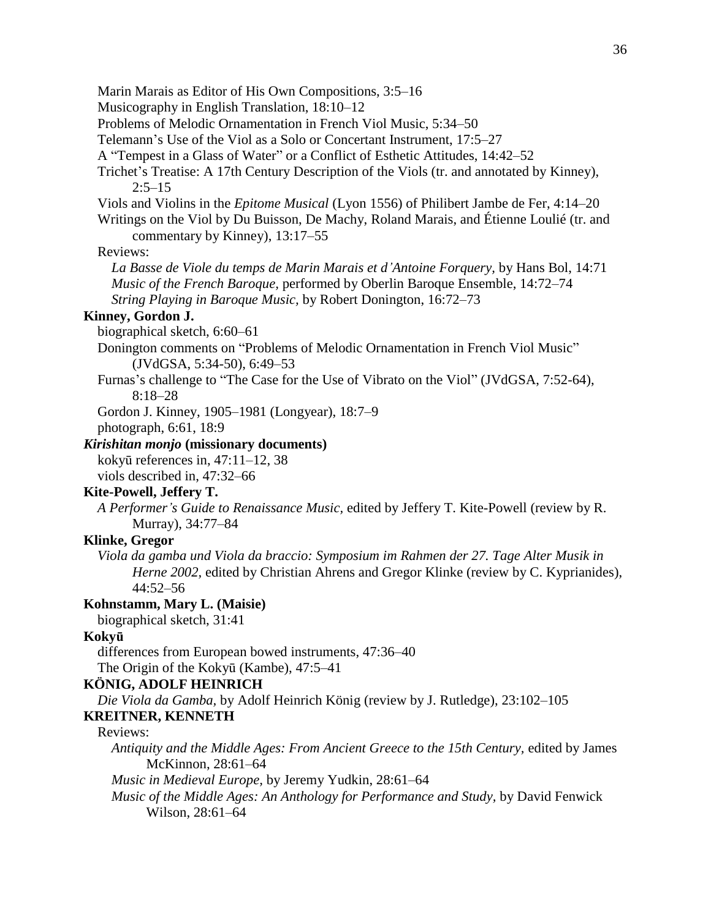Marin Marais as Editor of His Own Compositions, 3:5–16 Musicography in English Translation, 18:10–12 Problems of Melodic Ornamentation in French Viol Music, 5:34–50 Telemann's Use of the Viol as a Solo or Concertant Instrument, 17:5–27 A "Tempest in a Glass of Water" or a Conflict of Esthetic Attitudes, 14:42–52 Trichet's Treatise: A 17th Century Description of the Viols (tr. and annotated by Kinney),  $2:5-15$ Viols and Violins in the *Epitome Musical* (Lyon 1556) of Philibert Jambe de Fer, 4:14–20 Writings on the Viol by Du Buisson, De Machy, Roland Marais, and Étienne Loulié (tr. and commentary by Kinney), 13:17–55 Reviews: *La Basse de Viole du temps de Marin Marais et d'Antoine Forquery,* by Hans Bol, 14:71 *Music of the French Baroque,* performed by Oberlin Baroque Ensemble, 14:72–74 *String Playing in Baroque Music,* by Robert Donington, 16:72–73 **Kinney, Gordon J.** biographical sketch, 6:60–61 Donington comments on "Problems of Melodic Ornamentation in French Viol Music" (JVdGSA, 5:34-50), 6:49–53 Furnas's challenge to "The Case for the Use of Vibrato on the Viol" (JVdGSA, 7:52-64), 8:18–28 Gordon J. Kinney, 1905–1981 (Longyear), 18:7–9 photograph, 6:61, 18:9 *Kirishitan monjo* **(missionary documents)** kokyū references in, 47:11–12, 38 viols described in, 47:32–66 **Kite-Powell, Jeffery T.** *A Performer's Guide to Renaissance Music,* edited by Jeffery T. Kite-Powell (review by R. Murray), 34:77–84 **Klinke, Gregor** *Viola da gamba und Viola da braccio: Symposium im Rahmen der 27. Tage Alter Musik in Herne 2002*, edited by Christian Ahrens and Gregor Klinke (review by C. Kyprianides), 44:52–56 **Kohnstamm, Mary L. (Maisie)** biographical sketch, 31:41 **Kokyū** differences from European bowed instruments, 47:36–40 The Origin of the Kokyū (Kambe), 47:5–41 **KÖNIG, ADOLF HEINRICH** *Die Viola da Gamba,* by Adolf Heinrich König (review by J. Rutledge), 23:102–105

## **KREITNER, KENNETH**

## Reviews:

*Antiquity and the Middle Ages: From Ancient Greece to the 15th Century,* edited by James McKinnon, 28:61–64

*Music in Medieval Europe,* by Jeremy Yudkin, 28:61–64

*Music of the Middle Ages: An Anthology for Performance and Study,* by David Fenwick Wilson, 28:61–64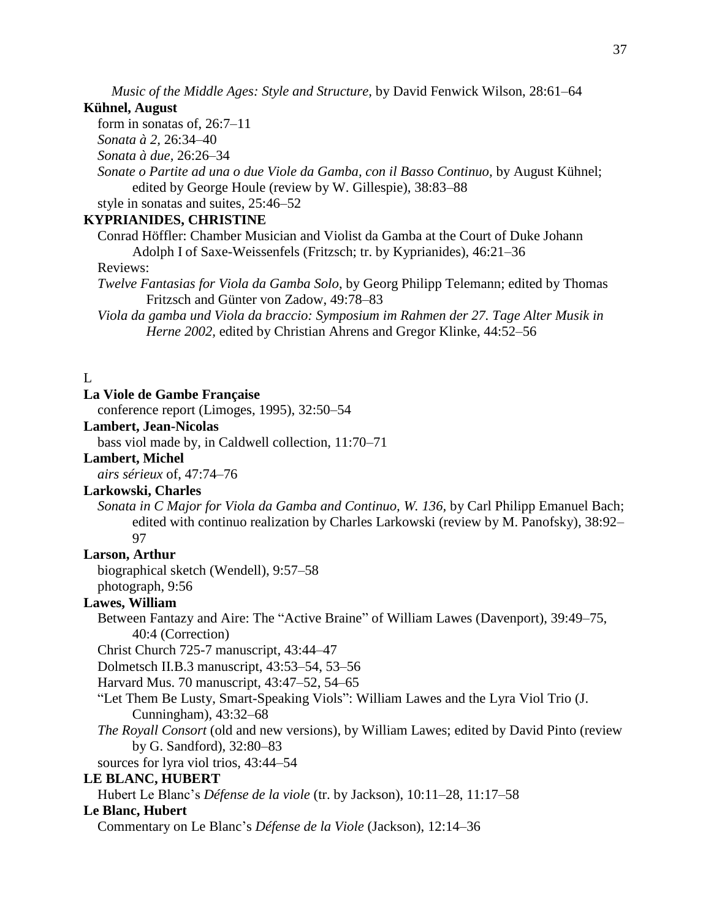*Music of the Middle Ages: Style and Structure,* by David Fenwick Wilson, 28:61–64

#### **Kühnel, August**

form in sonatas of, 26:7–11

*Sonata à 2,* 26:34–40

*Sonata à due,* 26:26–34

*Sonate o Partite ad una o due Viole da Gamba, con il Basso Continuo,* by August Kühnel; edited by George Houle (review by W. Gillespie), 38:83–88

style in sonatas and suites, 25:46–52

# **KYPRIANIDES, CHRISTINE**

Conrad Höffler: Chamber Musician and Violist da Gamba at the Court of Duke Johann Adolph I of Saxe-Weissenfels (Fritzsch; tr. by Kyprianides), 46:21–36

Reviews:

- *Twelve Fantasias for Viola da Gamba Solo*, by Georg Philipp Telemann; edited by Thomas Fritzsch and Günter von Zadow, 49:78–83
- *Viola da gamba und Viola da braccio: Symposium im Rahmen der 27. Tage Alter Musik in Herne 2002,* edited by Christian Ahrens and Gregor Klinke, 44:52–56

# L

#### **La Viole de Gambe Française**

conference report (Limoges, 1995), 32:50–54

# **Lambert, Jean-Nicolas**

bass viol made by, in Caldwell collection, 11:70–71

## **Lambert, Michel**

*airs sérieux* of, 47:74–76

# **Larkowski, Charles**

*Sonata in C Major for Viola da Gamba and Continuo, W. 136,* by Carl Philipp Emanuel Bach; edited with continuo realization by Charles Larkowski (review by M. Panofsky), 38:92– 97

# **Larson, Arthur**

biographical sketch (Wendell), 9:57–58 photograph, 9:56

#### **Lawes, William**

Between Fantazy and Aire: The "Active Braine" of William Lawes (Davenport), 39:49–75, 40:4 (Correction)

Christ Church 725-7 manuscript, 43:44–47

Dolmetsch II.B.3 manuscript, 43:53–54, 53–56

Harvard Mus. 70 manuscript, 43:47–52, 54–65

"Let Them Be Lusty, Smart-Speaking Viols": William Lawes and the Lyra Viol Trio (J. Cunningham), 43:32–68

*The Royall Consort* (old and new versions), by William Lawes; edited by David Pinto (review by G. Sandford), 32:80–83

sources for lyra viol trios, 43:44–54

# **LE BLANC, HUBERT**

Hubert Le Blanc's *Défense de la viole* (tr. by Jackson), 10:11–28, 11:17–58

# **Le Blanc, Hubert**

Commentary on Le Blanc's *Défense de la Viole* (Jackson), 12:14–36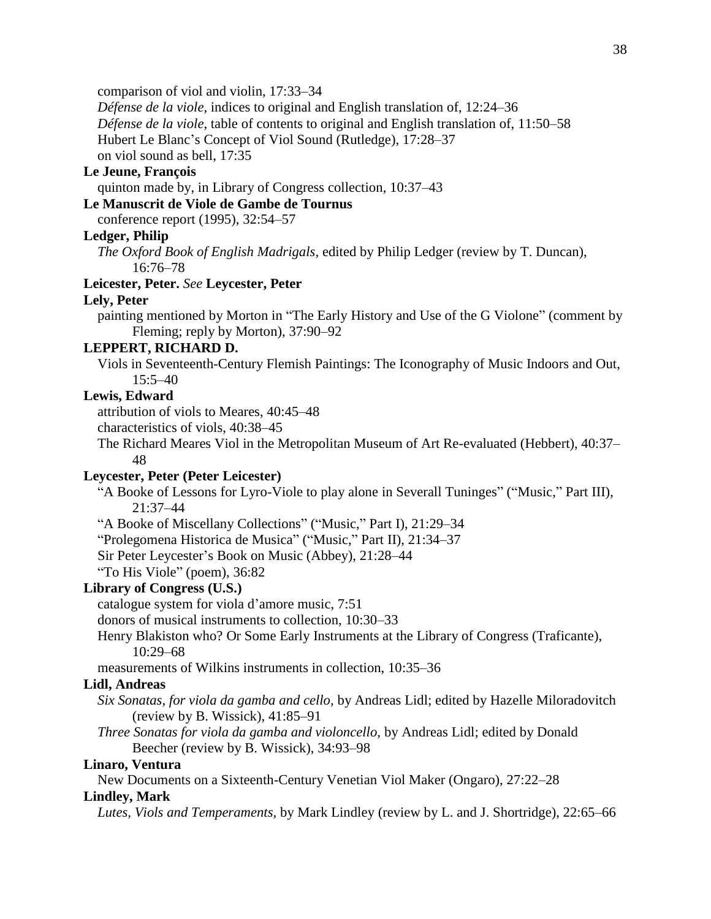comparison of viol and violin, 17:33–34

*Défense de la viole*, indices to original and English translation of, 12:24–36

*Défense de la viole*, table of contents to original and English translation of, 11:50–58

Hubert Le Blanc's Concept of Viol Sound (Rutledge), 17:28–37

on viol sound as bell, 17:35

# **Le Jeune, François**

quinton made by, in Library of Congress collection, 10:37–43

# **Le Manuscrit de Viole de Gambe de Tournus**

conference report (1995), 32:54–57

# **Ledger, Philip**

*The Oxford Book of English Madrigals,* edited by Philip Ledger (review by T. Duncan), 16:76–78

## **Leicester, Peter.** *See* **Leycester, Peter**

#### **Lely, Peter**

painting mentioned by Morton in "The Early History and Use of the G Violone" (comment by Fleming; reply by Morton), 37:90–92

## **LEPPERT, RICHARD D.**

Viols in Seventeenth-Century Flemish Paintings: The Iconography of Music Indoors and Out, 15:5–40

# **Lewis, Edward**

attribution of viols to Meares, 40:45–48

characteristics of viols, 40:38–45

The Richard Meares Viol in the Metropolitan Museum of Art Re-evaluated (Hebbert), 40:37– 48

# **Leycester, Peter (Peter Leicester)**

"A Booke of Lessons for Lyro-Viole to play alone in Severall Tuninges" ("Music," Part III), 21:37–44

"A Booke of Miscellany Collections" ("Music," Part I), 21:29–34

"Prolegomena Historica de Musica" ("Music," Part II), 21:34–37

Sir Peter Leycester's Book on Music (Abbey), 21:28–44

"To His Viole" (poem), 36:82

# **Library of Congress (U.S.)**

catalogue system for viola d'amore music, 7:51

donors of musical instruments to collection, 10:30–33

Henry Blakiston who? Or Some Early Instruments at the Library of Congress (Traficante), 10:29–68

measurements of Wilkins instruments in collection, 10:35–36

# **Lidl, Andreas**

- *Six Sonatas, for viola da gamba and cello,* by Andreas Lidl; edited by Hazelle Miloradovitch (review by B. Wissick), 41:85–91
- *Three Sonatas for viola da gamba and violoncello,* by Andreas Lidl; edited by Donald Beecher (review by B. Wissick), 34:93–98

#### **Linaro, Ventura**

New Documents on a Sixteenth-Century Venetian Viol Maker (Ongaro), 27:22–28

# **Lindley, Mark**

*Lutes, Viols and Temperaments,* by Mark Lindley (review by L. and J. Shortridge), 22:65–66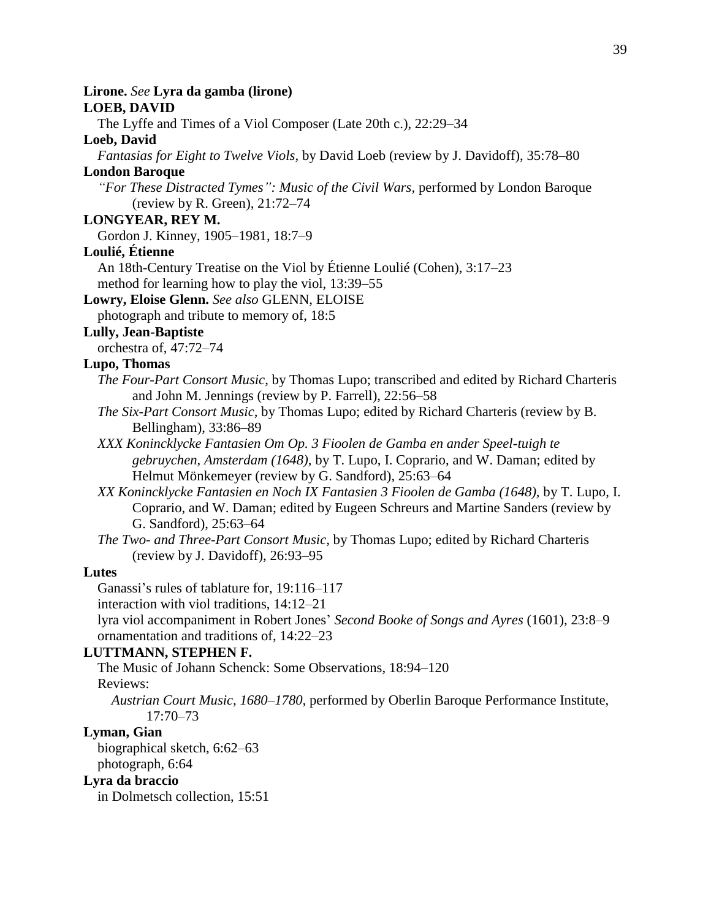## **Lirone.** *See* **Lyra da gamba (lirone)**

## **LOEB, DAVID**

The Lyffe and Times of a Viol Composer (Late 20th c.), 22:29–34

# **Loeb, David**

*Fantasias for Eight to Twelve Viols,* by David Loeb (review by J. Davidoff), 35:78–80

# **London Baroque**

*"For These Distracted Tymes": Music of the Civil Wars,* performed by London Baroque (review by R. Green), 21:72–74

# **LONGYEAR, REY M.**

Gordon J. Kinney, 1905–1981, 18:7–9

## **Loulié, Étienne**

An 18th-Century Treatise on the Viol by Étienne Loulié (Cohen), 3:17–23 method for learning how to play the viol, 13:39–55

# **Lowry, Eloise Glenn.** *See also* GLENN, ELOISE

photograph and tribute to memory of, 18:5

# **Lully, Jean-Baptiste**

orchestra of, 47:72–74

# **Lupo, Thomas**

- *The Four-Part Consort Music,* by Thomas Lupo; transcribed and edited by Richard Charteris and John M. Jennings (review by P. Farrell), 22:56–58
- *The Six-Part Consort Music,* by Thomas Lupo; edited by Richard Charteris (review by B. Bellingham), 33:86–89
- *XXX Konincklycke Fantasien Om Op. 3 Fioolen de Gamba en ander Speel-tuigh te gebruychen, Amsterdam (1648),* by T. Lupo, I. Coprario, and W. Daman; edited by Helmut Mönkemeyer (review by G. Sandford), 25:63–64
- *XX Konincklycke Fantasien en Noch IX Fantasien 3 Fioolen de Gamba (1648),* by T. Lupo, I. Coprario, and W. Daman; edited by Eugeen Schreurs and Martine Sanders (review by G. Sandford), 25:63–64
- *The Two- and Three-Part Consort Music,* by Thomas Lupo; edited by Richard Charteris (review by J. Davidoff), 26:93–95

## **Lutes**

Ganassi's rules of tablature for, 19:116–117

interaction with viol traditions, 14:12–21

lyra viol accompaniment in Robert Jones' *Second Booke of Songs and Ayres* (1601), 23:8–9 ornamentation and traditions of, 14:22–23

## **LUTTMANN, STEPHEN F.**

The Music of Johann Schenck: Some Observations, 18:94–120 Reviews:

*Austrian Court Music, 1680–1780,* performed by Oberlin Baroque Performance Institute, 17:70–73

## **Lyman, Gian**

biographical sketch, 6:62–63 photograph, 6:64

#### **Lyra da braccio**

in Dolmetsch collection, 15:51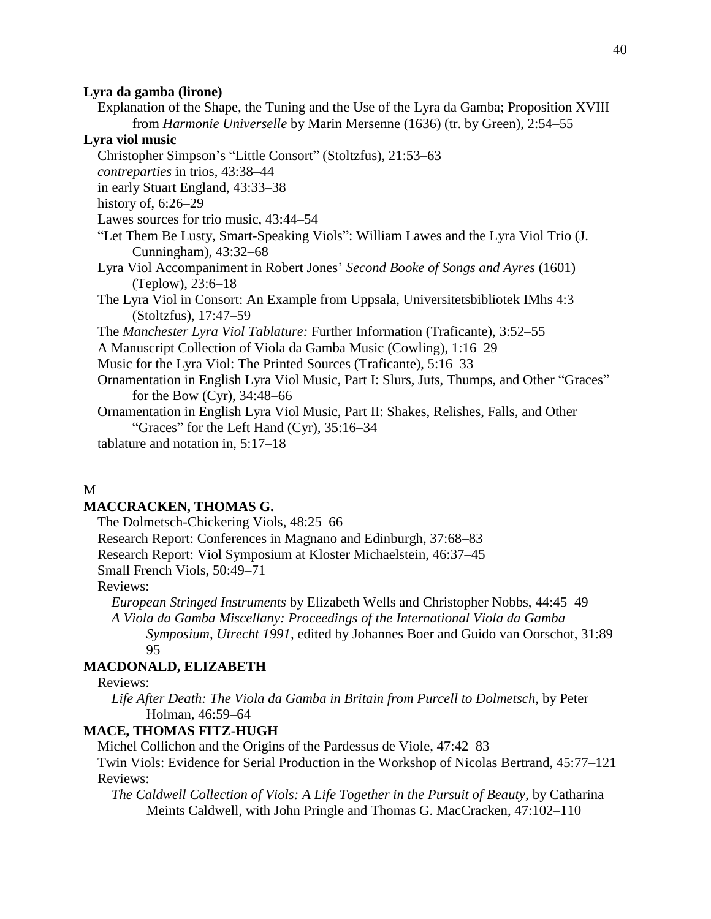#### **Lyra da gamba (lirone)**

Explanation of the Shape, the Tuning and the Use of the Lyra da Gamba; Proposition XVIII from *Harmonie Universelle* by Marin Mersenne (1636) (tr. by Green), 2:54–55

# **Lyra viol music**

Christopher Simpson's "Little Consort" (Stoltzfus), 21:53–63 *contreparties* in trios, 43:38–44 in early Stuart England, 43:33–38 history of, 6:26–29 Lawes sources for trio music, 43:44–54 "Let Them Be Lusty, Smart-Speaking Viols": William Lawes and the Lyra Viol Trio (J. Cunningham), 43:32–68 Lyra Viol Accompaniment in Robert Jones' *Second Booke of Songs and Ayres* (1601) (Teplow), 23:6–18 The Lyra Viol in Consort: An Example from Uppsala, Universitetsbibliotek IMhs 4:3 (Stoltzfus), 17:47–59 The *Manchester Lyra Viol Tablature:* Further Information (Traficante), 3:52–55 A Manuscript Collection of Viola da Gamba Music (Cowling), 1:16–29 Music for the Lyra Viol: The Printed Sources (Traficante), 5:16–33 Ornamentation in English Lyra Viol Music, Part I: Slurs, Juts, Thumps, and Other "Graces" for the Bow (Cyr), 34:48–66 Ornamentation in English Lyra Viol Music, Part II: Shakes, Relishes, Falls, and Other "Graces" for the Left Hand (Cyr), 35:16–34 tablature and notation in, 5:17–18

#### M

#### **MACCRACKEN, THOMAS G.**

The Dolmetsch-Chickering Viols, 48:25–66

Research Report: Conferences in Magnano and Edinburgh, 37:68–83

Research Report: Viol Symposium at Kloster Michaelstein, 46:37–45

Small French Viols, 50:49–71

Reviews:

*European Stringed Instruments* by Elizabeth Wells and Christopher Nobbs, 44:45–49

*A Viola da Gamba Miscellany: Proceedings of the International Viola da Gamba Symposium, Utrecht 1991,* edited by Johannes Boer and Guido van Oorschot, 31:89– 95

# **MACDONALD, ELIZABETH**

Reviews:

*Life After Death: The Viola da Gamba in Britain from Purcell to Dolmetsch,* by Peter Holman, 46:59–64

## **MACE, THOMAS FITZ-HUGH**

Michel Collichon and the Origins of the Pardessus de Viole, 47:42–83

Twin Viols: Evidence for Serial Production in the Workshop of Nicolas Bertrand, 45:77–121 Reviews:

*The Caldwell Collection of Viols: A Life Together in the Pursuit of Beauty,* by Catharina Meints Caldwell, with John Pringle and Thomas G. MacCracken, 47:102–110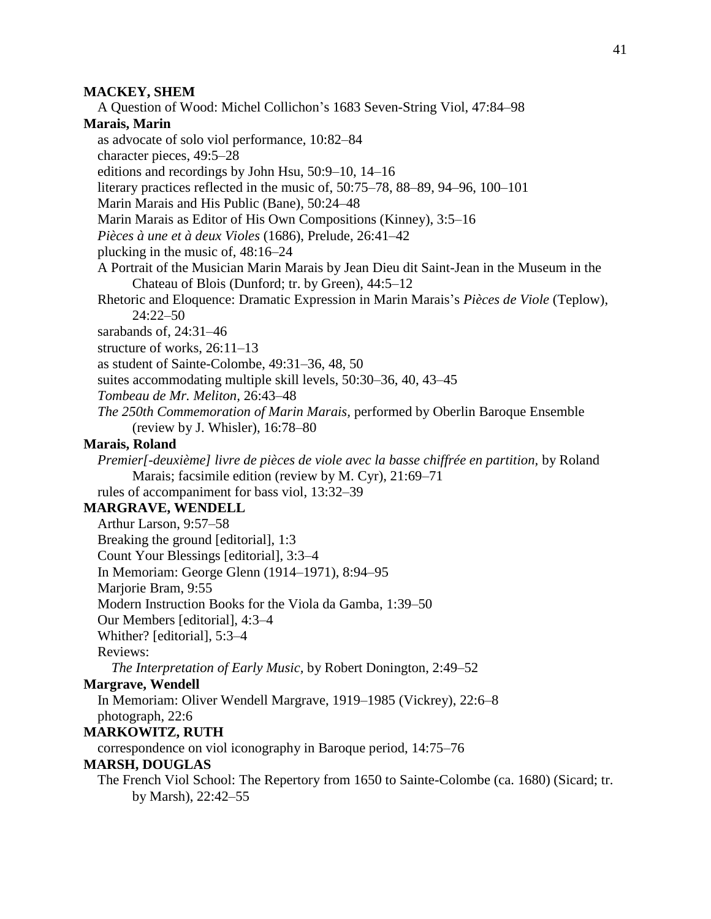#### **MACKEY, SHEM**

A Question of Wood: Michel Collichon's 1683 Seven-String Viol, 47:84–98

# **Marais, Marin**

as advocate of solo viol performance, 10:82–84

character pieces, 49:5–28

editions and recordings by John Hsu, 50:9–10, 14–16

literary practices reflected in the music of, 50:75–78, 88–89, 94–96, 100–101

Marin Marais and His Public (Bane), 50:24–48

Marin Marais as Editor of His Own Compositions (Kinney), 3:5–16

*Pièces à une et à deux Violes* (1686), Prelude, 26:41–42

plucking in the music of, 48:16–24

A Portrait of the Musician Marin Marais by Jean Dieu dit Saint-Jean in the Museum in the Chateau of Blois (Dunford; tr. by Green), 44:5–12

Rhetoric and Eloquence: Dramatic Expression in Marin Marais's *Pièces de Viole* (Teplow), 24:22–50

sarabands of, 24:31–46

structure of works, 26:11–13

as student of Sainte-Colombe, 49:31–36, 48, 50

suites accommodating multiple skill levels, 50:30–36, 40, 43–45

*Tombeau de Mr. Meliton,* 26:43–48

*The 250th Commemoration of Marin Marais,* performed by Oberlin Baroque Ensemble (review by J. Whisler), 16:78–80

# **Marais, Roland**

*Premier[-deuxième] livre de pièces de viole avec la basse chiffrée en partition,* by Roland Marais; facsimile edition (review by M. Cyr), 21:69–71

rules of accompaniment for bass viol, 13:32–39

# **MARGRAVE, WENDELL**

Arthur Larson, 9:57–58

Breaking the ground [editorial], 1:3

Count Your Blessings [editorial], 3:3–4

In Memoriam: George Glenn (1914–1971), 8:94–95

Marjorie Bram, 9:55

Modern Instruction Books for the Viola da Gamba, 1:39–50

Our Members [editorial], 4:3–4

Whither? [editorial], 5:3–4

Reviews:

*The Interpretation of Early Music,* by Robert Donington, 2:49–52

## **Margrave, Wendell**

In Memoriam: Oliver Wendell Margrave, 1919–1985 (Vickrey), 22:6–8 photograph, 22:6

#### **MARKOWITZ, RUTH**

correspondence on viol iconography in Baroque period, 14:75–76

## **MARSH, DOUGLAS**

The French Viol School: The Repertory from 1650 to Sainte-Colombe (ca. 1680) (Sicard; tr. by Marsh), 22:42–55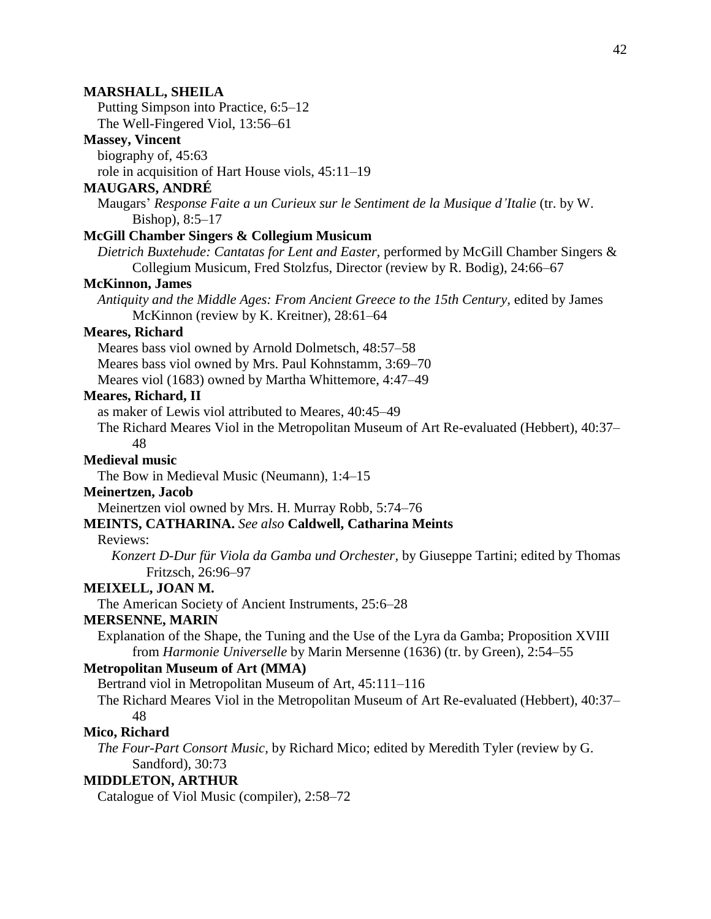# **MARSHALL, SHEILA** Putting Simpson into Practice, 6:5–12 The Well-Fingered Viol, 13:56–61 **Massey, Vincent** biography of, 45:63 role in acquisition of Hart House viols, 45:11–19 **MAUGARS, ANDRÉ** Maugars' *Response Faite a un Curieux sur le Sentiment de la Musique d'Italie* (tr. by W. Bishop), 8:5–17 **McGill Chamber Singers & Collegium Musicum** *Dietrich Buxtehude: Cantatas for Lent and Easter,* performed by McGill Chamber Singers & Collegium Musicum, Fred Stolzfus, Director (review by R. Bodig), 24:66–67 **McKinnon, James** *Antiquity and the Middle Ages: From Ancient Greece to the 15th Century,* edited by James McKinnon (review by K. Kreitner), 28:61–64 **Meares, Richard** Meares bass viol owned by Arnold Dolmetsch, 48:57–58 Meares bass viol owned by Mrs. Paul Kohnstamm, 3:69–70 Meares viol (1683) owned by Martha Whittemore, 4:47–49 **Meares, Richard, II** as maker of Lewis viol attributed to Meares, 40:45–49 The Richard Meares Viol in the Metropolitan Museum of Art Re-evaluated (Hebbert), 40:37– 48 **Medieval music** The Bow in Medieval Music (Neumann), 1:4–15 **Meinertzen, Jacob** Meinertzen viol owned by Mrs. H. Murray Robb, 5:74–76 **MEINTS, CATHARINA.** *See also* **Caldwell, Catharina Meints** Reviews: *Konzert D-Dur für Viola da Gamba und Orchester,* by Giuseppe Tartini; edited by Thomas Fritzsch, 26:96–97 **MEIXELL, JOAN M.** The American Society of Ancient Instruments, 25:6–28 **MERSENNE, MARIN** Explanation of the Shape, the Tuning and the Use of the Lyra da Gamba; Proposition XVIII from *Harmonie Universelle* by Marin Mersenne (1636) (tr. by Green), 2:54–55 **Metropolitan Museum of Art (MMA)** Bertrand viol in Metropolitan Museum of Art, 45:111–116 The Richard Meares Viol in the Metropolitan Museum of Art Re-evaluated (Hebbert), 40:37– 48 **Mico, Richard** *The Four-Part Consort Music,* by Richard Mico; edited by Meredith Tyler (review by G. Sandford), 30:73 **MIDDLETON, ARTHUR** Catalogue of Viol Music (compiler), 2:58–72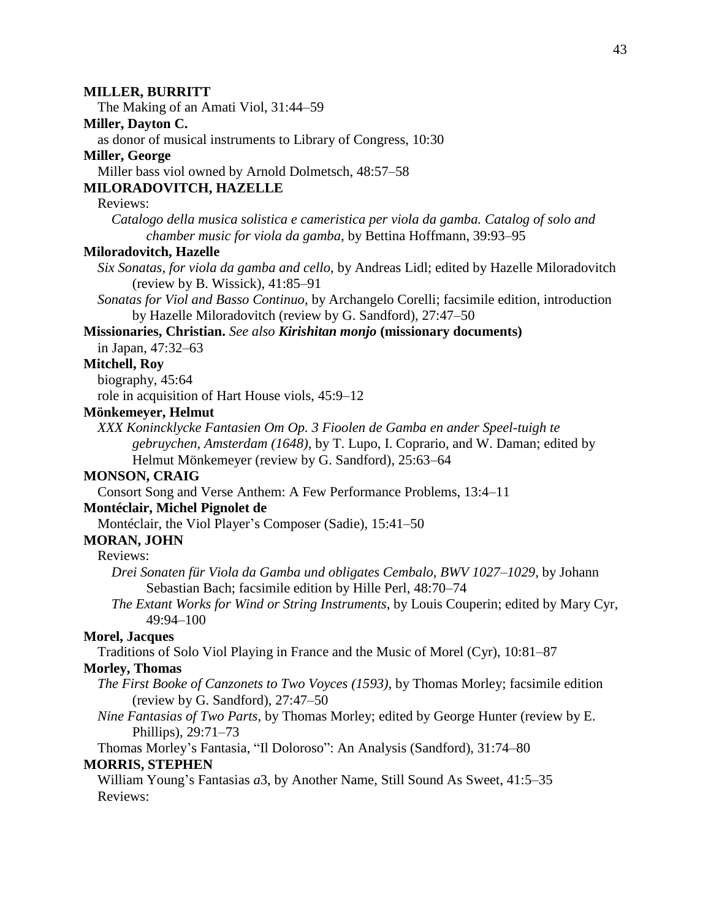# **MILLER, BURRITT** The Making of an Amati Viol, 31:44–59 **Miller, Dayton C.** as donor of musical instruments to Library of Congress, 10:30 **Miller, George** Miller bass viol owned by Arnold Dolmetsch, 48:57–58 **MILORADOVITCH, HAZELLE** Reviews: *Catalogo della musica solistica e cameristica per viola da gamba. Catalog of solo and chamber music for viola da gamba,* by Bettina Hoffmann, 39:93–95 **Miloradovitch, Hazelle** *Six Sonatas, for viola da gamba and cello,* by Andreas Lidl; edited by Hazelle Miloradovitch (review by B. Wissick), 41:85–91 *Sonatas for Viol and Basso Continuo,* by Archangelo Corelli; facsimile edition, introduction by Hazelle Miloradovitch (review by G. Sandford), 27:47–50 **Missionaries, Christian.** *See also Kirishitan monjo* **(missionary documents)** in Japan, 47:32–63 **Mitchell, Roy** biography, 45:64 role in acquisition of Hart House viols, 45:9–12 **Mönkemeyer, Helmut** *XXX Konincklycke Fantasien Om Op. 3 Fioolen de Gamba en ander Speel-tuigh te gebruychen, Amsterdam (1648),* by T. Lupo, I. Coprario, and W. Daman; edited by Helmut Mönkemeyer (review by G. Sandford), 25:63–64 **MONSON, CRAIG** Consort Song and Verse Anthem: A Few Performance Problems, 13:4–11 **Montéclair, Michel Pignolet de** Montéclair, the Viol Player's Composer (Sadie), 15:41–50 **MORAN, JOHN** Reviews: *Drei Sonaten für Viola da Gamba und obligates Cembalo, BWV 1027–1029,* by Johann Sebastian Bach; facsimile edition by Hille Perl, 48:70–74 *The Extant Works for Wind or String Instruments*, by Louis Couperin; edited by Mary Cyr, 49:94–100 **Morel, Jacques** Traditions of Solo Viol Playing in France and the Music of Morel (Cyr), 10:81–87 **Morley, Thomas** *The First Booke of Canzonets to Two Voyces (1593),* by Thomas Morley; facsimile edition (review by G. Sandford), 27:47–50 *Nine Fantasias of Two Parts,* by Thomas Morley; edited by George Hunter (review by E. Phillips), 29:71–73 Thomas Morley's Fantasia, "Il Doloroso": An Analysis (Sandford), 31:74–80 **MORRIS, STEPHEN** William Young's Fantasias *a*3, by Another Name, Still Sound As Sweet, 41:5–35 Reviews: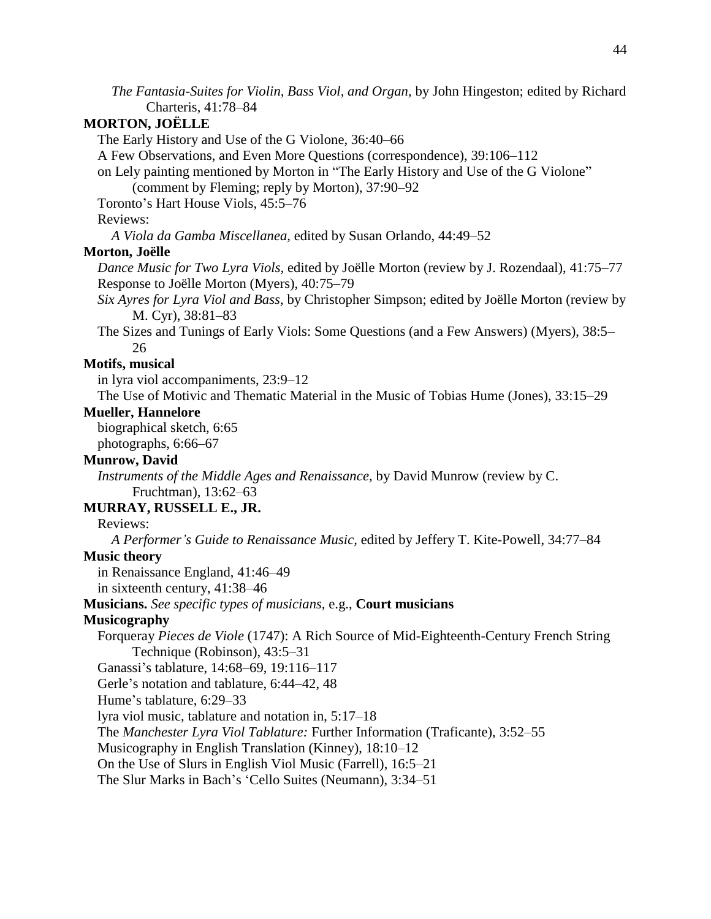*The Fantasia-Suites for Violin, Bass Viol, and Organ,* by John Hingeston; edited by Richard Charteris, 41:78–84

# **MORTON, JOËLLE**

The Early History and Use of the G Violone, 36:40–66

A Few Observations, and Even More Questions (correspondence), 39:106–112

on Lely painting mentioned by Morton in "The Early History and Use of the G Violone" (comment by Fleming; reply by Morton), 37:90–92

Toronto's Hart House Viols, 45:5–76

## Reviews:

*A Viola da Gamba Miscellanea,* edited by Susan Orlando, 44:49–52

#### **Morton, Joëlle**

*Dance Music for Two Lyra Viols,* edited by Joëlle Morton (review by J. Rozendaal), 41:75–77 Response to Joëlle Morton (Myers), 40:75–79

*Six Ayres for Lyra Viol and Bass,* by Christopher Simpson; edited by Joëlle Morton (review by M. Cyr), 38:81–83

The Sizes and Tunings of Early Viols: Some Questions (and a Few Answers) (Myers), 38:5– 26

# **Motifs, musical**

in lyra viol accompaniments, 23:9–12

The Use of Motivic and Thematic Material in the Music of Tobias Hume (Jones), 33:15–29

## **Mueller, Hannelore**

biographical sketch, 6:65

photographs, 6:66–67

# **Munrow, David**

*Instruments of the Middle Ages and Renaissance,* by David Munrow (review by C. Fruchtman), 13:62–63

## **MURRAY, RUSSELL E., JR.**

# Reviews:

*A Performer's Guide to Renaissance Music,* edited by Jeffery T. Kite-Powell, 34:77–84

# **Music theory**

in Renaissance England, 41:46–49

in sixteenth century, 41:38–46

# **Musicians.** *See specific types of musicians,* e.g., **Court musicians**

## **Musicography**

Forqueray *Pieces de Viole* (1747): A Rich Source of Mid-Eighteenth-Century French String Technique (Robinson), 43:5–31

Ganassi's tablature, 14:68–69, 19:116–117

Gerle's notation and tablature, 6:44–42, 48

Hume's tablature, 6:29–33

lyra viol music, tablature and notation in, 5:17–18

The *Manchester Lyra Viol Tablature:* Further Information (Traficante), 3:52–55

Musicography in English Translation (Kinney), 18:10–12

On the Use of Slurs in English Viol Music (Farrell), 16:5–21

The Slur Marks in Bach's 'Cello Suites (Neumann), 3:34–51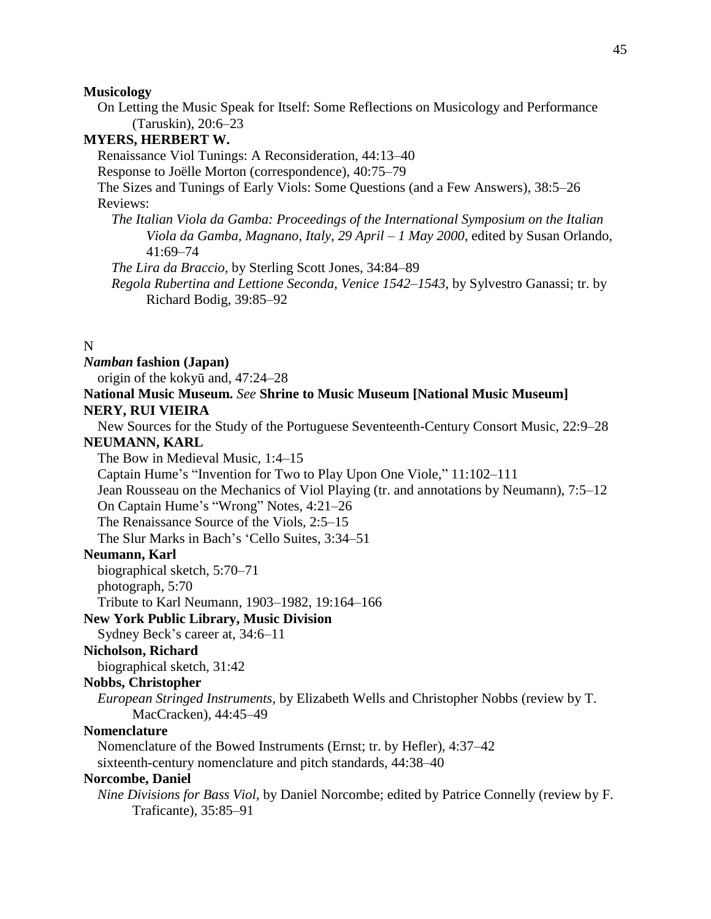#### **Musicology**

On Letting the Music Speak for Itself: Some Reflections on Musicology and Performance (Taruskin), 20:6–23

# **MYERS, HERBERT W.**

Renaissance Viol Tunings: A Reconsideration, 44:13–40

Response to Joëlle Morton (correspondence), 40:75–79

The Sizes and Tunings of Early Viols: Some Questions (and a Few Answers), 38:5–26 Reviews:

*The Italian Viola da Gamba: Proceedings of the International Symposium on the Italian Viola da Gamba, Magnano, Italy, 29 April – 1 May 2000,* edited by Susan Orlando, 41:69–74

*The Lira da Braccio,* by Sterling Scott Jones, 34:84–89

*Regola Rubertina and Lettione Seconda, Venice 1542–1543,* by Sylvestro Ganassi; tr. by Richard Bodig, 39:85–92

# N

*Namban* **fashion (Japan)**

origin of the kokyū and, 47:24–28

# **National Music Museum.** *See* **Shrine to Music Museum [National Music Museum] NERY, RUI VIEIRA**

New Sources for the Study of the Portuguese Seventeenth-Century Consort Music, 22:9–28

# **NEUMANN, KARL**

The Bow in Medieval Music, 1:4–15

Captain Hume's "Invention for Two to Play Upon One Viole," 11:102–111

Jean Rousseau on the Mechanics of Viol Playing (tr. and annotations by Neumann), 7:5–12

On Captain Hume's "Wrong" Notes, 4:21–26

The Renaissance Source of the Viols, 2:5–15

The Slur Marks in Bach's 'Cello Suites, 3:34–51

# **Neumann, Karl**

biographical sketch, 5:70–71

photograph, 5:70

Tribute to Karl Neumann, 1903–1982, 19:164–166

#### **New York Public Library, Music Division**

Sydney Beck's career at, 34:6–11

# **Nicholson, Richard**

biographical sketch, 31:42

## **Nobbs, Christopher**

*European Stringed Instruments,* by Elizabeth Wells and Christopher Nobbs (review by T. MacCracken), 44:45–49

#### **Nomenclature**

Nomenclature of the Bowed Instruments (Ernst; tr. by Hefler), 4:37–42

sixteenth-century nomenclature and pitch standards, 44:38–40

## **Norcombe, Daniel**

*Nine Divisions for Bass Viol,* by Daniel Norcombe; edited by Patrice Connelly (review by F. Traficante), 35:85–91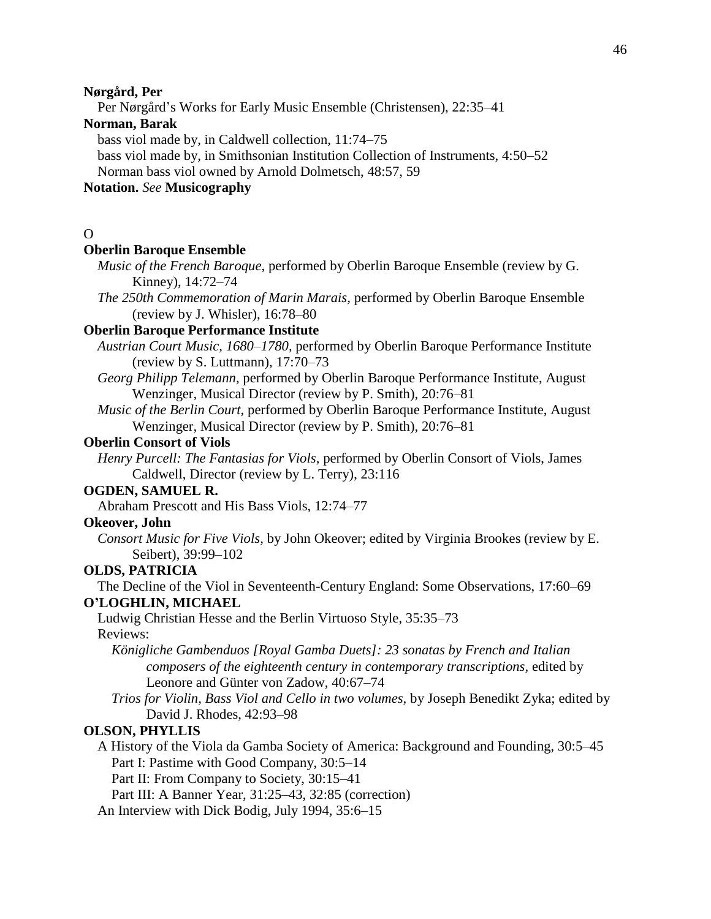#### **Nørgård, Per**

Per Nørgård's Works for Early Music Ensemble (Christensen), 22:35–41

# **Norman, Barak**

bass viol made by, in Caldwell collection, 11:74–75

bass viol made by, in Smithsonian Institution Collection of Instruments, 4:50–52 Norman bass viol owned by Arnold Dolmetsch, 48:57, 59

# **Notation.** *See* **Musicography**

# $\Omega$

# **Oberlin Baroque Ensemble**

- *Music of the French Baroque,* performed by Oberlin Baroque Ensemble (review by G. Kinney), 14:72–74
- *The 250th Commemoration of Marin Marais,* performed by Oberlin Baroque Ensemble (review by J. Whisler), 16:78–80

# **Oberlin Baroque Performance Institute**

- *Austrian Court Music, 1680–1780,* performed by Oberlin Baroque Performance Institute (review by S. Luttmann), 17:70–73
- *Georg Philipp Telemann,* performed by Oberlin Baroque Performance Institute, August Wenzinger, Musical Director (review by P. Smith), 20:76–81
- *Music of the Berlin Court,* performed by Oberlin Baroque Performance Institute, August Wenzinger, Musical Director (review by P. Smith), 20:76–81

#### **Oberlin Consort of Viols**

*Henry Purcell: The Fantasias for Viols,* performed by Oberlin Consort of Viols, James Caldwell, Director (review by L. Terry), 23:116

## **OGDEN, SAMUEL R.**

Abraham Prescott and His Bass Viols, 12:74–77

# **Okeover, John**

*Consort Music for Five Viols,* by John Okeover; edited by Virginia Brookes (review by E. Seibert), 39:99–102

## **OLDS, PATRICIA**

The Decline of the Viol in Seventeenth-Century England: Some Observations, 17:60–69 **O'LOGHLIN, MICHAEL**

Ludwig Christian Hesse and the Berlin Virtuoso Style, 35:35–73 Reviews:

*Königliche Gambenduos [Royal Gamba Duets]: 23 sonatas by French and Italian composers of the eighteenth century in contemporary transcriptions,* edited by Leonore and Günter von Zadow, 40:67–74

*Trios for Violin, Bass Viol and Cello in two volumes,* by Joseph Benedikt Zyka; edited by David J. Rhodes, 42:93–98

## **OLSON, PHYLLIS**

A History of the Viola da Gamba Society of America: Background and Founding, 30:5–45 Part I: Pastime with Good Company, 30:5–14

Part II: From Company to Society, 30:15–41

Part III: A Banner Year, 31:25–43, 32:85 (correction)

An Interview with Dick Bodig, July 1994, 35:6–15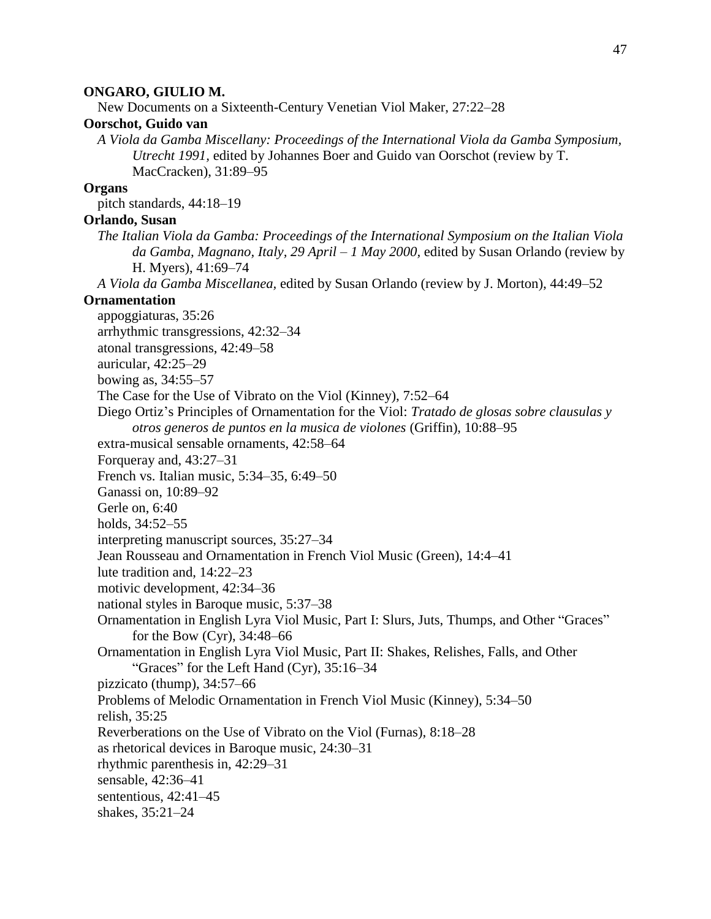## 47

#### **ONGARO, GIULIO M.**

New Documents on a Sixteenth-Century Venetian Viol Maker, 27:22–28

# **Oorschot, Guido van**

*A Viola da Gamba Miscellany: Proceedings of the International Viola da Gamba Symposium, Utrecht 1991,* edited by Johannes Boer and Guido van Oorschot (review by T. MacCracken), 31:89–95

# **Organs**

pitch standards, 44:18–19

# **Orlando, Susan**

*The Italian Viola da Gamba: Proceedings of the International Symposium on the Italian Viola da Gamba, Magnano, Italy, 29 April – 1 May 2000,* edited by Susan Orlando (review by H. Myers), 41:69–74

*A Viola da Gamba Miscellanea,* edited by Susan Orlando (review by J. Morton), 44:49–52

## **Ornamentation**

appoggiaturas, 35:26 arrhythmic transgressions, 42:32–34 atonal transgressions, 42:49–58 auricular, 42:25–29 bowing as, 34:55–57 The Case for the Use of Vibrato on the Viol (Kinney), 7:52–64 Diego Ortiz's Principles of Ornamentation for the Viol: *Tratado de glosas sobre clausulas y otros generos de puntos en la musica de violones* (Griffin), 10:88–95 extra-musical sensable ornaments, 42:58–64 Forqueray and, 43:27–31 French vs. Italian music, 5:34–35, 6:49–50 Ganassi on, 10:89–92 Gerle on, 6:40 holds, 34:52–55 interpreting manuscript sources, 35:27–34 Jean Rousseau and Ornamentation in French Viol Music (Green), 14:4–41 lute tradition and, 14:22–23 motivic development, 42:34–36 national styles in Baroque music, 5:37–38 Ornamentation in English Lyra Viol Music, Part I: Slurs, Juts, Thumps, and Other "Graces" for the Bow (Cyr), 34:48–66 Ornamentation in English Lyra Viol Music, Part II: Shakes, Relishes, Falls, and Other "Graces" for the Left Hand (Cyr), 35:16–34 pizzicato (thump), 34:57–66 Problems of Melodic Ornamentation in French Viol Music (Kinney), 5:34–50 relish, 35:25 Reverberations on the Use of Vibrato on the Viol (Furnas), 8:18–28 as rhetorical devices in Baroque music, 24:30–31 rhythmic parenthesis in, 42:29–31 sensable, 42:36–41 sententious, 42:41–45 shakes, 35:21–24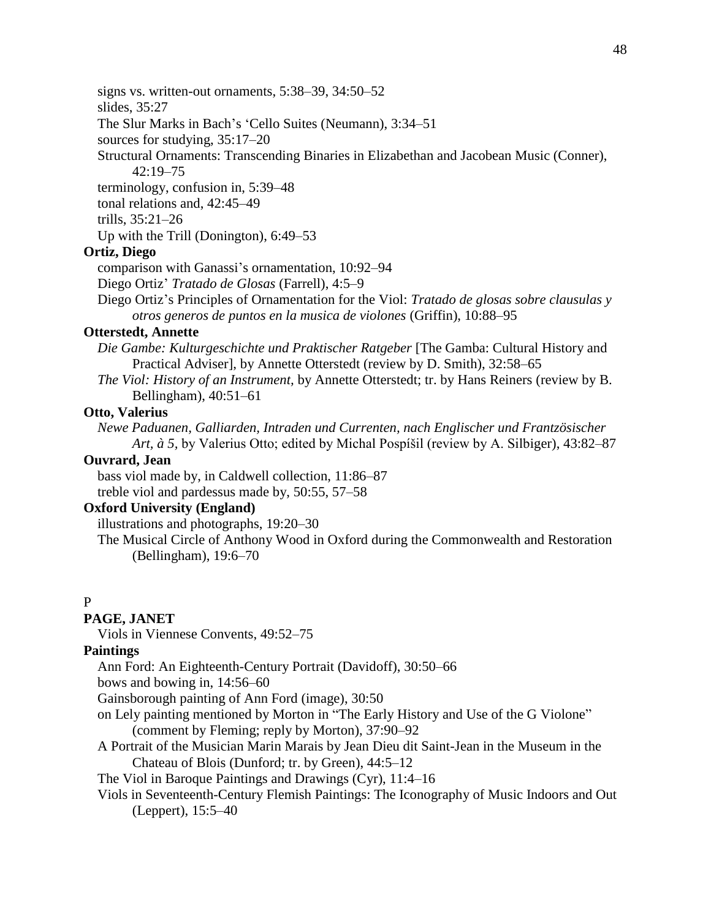signs vs. written-out ornaments, 5:38–39, 34:50–52

slides, 35:27

The Slur Marks in Bach's 'Cello Suites (Neumann), 3:34–51

sources for studying, 35:17–20

Structural Ornaments: Transcending Binaries in Elizabethan and Jacobean Music (Conner), 42:19–75

terminology, confusion in, 5:39–48

tonal relations and, 42:45–49

trills, 35:21–26

Up with the Trill (Donington), 6:49–53

# **Ortiz, Diego**

comparison with Ganassi's ornamentation, 10:92–94

Diego Ortiz' *Tratado de Glosas* (Farrell), 4:5–9

Diego Ortiz's Principles of Ornamentation for the Viol: *Tratado de glosas sobre clausulas y otros generos de puntos en la musica de violones* (Griffin), 10:88–95

# **Otterstedt, Annette**

*Die Gambe: Kulturgeschichte und Praktischer Ratgeber* [The Gamba: Cultural History and Practical Adviser], by Annette Otterstedt (review by D. Smith), 32:58–65

*The Viol: History of an Instrument,* by Annette Otterstedt; tr. by Hans Reiners (review by B. Bellingham), 40:51–61

## **Otto, Valerius**

*Newe Paduanen, Galliarden, Intraden und Currenten, nach Englischer und Frantzösischer Art, à 5,* by Valerius Otto; edited by Michal Pospíšil (review by A. Silbiger), 43:82–87

# **Ouvrard, Jean**

bass viol made by, in Caldwell collection, 11:86–87 treble viol and pardessus made by, 50:55, 57–58

# **Oxford University (England)**

illustrations and photographs, 19:20–30

The Musical Circle of Anthony Wood in Oxford during the Commonwealth and Restoration (Bellingham), 19:6–70

# P

# **PAGE, JANET**

Viols in Viennese Convents, 49:52–75

# **Paintings**

Ann Ford: An Eighteenth-Century Portrait (Davidoff), 30:50–66

bows and bowing in, 14:56–60

Gainsborough painting of Ann Ford (image), 30:50

- on Lely painting mentioned by Morton in "The Early History and Use of the G Violone" (comment by Fleming; reply by Morton), 37:90–92
- A Portrait of the Musician Marin Marais by Jean Dieu dit Saint-Jean in the Museum in the Chateau of Blois (Dunford; tr. by Green), 44:5–12

The Viol in Baroque Paintings and Drawings (Cyr), 11:4–16

Viols in Seventeenth-Century Flemish Paintings: The Iconography of Music Indoors and Out (Leppert), 15:5–40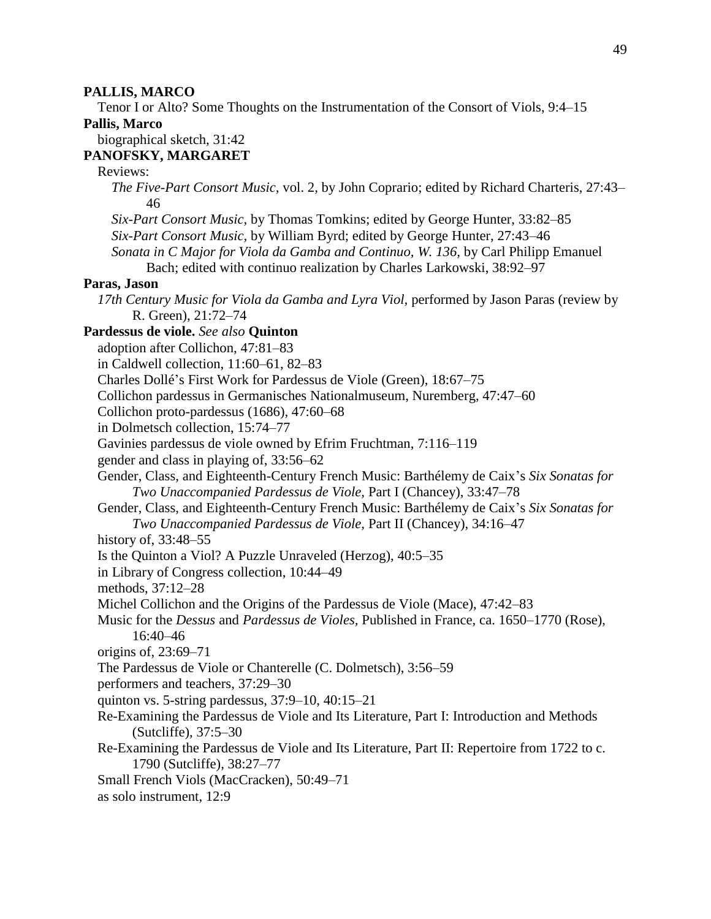#### **PALLIS, MARCO**

Tenor I or Alto? Some Thoughts on the Instrumentation of the Consort of Viols, 9:4–15

#### **Pallis, Marco**

biographical sketch, 31:42

# **PANOFSKY, MARGARET**

# Reviews:

- *The Five-Part Consort Music,* vol. 2*,* by John Coprario; edited by Richard Charteris, 27:43– 46
- *Six-Part Consort Music,* by Thomas Tomkins; edited by George Hunter, 33:82–85 *Six-Part Consort Music,* by William Byrd; edited by George Hunter, 27:43–46 *Sonata in C Major for Viola da Gamba and Continuo, W. 136,* by Carl Philipp Emanuel

Bach; edited with continuo realization by Charles Larkowski, 38:92–97

## **Paras, Jason**

*17th Century Music for Viola da Gamba and Lyra Viol,* performed by Jason Paras (review by R. Green), 21:72–74

# **Pardessus de viole.** *See also* **Quinton**

adoption after Collichon, 47:81–83

in Caldwell collection, 11:60–61, 82–83

Charles Dollé's First Work for Pardessus de Viole (Green), 18:67–75

Collichon pardessus in Germanisches Nationalmuseum, Nuremberg, 47:47–60

- Collichon proto-pardessus (1686), 47:60–68
- in Dolmetsch collection, 15:74–77

Gavinies pardessus de viole owned by Efrim Fruchtman, 7:116–119

gender and class in playing of, 33:56–62

Gender, Class, and Eighteenth-Century French Music: Barthélemy de Caix's *Six Sonatas for Two Unaccompanied Pardessus de Viole,* Part I (Chancey), 33:47–78

Gender, Class, and Eighteenth-Century French Music: Barthélemy de Caix's *Six Sonatas for Two Unaccompanied Pardessus de Viole,* Part II (Chancey), 34:16–47

history of, 33:48–55

Is the Quinton a Viol? A Puzzle Unraveled (Herzog), 40:5–35

in Library of Congress collection, 10:44–49

methods, 37:12–28

Michel Collichon and the Origins of the Pardessus de Viole (Mace), 47:42–83

Music for the *Dessus* and *Pardessus de Violes,* Published in France, ca. 1650–1770 (Rose), 16:40–46

origins of, 23:69–71

The Pardessus de Viole or Chanterelle (C. Dolmetsch), 3:56–59

performers and teachers, 37:29–30

- quinton vs. 5-string pardessus, 37:9–10, 40:15–21
- Re-Examining the Pardessus de Viole and Its Literature, Part I: Introduction and Methods (Sutcliffe), 37:5–30
- Re-Examining the Pardessus de Viole and Its Literature, Part II: Repertoire from 1722 to c. 1790 (Sutcliffe), 38:27–77

Small French Viols (MacCracken), 50:49–71

as solo instrument, 12:9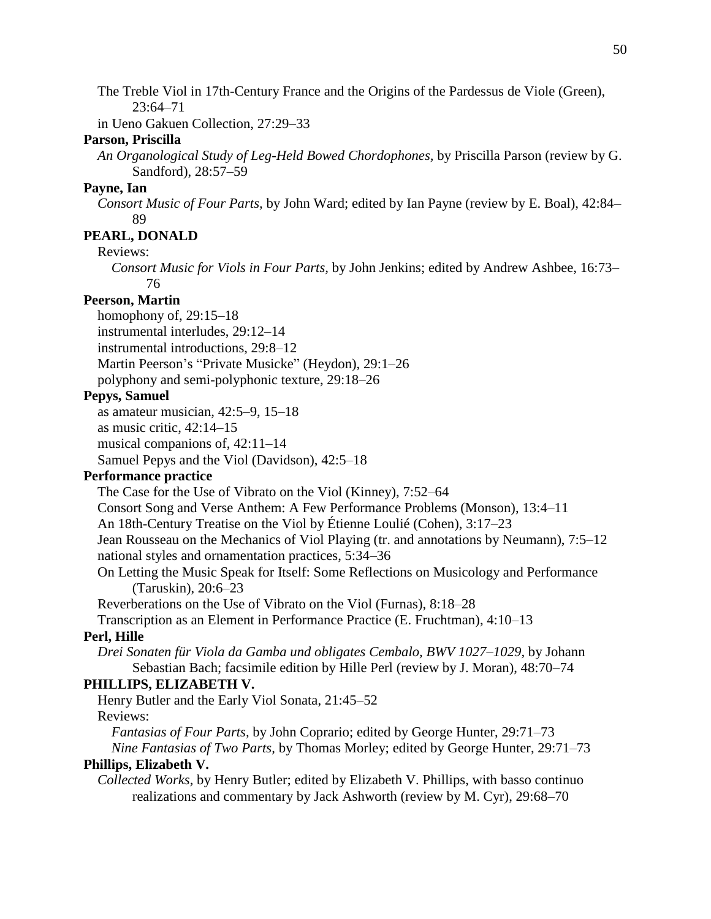The Treble Viol in 17th-Century France and the Origins of the Pardessus de Viole (Green), 23:64–71

in Ueno Gakuen Collection, 27:29–33

# **Parson, Priscilla**

*An Organological Study of Leg-Held Bowed Chordophones,* by Priscilla Parson (review by G. Sandford), 28:57–59

## **Payne, Ian**

*Consort Music of Four Parts,* by John Ward; edited by Ian Payne (review by E. Boal), 42:84– 89

# **PEARL, DONALD**

Reviews:

*Consort Music for Viols in Four Parts,* by John Jenkins; edited by Andrew Ashbee, 16:73– 76

# **Peerson, Martin**

homophony of, 29:15–18

instrumental interludes, 29:12–14

instrumental introductions, 29:8–12

Martin Peerson's "Private Musicke" (Heydon), 29:1–26

polyphony and semi-polyphonic texture, 29:18–26

# **Pepys, Samuel**

as amateur musician, 42:5–9, 15–18

as music critic, 42:14–15

musical companions of, 42:11–14

Samuel Pepys and the Viol (Davidson), 42:5–18

# **Performance practice**

The Case for the Use of Vibrato on the Viol (Kinney), 7:52–64

Consort Song and Verse Anthem: A Few Performance Problems (Monson), 13:4–11

An 18th-Century Treatise on the Viol by Étienne Loulié (Cohen), 3:17–23

Jean Rousseau on the Mechanics of Viol Playing (tr. and annotations by Neumann), 7:5–12 national styles and ornamentation practices, 5:34–36

On Letting the Music Speak for Itself: Some Reflections on Musicology and Performance (Taruskin), 20:6–23

Reverberations on the Use of Vibrato on the Viol (Furnas), 8:18–28

Transcription as an Element in Performance Practice (E. Fruchtman), 4:10–13

# **Perl, Hille**

*Drei Sonaten für Viola da Gamba und obligates Cembalo, BWV 1027–1029,* by Johann Sebastian Bach; facsimile edition by Hille Perl (review by J. Moran), 48:70–74

# **PHILLIPS, ELIZABETH V.**

Henry Butler and the Early Viol Sonata, 21:45–52 Reviews:

*Fantasias of Four Parts,* by John Coprario; edited by George Hunter, 29:71–73 *Nine Fantasias of Two Parts,* by Thomas Morley; edited by George Hunter, 29:71–73

# **Phillips, Elizabeth V.**

*Collected Works,* by Henry Butler; edited by Elizabeth V. Phillips, with basso continuo realizations and commentary by Jack Ashworth (review by M. Cyr), 29:68–70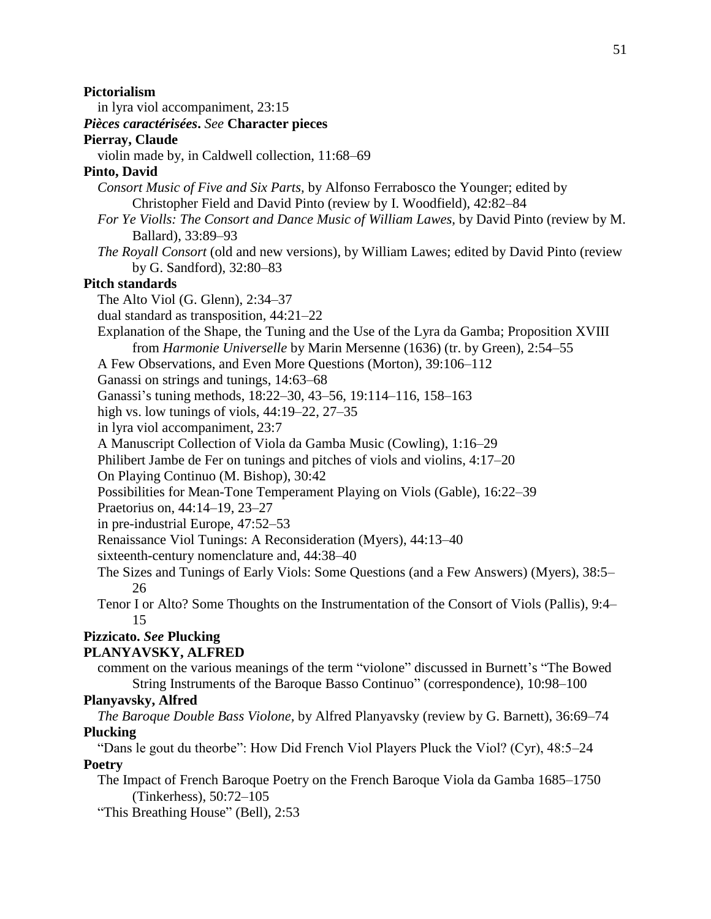# **Pictorialism**

in lyra viol accompaniment, 23:15

# *Pièces caractérisées***.** *See* **Character pieces**

# **Pierray, Claude**

violin made by, in Caldwell collection, 11:68–69

# **Pinto, David**

- *Consort Music of Five and Six Parts,* by Alfonso Ferrabosco the Younger; edited by Christopher Field and David Pinto (review by I. Woodfield), 42:82–84
- *For Ye Violls: The Consort and Dance Music of William Lawes,* by David Pinto (review by M. Ballard), 33:89–93
- *The Royall Consort* (old and new versions), by William Lawes; edited by David Pinto (review by G. Sandford), 32:80–83

# **Pitch standards**

The Alto Viol (G. Glenn), 2:34–37

- dual standard as transposition, 44:21–22
- Explanation of the Shape, the Tuning and the Use of the Lyra da Gamba; Proposition XVIII from *Harmonie Universelle* by Marin Mersenne (1636) (tr. by Green), 2:54–55
- A Few Observations, and Even More Questions (Morton), 39:106–112
- Ganassi on strings and tunings, 14:63–68
- Ganassi's tuning methods, 18:22–30, 43–56, 19:114–116, 158–163
- high vs. low tunings of viols, 44:19–22, 27–35
- in lyra viol accompaniment, 23:7
- A Manuscript Collection of Viola da Gamba Music (Cowling), 1:16–29
- Philibert Jambe de Fer on tunings and pitches of viols and violins, 4:17–20
- On Playing Continuo (M. Bishop), 30:42
- Possibilities for Mean-Tone Temperament Playing on Viols (Gable), 16:22–39
- Praetorius on, 44:14–19, 23–27
- in pre-industrial Europe, 47:52–53
- Renaissance Viol Tunings: A Reconsideration (Myers), 44:13–40
- sixteenth-century nomenclature and, 44:38–40
- The Sizes and Tunings of Early Viols: Some Questions (and a Few Answers) (Myers), 38:5– 26
- Tenor I or Alto? Some Thoughts on the Instrumentation of the Consort of Viols (Pallis), 9:4– 15

# **Pizzicato.** *See* **Plucking**

# **PLANYAVSKY, ALFRED**

comment on the various meanings of the term "violone" discussed in Burnett's "The Bowed String Instruments of the Baroque Basso Continuo" (correspondence), 10:98–100

# **Planyavsky, Alfred**

*The Baroque Double Bass Violone,* by Alfred Planyavsky (review by G. Barnett), 36:69–74 **Plucking**

"Dans le gout du theorbe": How Did French Viol Players Pluck the Viol? (Cyr), 48:5–24 **Poetry**

The Impact of French Baroque Poetry on the French Baroque Viola da Gamba 1685–1750 (Tinkerhess), 50:72–105

"This Breathing House" (Bell), 2:53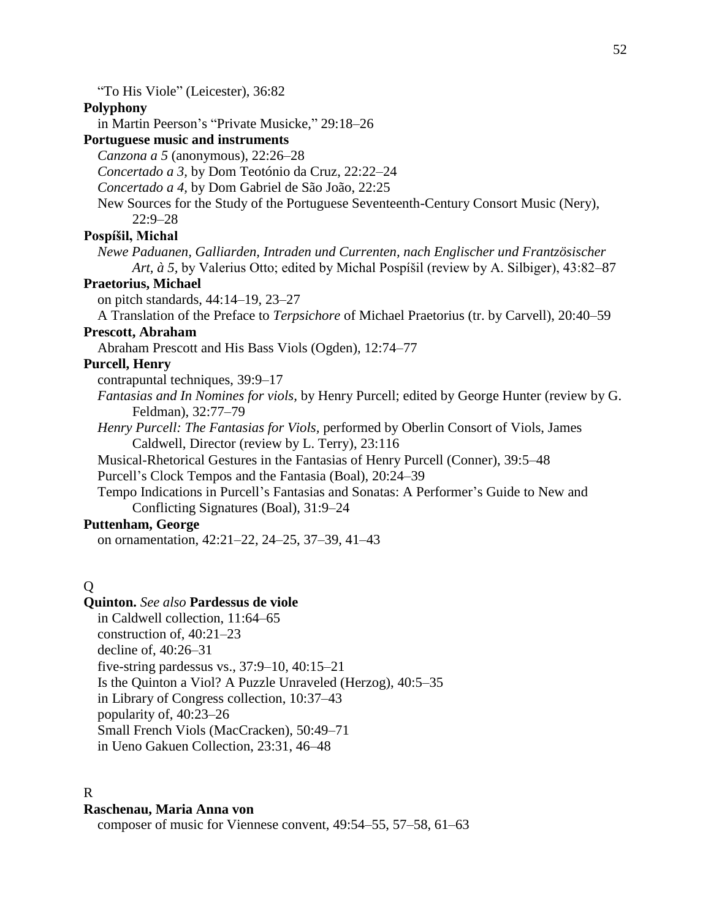"To His Viole" (Leicester), 36:82

## **Polyphony**

in Martin Peerson's "Private Musicke," 29:18–26

**Portuguese music and instruments**

*Canzona a 5* (anonymous), 22:26–28

*Concertado a 3,* by Dom Teotónio da Cruz, 22:22–24

*Concertado a 4,* by Dom Gabriel de São João, 22:25

New Sources for the Study of the Portuguese Seventeenth-Century Consort Music (Nery), 22:9–28

# **Pospíšil, Michal**

*Newe Paduanen, Galliarden, Intraden und Currenten, nach Englischer und Frantzösischer Art, à 5,* by Valerius Otto; edited by Michal Pospíšil (review by A. Silbiger), 43:82–87

# **Praetorius, Michael**

on pitch standards, 44:14–19, 23–27

A Translation of the Preface to *Terpsichore* of Michael Praetorius (tr. by Carvell), 20:40–59

# **Prescott, Abraham**

Abraham Prescott and His Bass Viols (Ogden), 12:74–77

## **Purcell, Henry**

contrapuntal techniques, 39:9–17

*Fantasias and In Nomines for viols,* by Henry Purcell; edited by George Hunter (review by G. Feldman), 32:77–79

*Henry Purcell: The Fantasias for Viols,* performed by Oberlin Consort of Viols, James Caldwell, Director (review by L. Terry), 23:116

Musical-Rhetorical Gestures in the Fantasias of Henry Purcell (Conner), 39:5–48 Purcell's Clock Tempos and the Fantasia (Boal), 20:24–39

Tempo Indications in Purcell's Fantasias and Sonatas: A Performer's Guide to New and Conflicting Signatures (Boal), 31:9–24

# **Puttenham, George**

on ornamentation, 42:21–22, 24–25, 37–39, 41–43

# Q

# **Quinton.** *See also* **Pardessus de viole**

in Caldwell collection, 11:64–65 construction of, 40:21–23 decline of, 40:26–31 five-string pardessus vs., 37:9–10, 40:15–21 Is the Quinton a Viol? A Puzzle Unraveled (Herzog), 40:5–35 in Library of Congress collection, 10:37–43 popularity of, 40:23–26 Small French Viols (MacCracken), 50:49–71 in Ueno Gakuen Collection, 23:31, 46–48

## R

#### **Raschenau, Maria Anna von**

composer of music for Viennese convent, 49:54–55, 57–58, 61–63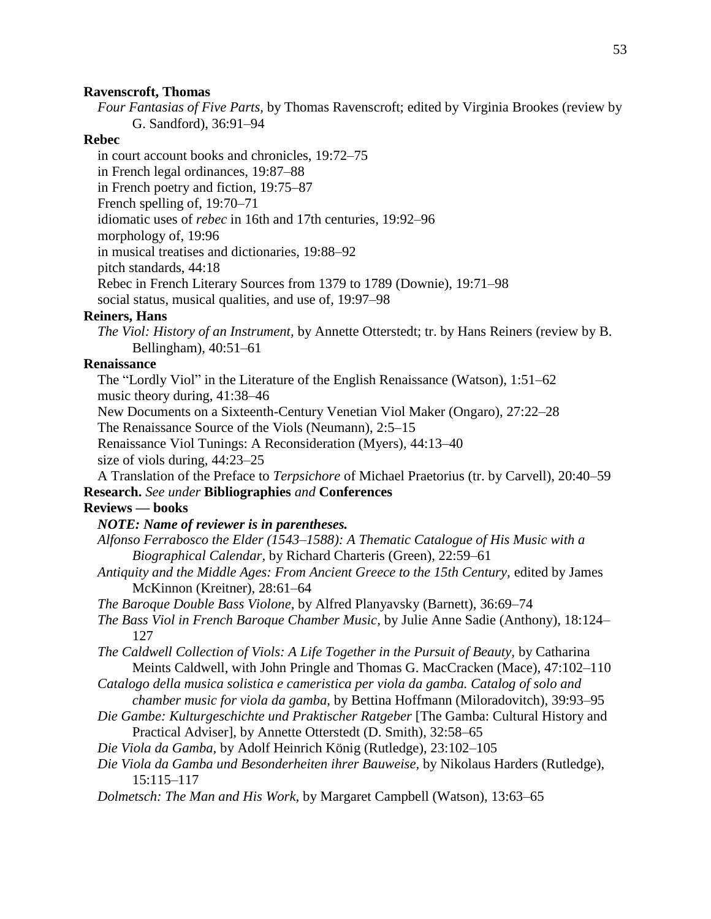#### **Ravenscroft, Thomas**

*Four Fantasias of Five Parts,* by Thomas Ravenscroft; edited by Virginia Brookes (review by G. Sandford), 36:91–94

# **Rebec**

in court account books and chronicles, 19:72–75 in French legal ordinances, 19:87–88 in French poetry and fiction, 19:75–87 French spelling of, 19:70–71 idiomatic uses of *rebec* in 16th and 17th centuries, 19:92–96 morphology of, 19:96 in musical treatises and dictionaries, 19:88–92 pitch standards, 44:18 Rebec in French Literary Sources from 1379 to 1789 (Downie), 19:71–98 social status, musical qualities, and use of, 19:97–98

#### **Reiners, Hans**

*The Viol: History of an Instrument,* by Annette Otterstedt; tr. by Hans Reiners (review by B. Bellingham), 40:51–61

## **Renaissance**

The "Lordly Viol" in the Literature of the English Renaissance (Watson), 1:51–62 music theory during, 41:38–46

New Documents on a Sixteenth-Century Venetian Viol Maker (Ongaro), 27:22–28

The Renaissance Source of the Viols (Neumann), 2:5–15

Renaissance Viol Tunings: A Reconsideration (Myers), 44:13–40

size of viols during, 44:23–25

A Translation of the Preface to *Terpsichore* of Michael Praetorius (tr. by Carvell), 20:40–59 **Research.** *See under* **Bibliographies** *and* **Conferences**

# **Reviews — books**

# *NOTE: Name of reviewer is in parentheses.*

- *Alfonso Ferrabosco the Elder (1543–1588): A Thematic Catalogue of His Music with a Biographical Calendar,* by Richard Charteris (Green), 22:59–61
- *Antiquity and the Middle Ages: From Ancient Greece to the 15th Century,* edited by James McKinnon (Kreitner), 28:61–64
- *The Baroque Double Bass Violone,* by Alfred Planyavsky (Barnett), 36:69–74
- *The Bass Viol in French Baroque Chamber Music,* by Julie Anne Sadie (Anthony), 18:124– 127
- *The Caldwell Collection of Viols: A Life Together in the Pursuit of Beauty,* by Catharina Meints Caldwell, with John Pringle and Thomas G. MacCracken (Mace), 47:102–110

*Catalogo della musica solistica e cameristica per viola da gamba. Catalog of solo and chamber music for viola da gamba,* by Bettina Hoffmann (Miloradovitch), 39:93–95

- *Die Gambe: Kulturgeschichte und Praktischer Ratgeber* [The Gamba: Cultural History and Practical Adviser], by Annette Otterstedt (D. Smith), 32:58–65
- *Die Viola da Gamba,* by Adolf Heinrich König (Rutledge), 23:102–105
- *Die Viola da Gamba und Besonderheiten ihrer Bauweise,* by Nikolaus Harders (Rutledge), 15:115–117
- *Dolmetsch: The Man and His Work,* by Margaret Campbell (Watson), 13:63–65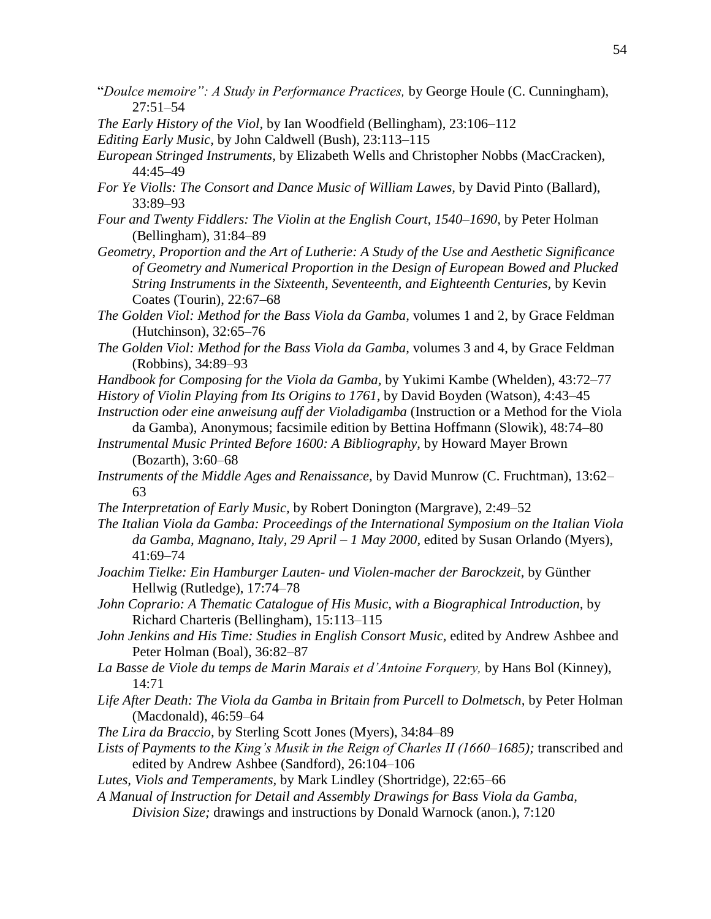- "*Doulce memoire": A Study in Performance Practices,* by George Houle (C. Cunningham), 27:51–54
- *The Early History of the Viol,* by Ian Woodfield (Bellingham), 23:106–112
- *Editing Early Music,* by John Caldwell (Bush), 23:113–115
- *European Stringed Instruments,* by Elizabeth Wells and Christopher Nobbs (MacCracken), 44:45–49
- *For Ye Violls: The Consort and Dance Music of William Lawes,* by David Pinto (Ballard), 33:89–93
- *Four and Twenty Fiddlers: The Violin at the English Court, 1540–1690,* by Peter Holman (Bellingham), 31:84–89
- *Geometry, Proportion and the Art of Lutherie: A Study of the Use and Aesthetic Significance of Geometry and Numerical Proportion in the Design of European Bowed and Plucked String Instruments in the Sixteenth, Seventeenth, and Eighteenth Centuries,* by Kevin Coates (Tourin), 22:67–68
- *The Golden Viol: Method for the Bass Viola da Gamba,* volumes 1 and 2, by Grace Feldman (Hutchinson), 32:65–76
- *The Golden Viol: Method for the Bass Viola da Gamba,* volumes 3 and 4, by Grace Feldman (Robbins), 34:89–93
- *Handbook for Composing for the Viola da Gamba,* by Yukimi Kambe (Whelden), 43:72–77
- *History of Violin Playing from Its Origins to 1761,* by David Boyden (Watson), 4:43–45
- *Instruction oder eine anweisung auff der Violadigamba* (Instruction or a Method for the Viola da Gamba), Anonymous; facsimile edition by Bettina Hoffmann (Slowik), 48:74–80 *Instrumental Music Printed Before 1600: A Bibliography,* by Howard Mayer Brown
- (Bozarth), 3:60–68
- *Instruments of the Middle Ages and Renaissance,* by David Munrow (C. Fruchtman), 13:62– 63
- *The Interpretation of Early Music,* by Robert Donington (Margrave), 2:49–52
- *The Italian Viola da Gamba: Proceedings of the International Symposium on the Italian Viola da Gamba, Magnano, Italy, 29 April – 1 May 2000,* edited by Susan Orlando (Myers), 41:69–74
- *Joachim Tielke: Ein Hamburger Lauten- und Violen-macher der Barockzeit,* by Günther Hellwig (Rutledge), 17:74–78
- *John Coprario: A Thematic Catalogue of His Music, with a Biographical Introduction,* by Richard Charteris (Bellingham), 15:113–115
- *John Jenkins and His Time: Studies in English Consort Music,* edited by Andrew Ashbee and Peter Holman (Boal), 36:82–87
- *La Basse de Viole du temps de Marin Marais et d'Antoine Forquery,* by Hans Bol (Kinney), 14:71
- *Life After Death: The Viola da Gamba in Britain from Purcell to Dolmetsch,* by Peter Holman (Macdonald), 46:59–64
- *The Lira da Braccio,* by Sterling Scott Jones (Myers), 34:84–89
- *Lists of Payments to the King's Musik in the Reign of Charles II (1660–1685);* transcribed and edited by Andrew Ashbee (Sandford), 26:104–106
- *Lutes, Viols and Temperaments,* by Mark Lindley (Shortridge), 22:65–66
- *A Manual of Instruction for Detail and Assembly Drawings for Bass Viola da Gamba,* 
	- *Division Size;* drawings and instructions by Donald Warnock (anon.), 7:120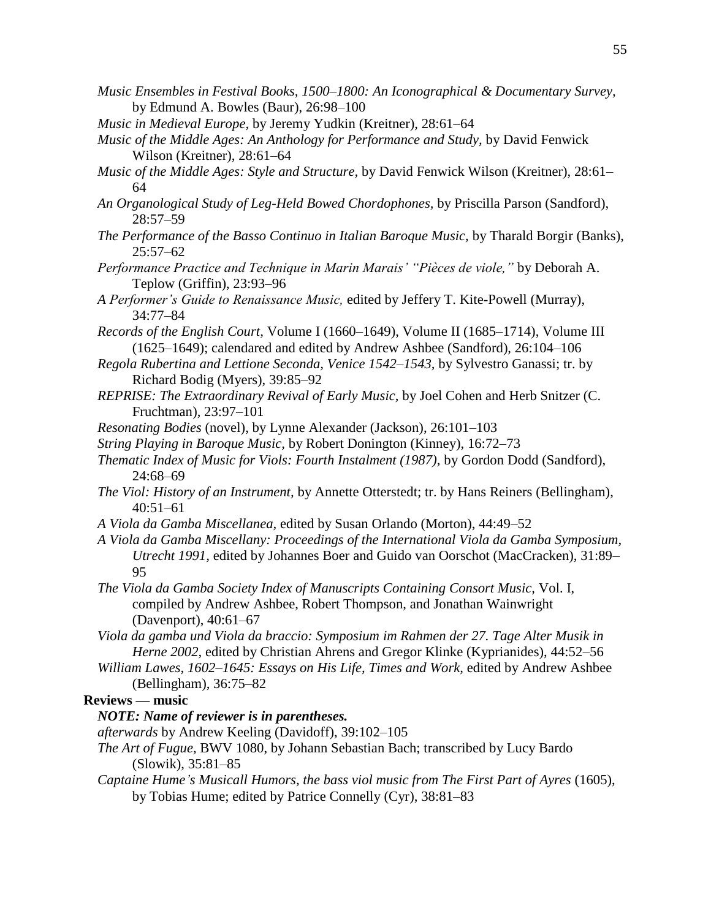- *Music Ensembles in Festival Books, 1500–1800: An Iconographical & Documentary Survey,* by Edmund A. Bowles (Baur), 26:98–100
- *Music in Medieval Europe,* by Jeremy Yudkin (Kreitner), 28:61–64
- *Music of the Middle Ages: An Anthology for Performance and Study,* by David Fenwick Wilson (Kreitner), 28:61–64
- *Music of the Middle Ages: Style and Structure,* by David Fenwick Wilson (Kreitner), 28:61– 64
- *An Organological Study of Leg-Held Bowed Chordophones,* by Priscilla Parson (Sandford), 28:57–59
- *The Performance of the Basso Continuo in Italian Baroque Music,* by Tharald Borgir (Banks),  $25:57-62$
- *Performance Practice and Technique in Marin Marais' "Pièces de viole,"* by Deborah A. Teplow (Griffin), 23:93–96
- *A Performer's Guide to Renaissance Music,* edited by Jeffery T. Kite-Powell (Murray), 34:77–84
- *Records of the English Court, Volume I (1660–1649), Volume II (1685–1714), Volume III* (1625–1649); calendared and edited by Andrew Ashbee (Sandford), 26:104–106
- *Regola Rubertina and Lettione Seconda, Venice 1542–1543,* by Sylvestro Ganassi; tr. by Richard Bodig (Myers), 39:85–92
- *REPRISE: The Extraordinary Revival of Early Music,* by Joel Cohen and Herb Snitzer (C. Fruchtman), 23:97–101
- *Resonating Bodies* (novel), by Lynne Alexander (Jackson), 26:101–103
- *String Playing in Baroque Music,* by Robert Donington (Kinney), 16:72–73
- *Thematic Index of Music for Viols: Fourth Instalment (1987),* by Gordon Dodd (Sandford), 24:68–69
- *The Viol: History of an Instrument,* by Annette Otterstedt; tr. by Hans Reiners (Bellingham), 40:51–61
- *A Viola da Gamba Miscellanea,* edited by Susan Orlando (Morton), 44:49–52
- *A Viola da Gamba Miscellany: Proceedings of the International Viola da Gamba Symposium, Utrecht 1991,* edited by Johannes Boer and Guido van Oorschot (MacCracken), 31:89– 95
- *The Viola da Gamba Society Index of Manuscripts Containing Consort Music,* Vol. I, compiled by Andrew Ashbee, Robert Thompson, and Jonathan Wainwright (Davenport), 40:61–67
- *Viola da gamba und Viola da braccio: Symposium im Rahmen der 27. Tage Alter Musik in Herne 2002,* edited by Christian Ahrens and Gregor Klinke (Kyprianides), 44:52–56
- *William Lawes, 1602–1645: Essays on His Life, Times and Work,* edited by Andrew Ashbee (Bellingham), 36:75–82

# **Reviews — music**

# *NOTE: Name of reviewer is in parentheses.*

- *afterwards* by Andrew Keeling (Davidoff), 39:102–105
- *The Art of Fugue,* BWV 1080, by Johann Sebastian Bach; transcribed by Lucy Bardo (Slowik), 35:81–85
- *Captaine Hume's Musicall Humors, the bass viol music from The First Part of Ayres* (1605), by Tobias Hume; edited by Patrice Connelly (Cyr), 38:81–83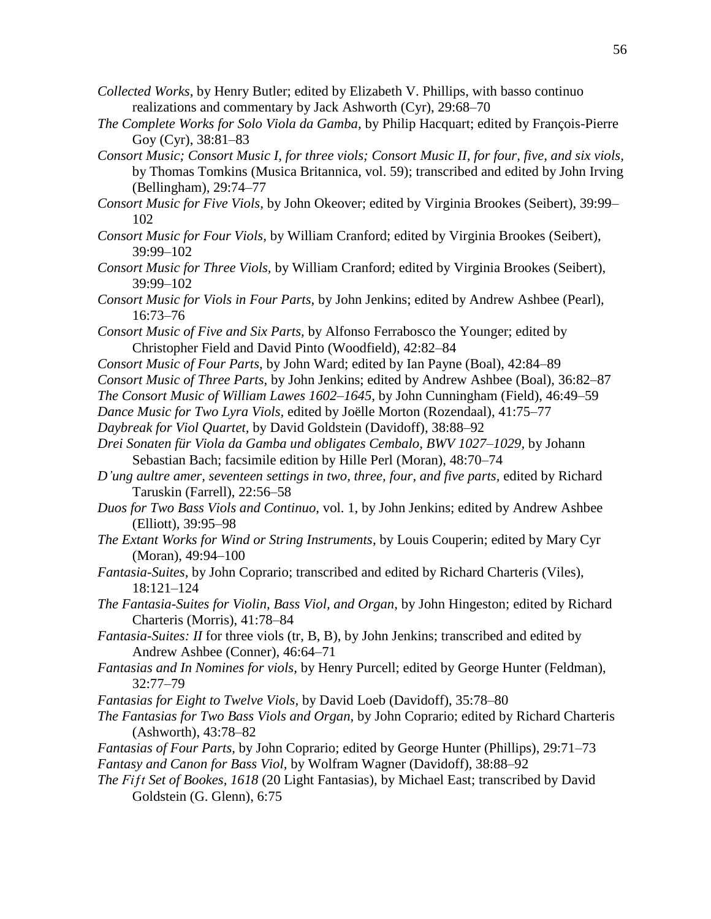- *Collected Works,* by Henry Butler; edited by Elizabeth V. Phillips, with basso continuo realizations and commentary by Jack Ashworth (Cyr), 29:68–70
- *The Complete Works for Solo Viola da Gamba,* by Philip Hacquart; edited by François-Pierre Goy (Cyr), 38:81–83
- *Consort Music; Consort Music I, for three viols; Consort Music II, for four, five, and six viols,* by Thomas Tomkins (Musica Britannica, vol. 59); transcribed and edited by John Irving (Bellingham), 29:74–77
- *Consort Music for Five Viols,* by John Okeover; edited by Virginia Brookes (Seibert), 39:99– 102
- *Consort Music for Four Viols,* by William Cranford; edited by Virginia Brookes (Seibert), 39:99–102
- *Consort Music for Three Viols,* by William Cranford; edited by Virginia Brookes (Seibert), 39:99–102
- *Consort Music for Viols in Four Parts,* by John Jenkins; edited by Andrew Ashbee (Pearl), 16:73–76
- *Consort Music of Five and Six Parts,* by Alfonso Ferrabosco the Younger; edited by Christopher Field and David Pinto (Woodfield), 42:82–84
- *Consort Music of Four Parts,* by John Ward; edited by Ian Payne (Boal), 42:84–89
- *Consort Music of Three Parts,* by John Jenkins; edited by Andrew Ashbee (Boal), 36:82–87
- *The Consort Music of William Lawes 1602–1645,* by John Cunningham (Field), 46:49–59
- *Dance Music for Two Lyra Viols,* edited by Joëlle Morton (Rozendaal), 41:75–77

*Daybreak for Viol Quartet,* by David Goldstein (Davidoff), 38:88–92

- *Drei Sonaten für Viola da Gamba und obligates Cembalo, BWV 1027–1029,* by Johann Sebastian Bach; facsimile edition by Hille Perl (Moran), 48:70–74
- *D'ung aultre amer, seventeen settings in two, three, four, and five parts,* edited by Richard Taruskin (Farrell), 22:56–58
- *Duos for Two Bass Viols and Continuo,* vol. 1, by John Jenkins; edited by Andrew Ashbee (Elliott), 39:95–98
- *The Extant Works for Wind or String Instruments*, by Louis Couperin; edited by Mary Cyr (Moran), 49:94–100
- *Fantasia-Suites,* by John Coprario; transcribed and edited by Richard Charteris (Viles), 18:121–124
- *The Fantasia-Suites for Violin, Bass Viol, and Organ,* by John Hingeston; edited by Richard Charteris (Morris), 41:78–84
- *Fantasia-Suites: II* for three viols (tr, B, B), by John Jenkins; transcribed and edited by Andrew Ashbee (Conner), 46:64–71
- *Fantasias and In Nomines for viols,* by Henry Purcell; edited by George Hunter (Feldman), 32:77–79
- *Fantasias for Eight to Twelve Viols,* by David Loeb (Davidoff), 35:78–80
- *The Fantasias for Two Bass Viols and Organ,* by John Coprario; edited by Richard Charteris (Ashworth), 43:78–82
- *Fantasias of Four Parts,* by John Coprario; edited by George Hunter (Phillips), 29:71–73 *Fantasy and Canon for Bass Viol,* by Wolfram Wagner (Davidoff), 38:88–92
- *The Fiƒt Set of Bookes, 1618* (20 Light Fantasias), by Michael East; transcribed by David Goldstein (G. Glenn), 6:75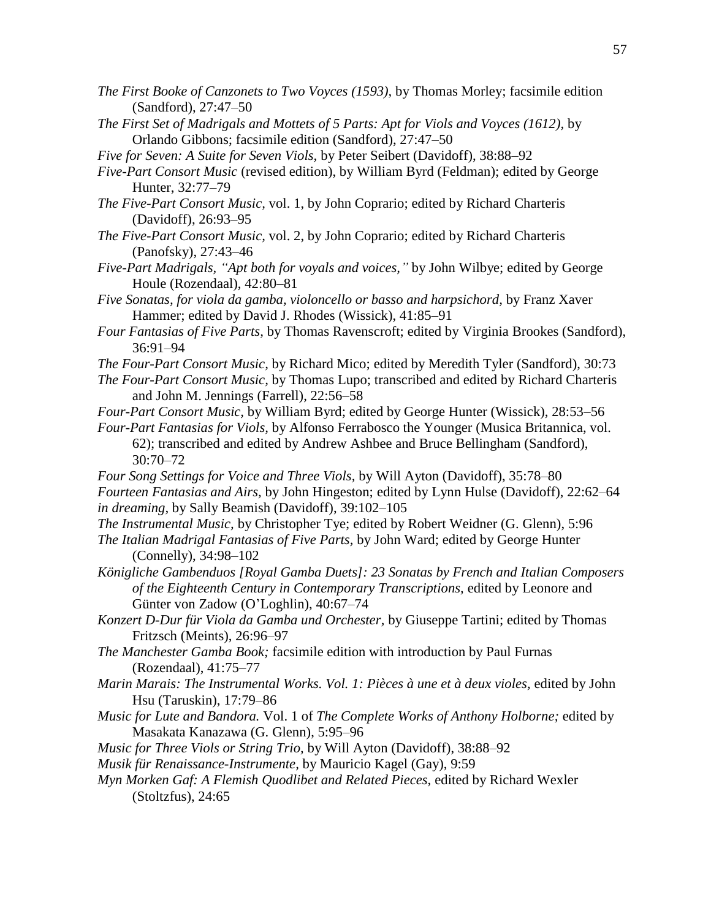- *The First Booke of Canzonets to Two Voyces (1593),* by Thomas Morley; facsimile edition (Sandford), 27:47–50
- *The First Set of Madrigals and Mottets of 5 Parts: Apt for Viols and Voyces (1612),* by Orlando Gibbons; facsimile edition (Sandford), 27:47–50
- *Five for Seven: A Suite for Seven Viols,* by Peter Seibert (Davidoff), 38:88–92
- *Five-Part Consort Music* (revised edition), by William Byrd (Feldman); edited by George Hunter, 32:77–79
- *The Five-Part Consort Music,* vol. 1, by John Coprario; edited by Richard Charteris (Davidoff), 26:93–95
- *The Five-Part Consort Music,* vol. 2, by John Coprario; edited by Richard Charteris (Panofsky), 27:43–46
- *Five-Part Madrigals, "Apt both for voyals and voices,"* by John Wilbye; edited by George Houle (Rozendaal), 42:80–81
- *Five Sonatas, for viola da gamba, violoncello or basso and harpsichord,* by Franz Xaver Hammer; edited by David J. Rhodes (Wissick), 41:85–91
- *Four Fantasias of Five Parts,* by Thomas Ravenscroft; edited by Virginia Brookes (Sandford), 36:91–94
- *The Four-Part Consort Music,* by Richard Mico; edited by Meredith Tyler (Sandford), 30:73
- *The Four-Part Consort Music,* by Thomas Lupo; transcribed and edited by Richard Charteris and John M. Jennings (Farrell), 22:56–58
- *Four-Part Consort Music,* by William Byrd; edited by George Hunter (Wissick), 28:53–56
- *Four-Part Fantasias for Viols,* by Alfonso Ferrabosco the Younger (Musica Britannica, vol. 62); transcribed and edited by Andrew Ashbee and Bruce Bellingham (Sandford), 30:70–72
- *Four Song Settings for Voice and Three Viols,* by Will Ayton (Davidoff), 35:78–80 *Fourteen Fantasias and Airs,* by John Hingeston; edited by Lynn Hulse (Davidoff), 22:62–64 *in dreaming,* by Sally Beamish (Davidoff), 39:102–105
- *The Instrumental Music,* by Christopher Tye; edited by Robert Weidner (G. Glenn), 5:96
- *The Italian Madrigal Fantasias of Five Parts,* by John Ward; edited by George Hunter (Connelly), 34:98–102
- *Königliche Gambenduos [Royal Gamba Duets]: 23 Sonatas by French and Italian Composers of the Eighteenth Century in Contemporary Transcriptions,* edited by Leonore and Günter von Zadow (O'Loghlin), 40:67–74
- *Konzert D-Dur für Viola da Gamba und Orchester,* by Giuseppe Tartini; edited by Thomas Fritzsch (Meints), 26:96–97
- *The Manchester Gamba Book;* facsimile edition with introduction by Paul Furnas (Rozendaal), 41:75–77
- *Marin Marais: The Instrumental Works. Vol. 1: Pièces à une et à deux violes,* edited by John Hsu (Taruskin), 17:79–86
- *Music for Lute and Bandora.* Vol. 1 of *The Complete Works of Anthony Holborne;* edited by Masakata Kanazawa (G. Glenn), 5:95–96
- *Music for Three Viols or String Trio,* by Will Ayton (Davidoff), 38:88–92
- *Musik für Renaissance-Instrumente,* by Mauricio Kagel (Gay), 9:59
- *Myn Morken Gaf: A Flemish Quodlibet and Related Pieces,* edited by Richard Wexler (Stoltzfus), 24:65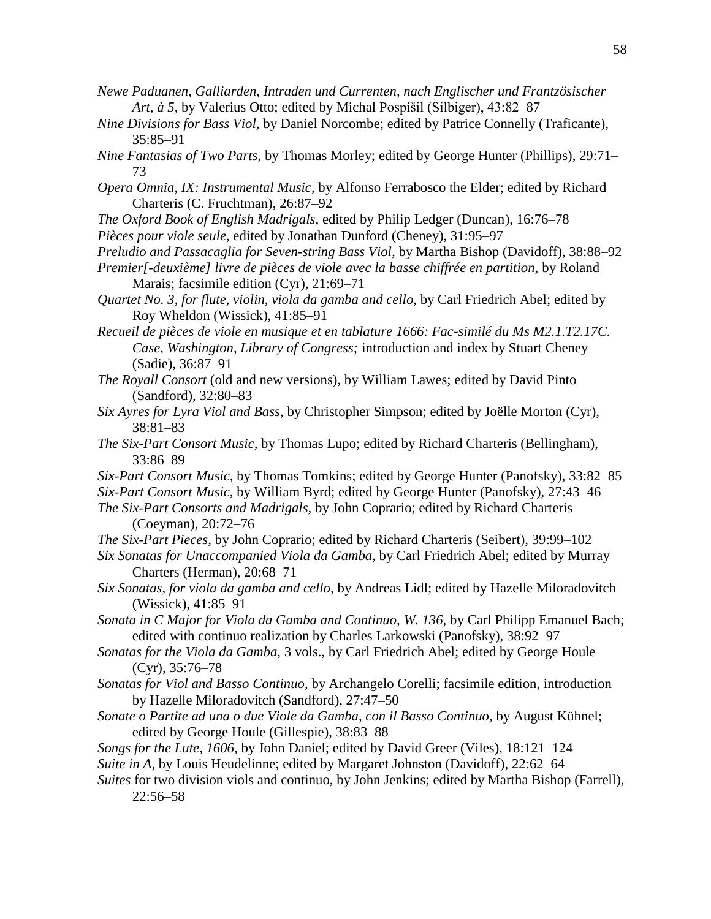- *Newe Paduanen, Galliarden, Intraden und Currenten, nach Englischer und Frantzösischer Art, à 5,* by Valerius Otto; edited by Michal Pospíšil (Silbiger), 43:82–87
- *Nine Divisions for Bass Viol,* by Daniel Norcombe; edited by Patrice Connelly (Traficante), 35:85–91
- *Nine Fantasias of Two Parts,* by Thomas Morley; edited by George Hunter (Phillips), 29:71– 73
- *Opera Omnia, IX: Instrumental Music,* by Alfonso Ferrabosco the Elder; edited by Richard Charteris (C. Fruchtman), 26:87–92
- *The Oxford Book of English Madrigals,* edited by Philip Ledger (Duncan), 16:76–78 *Pièces pour viole seule,* edited by Jonathan Dunford (Cheney), 31:95–97
- *Preludio and Passacaglia for Seven-string Bass Viol,* by Martha Bishop (Davidoff), 38:88–92
- *Premier[-deuxième] livre de pièces de viole avec la basse chiffrée en partition,* by Roland Marais; facsimile edition (Cyr), 21:69–71
- *Quartet No. 3, for flute, violin, viola da gamba and cello,* by Carl Friedrich Abel; edited by Roy Wheldon (Wissick), 41:85–91

*Recueil de pièces de viole en musique et en tablature 1666: Fac-similé du Ms M2.1.T2.17C. Case, Washington, Library of Congress;* introduction and index by Stuart Cheney (Sadie), 36:87–91

- *The Royall Consort* (old and new versions), by William Lawes; edited by David Pinto (Sandford), 32:80–83
- *Six Ayres for Lyra Viol and Bass,* by Christopher Simpson; edited by Joëlle Morton (Cyr), 38:81–83
- *The Six-Part Consort Music,* by Thomas Lupo; edited by Richard Charteris (Bellingham), 33:86–89
- *Six-Part Consort Music,* by Thomas Tomkins; edited by George Hunter (Panofsky), 33:82–85 *Six-Part Consort Music,* by William Byrd; edited by George Hunter (Panofsky), 27:43–46
- *The Six-Part Consorts and Madrigals,* by John Coprario; edited by Richard Charteris (Coeyman), 20:72–76
- *The Six-Part Pieces,* by John Coprario; edited by Richard Charteris (Seibert), 39:99–102
- *Six Sonatas for Unaccompanied Viola da Gamba,* by Carl Friedrich Abel; edited by Murray Charters (Herman), 20:68–71
- *Six Sonatas, for viola da gamba and cello,* by Andreas Lidl; edited by Hazelle Miloradovitch (Wissick), 41:85–91
- *Sonata in C Major for Viola da Gamba and Continuo, W. 136,* by Carl Philipp Emanuel Bach; edited with continuo realization by Charles Larkowski (Panofsky), 38:92–97
- *Sonatas for the Viola da Gamba,* 3 vols., by Carl Friedrich Abel; edited by George Houle (Cyr), 35:76–78
- *Sonatas for Viol and Basso Continuo,* by Archangelo Corelli; facsimile edition, introduction by Hazelle Miloradovitch (Sandford), 27:47–50
- *Sonate o Partite ad una o due Viole da Gamba, con il Basso Continuo,* by August Kühnel; edited by George Houle (Gillespie), 38:83–88
- *Songs for the Lute, 1606,* by John Daniel; edited by David Greer (Viles), 18:121–124
- *Suite in A,* by Louis Heudelinne; edited by Margaret Johnston (Davidoff), 22:62–64
- *Suites* for two division viols and continuo, by John Jenkins; edited by Martha Bishop (Farrell), 22:56–58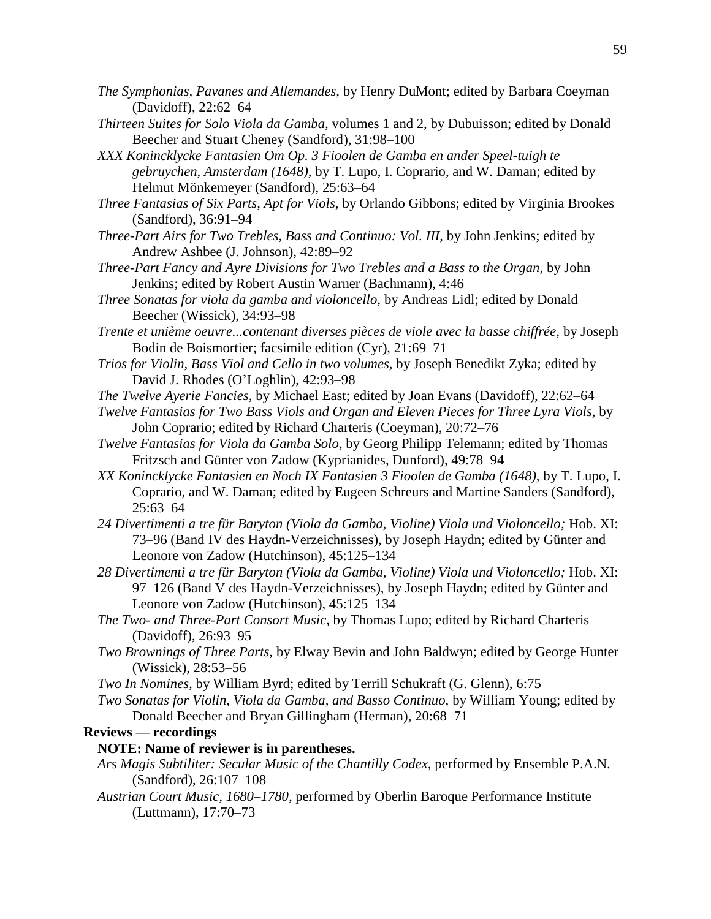- *The Symphonias, Pavanes and Allemandes,* by Henry DuMont; edited by Barbara Coeyman (Davidoff), 22:62–64
- *Thirteen Suites for Solo Viola da Gamba,* volumes 1 and 2, by Dubuisson; edited by Donald Beecher and Stuart Cheney (Sandford), 31:98–100
- *XXX Konincklycke Fantasien Om Op. 3 Fioolen de Gamba en ander Speel-tuigh te gebruychen, Amsterdam (1648),* by T. Lupo, I. Coprario, and W. Daman; edited by Helmut Mönkemeyer (Sandford), 25:63–64
- *Three Fantasias of Six Parts, Apt for Viols,* by Orlando Gibbons; edited by Virginia Brookes (Sandford), 36:91–94
- *Three-Part Airs for Two Trebles, Bass and Continuo: Vol. III,* by John Jenkins; edited by Andrew Ashbee (J. Johnson), 42:89–92
- *Three-Part Fancy and Ayre Divisions for Two Trebles and a Bass to the Organ,* by John Jenkins; edited by Robert Austin Warner (Bachmann), 4:46
- *Three Sonatas for viola da gamba and violoncello,* by Andreas Lidl; edited by Donald Beecher (Wissick), 34:93–98
- *Trente et unième oeuvre...contenant diverses pièces de viole avec la basse chiffrée,* by Joseph Bodin de Boismortier; facsimile edition (Cyr), 21:69–71
- *Trios for Violin, Bass Viol and Cello in two volumes,* by Joseph Benedikt Zyka; edited by David J. Rhodes (O'Loghlin), 42:93–98
- *The Twelve Ayerie Fancies,* by Michael East; edited by Joan Evans (Davidoff), 22:62–64
- *Twelve Fantasias for Two Bass Viols and Organ and Eleven Pieces for Three Lyra Viols,* by John Coprario; edited by Richard Charteris (Coeyman), 20:72–76
- *Twelve Fantasias for Viola da Gamba Solo*, by Georg Philipp Telemann; edited by Thomas Fritzsch and Günter von Zadow (Kyprianides, Dunford), 49:78–94
- *XX Konincklycke Fantasien en Noch IX Fantasien 3 Fioolen de Gamba (1648),* by T. Lupo, I. Coprario, and W. Daman; edited by Eugeen Schreurs and Martine Sanders (Sandford), 25:63–64
- *24 Divertimenti a tre für Baryton (Viola da Gamba, Violine) Viola und Violoncello;* Hob. XI: 73–96 (Band IV des Haydn-Verzeichnisses), by Joseph Haydn; edited by Günter and Leonore von Zadow (Hutchinson), 45:125–134
- *28 Divertimenti a tre für Baryton (Viola da Gamba, Violine) Viola und Violoncello;* Hob. XI: 97–126 (Band V des Haydn-Verzeichnisses), by Joseph Haydn; edited by Günter and Leonore von Zadow (Hutchinson), 45:125–134
- *The Two- and Three-Part Consort Music,* by Thomas Lupo; edited by Richard Charteris (Davidoff), 26:93–95
- *Two Brownings of Three Parts,* by Elway Bevin and John Baldwyn; edited by George Hunter (Wissick), 28:53–56
- *Two In Nomines,* by William Byrd; edited by Terrill Schukraft (G. Glenn), 6:75
- *Two Sonatas for Violin, Viola da Gamba, and Basso Continuo,* by William Young; edited by Donald Beecher and Bryan Gillingham (Herman), 20:68–71

# **Reviews — recordings**

# **NOTE: Name of reviewer is in parentheses.**

- *Ars Magis Subtiliter: Secular Music of the Chantilly Codex,* performed by Ensemble P.A.N. (Sandford), 26:107–108
- *Austrian Court Music, 1680–1780,* performed by Oberlin Baroque Performance Institute (Luttmann), 17:70–73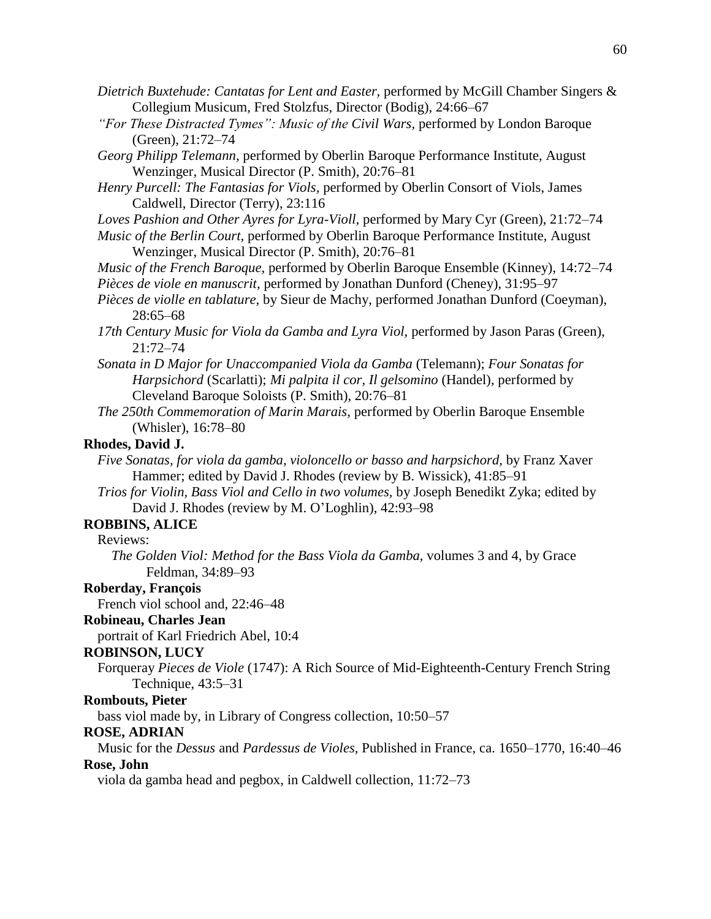- *Dietrich Buxtehude: Cantatas for Lent and Easter,* performed by McGill Chamber Singers & Collegium Musicum, Fred Stolzfus, Director (Bodig), 24:66–67
- *"For These Distracted Tymes": Music of the Civil Wars,* performed by London Baroque (Green), 21:72–74
- *Georg Philipp Telemann,* performed by Oberlin Baroque Performance Institute, August Wenzinger, Musical Director (P. Smith), 20:76–81
- *Henry Purcell: The Fantasias for Viols,* performed by Oberlin Consort of Viols, James Caldwell, Director (Terry), 23:116

*Loves Pashion and Other Ayres for Lyra-Violl,* performed by Mary Cyr (Green), 21:72–74

*Music of the Berlin Court,* performed by Oberlin Baroque Performance Institute, August Wenzinger, Musical Director (P. Smith), 20:76–81

*Music of the French Baroque,* performed by Oberlin Baroque Ensemble (Kinney), 14:72–74 *Pièces de viole en manuscrit,* performed by Jonathan Dunford (Cheney), 31:95–97

- *Pièces de violle en tablature,* by Sieur de Machy, performed Jonathan Dunford (Coeyman), 28:65–68
- *17th Century Music for Viola da Gamba and Lyra Viol,* performed by Jason Paras (Green), 21:72–74
- *Sonata in D Major for Unaccompanied Viola da Gamba* (Telemann); *Four Sonatas for Harpsichord* (Scarlatti); *Mi palpita il cor, Il gelsomino* (Handel), performed by Cleveland Baroque Soloists (P. Smith), 20:76–81
- *The 250th Commemoration of Marin Marais,* performed by Oberlin Baroque Ensemble (Whisler), 16:78–80

#### **Rhodes, David J.**

- *Five Sonatas, for viola da gamba, violoncello or basso and harpsichord,* by Franz Xaver Hammer; edited by David J. Rhodes (review by B. Wissick), 41:85–91
- *Trios for Violin, Bass Viol and Cello in two volumes,* by Joseph Benedikt Zyka; edited by David J. Rhodes (review by M. O'Loghlin), 42:93–98

# **ROBBINS, ALICE**

Reviews:

*The Golden Viol: Method for the Bass Viola da Gamba,* volumes 3 and 4, by Grace Feldman, 34:89–93

#### **Roberday, François**

French viol school and, 22:46–48

## **Robineau, Charles Jean**

portrait of Karl Friedrich Abel, 10:4

#### **ROBINSON, LUCY**

Forqueray *Pieces de Viole* (1747): A Rich Source of Mid-Eighteenth-Century French String Technique, 43:5–31

#### **Rombouts, Pieter**

bass viol made by, in Library of Congress collection, 10:50–57

#### **ROSE, ADRIAN**

Music for the *Dessus* and *Pardessus de Violes,* Published in France, ca. 1650–1770, 16:40–46

# **Rose, John**

viola da gamba head and pegbox, in Caldwell collection, 11:72–73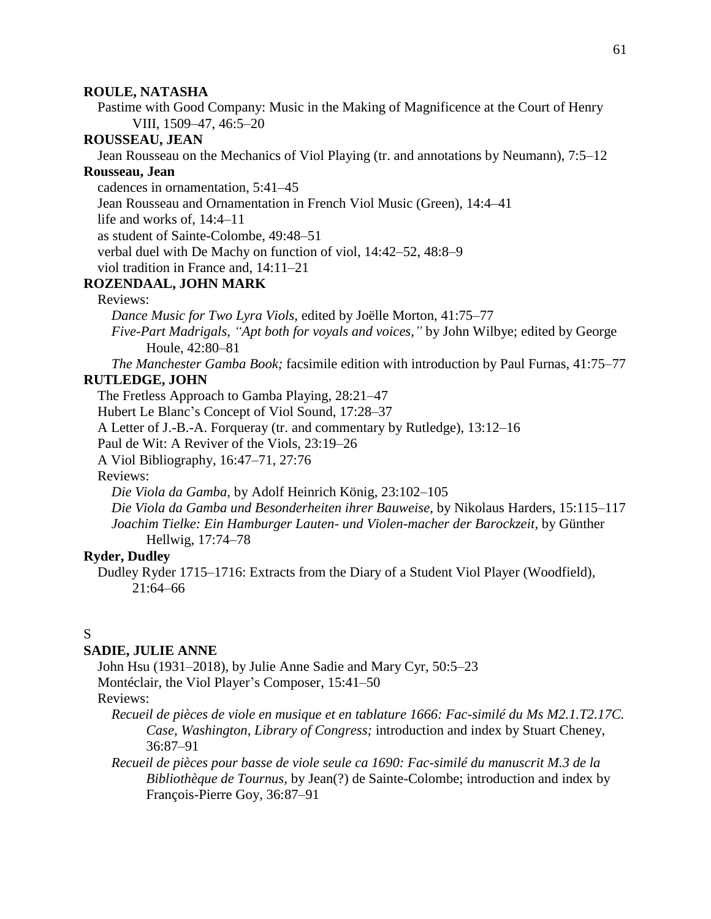#### **ROULE, NATASHA**

Pastime with Good Company: Music in the Making of Magnificence at the Court of Henry VIII, 1509–47, 46:5–20

# **ROUSSEAU, JEAN**

Jean Rousseau on the Mechanics of Viol Playing (tr. and annotations by Neumann), 7:5–12

# **Rousseau, Jean**

cadences in ornamentation, 5:41–45

Jean Rousseau and Ornamentation in French Viol Music (Green), 14:4–41

life and works of, 14:4–11

as student of Sainte-Colombe, 49:48–51

verbal duel with De Machy on function of viol, 14:42–52, 48:8–9

viol tradition in France and, 14:11–21

# **ROZENDAAL, JOHN MARK**

## Reviews:

*Dance Music for Two Lyra Viols,* edited by Joëlle Morton, 41:75–77

*Five-Part Madrigals, "Apt both for voyals and voices,"* by John Wilbye; edited by George Houle, 42:80–81

*The Manchester Gamba Book;* facsimile edition with introduction by Paul Furnas, 41:75–77 **RUTLEDGE, JOHN**

The Fretless Approach to Gamba Playing, 28:21–47

Hubert Le Blanc's Concept of Viol Sound, 17:28–37

A Letter of J.-B.-A. Forqueray (tr. and commentary by Rutledge), 13:12–16

Paul de Wit: A Reviver of the Viols, 23:19–26

A Viol Bibliography, 16:47–71, 27:76

## Reviews:

*Die Viola da Gamba,* by Adolf Heinrich König, 23:102–105

*Die Viola da Gamba und Besonderheiten ihrer Bauweise,* by Nikolaus Harders, 15:115–117 *Joachim Tielke: Ein Hamburger Lauten- und Violen-macher der Barockzeit,* by Günther Hellwig, 17:74–78

#### **Ryder, Dudley**

Dudley Ryder 1715–1716: Extracts from the Diary of a Student Viol Player (Woodfield), 21:64–66

# S

#### **SADIE, JULIE ANNE**

John Hsu (1931–2018), by Julie Anne Sadie and Mary Cyr, 50:5–23 Montéclair, the Viol Player's Composer, 15:41–50

# Reviews:

*Recueil de pièces de viole en musique et en tablature 1666: Fac-similé du Ms M2.1.T2.17C. Case, Washington, Library of Congress;* introduction and index by Stuart Cheney, 36:87–91

*Recueil de pièces pour basse de viole seule ca 1690: Fac-similé du manuscrit M.3 de la Bibliothèque de Tournus,* by Jean(?) de Sainte-Colombe; introduction and index by François-Pierre Goy, 36:87–91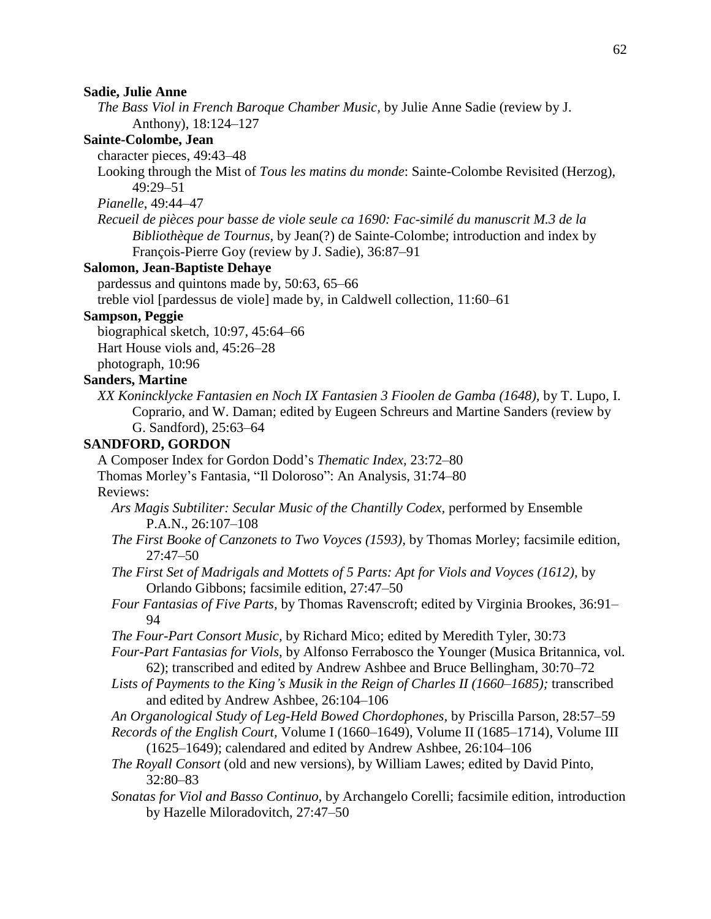#### **Sadie, Julie Anne**

*The Bass Viol in French Baroque Chamber Music,* by Julie Anne Sadie (review by J. Anthony), 18:124–127

#### **Sainte-Colombe, Jean**

character pieces, 49:43–48

Looking through the Mist of *Tous les matins du monde*: Sainte-Colombe Revisited (Herzog), 49:29–51

*Pianelle*, 49:44–47

*Recueil de pièces pour basse de viole seule ca 1690: Fac-similé du manuscrit M.3 de la Bibliothèque de Tournus,* by Jean(?) de Sainte-Colombe; introduction and index by François-Pierre Goy (review by J. Sadie), 36:87–91

#### **Salomon, Jean-Baptiste Dehaye**

pardessus and quintons made by, 50:63, 65–66

treble viol [pardessus de viole] made by, in Caldwell collection, 11:60–61

#### **Sampson, Peggie**

biographical sketch, 10:97, 45:64–66 Hart House viols and, 45:26–28 photograph, 10:96

# **Sanders, Martine**

*XX Konincklycke Fantasien en Noch IX Fantasien 3 Fioolen de Gamba (1648),* by T. Lupo, I. Coprario, and W. Daman; edited by Eugeen Schreurs and Martine Sanders (review by G. Sandford), 25:63–64

## **SANDFORD, GORDON**

A Composer Index for Gordon Dodd's *Thematic Index,* 23:72–80 Thomas Morley's Fantasia, "Il Doloroso": An Analysis, 31:74–80 Reviews:

- *Ars Magis Subtiliter: Secular Music of the Chantilly Codex,* performed by Ensemble P.A.N., 26:107–108
- *The First Booke of Canzonets to Two Voyces (1593),* by Thomas Morley; facsimile edition, 27:47–50
- *The First Set of Madrigals and Mottets of 5 Parts: Apt for Viols and Voyces (1612),* by Orlando Gibbons; facsimile edition, 27:47–50
- *Four Fantasias of Five Parts,* by Thomas Ravenscroft; edited by Virginia Brookes, 36:91– 94
- *The Four-Part Consort Music,* by Richard Mico; edited by Meredith Tyler, 30:73
- *Four-Part Fantasias for Viols,* by Alfonso Ferrabosco the Younger (Musica Britannica, vol. 62); transcribed and edited by Andrew Ashbee and Bruce Bellingham, 30:70–72
- *Lists of Payments to the King's Musik in the Reign of Charles II (1660–1685);* transcribed and edited by Andrew Ashbee, 26:104–106
- *An Organological Study of Leg-Held Bowed Chordophones,* by Priscilla Parson, 28:57–59
- *Records of the English Court,* Volume I (1660–1649), Volume II (1685–1714), Volume III (1625–1649); calendared and edited by Andrew Ashbee, 26:104–106
- *The Royall Consort* (old and new versions), by William Lawes; edited by David Pinto, 32:80–83
- *Sonatas for Viol and Basso Continuo,* by Archangelo Corelli; facsimile edition, introduction by Hazelle Miloradovitch, 27:47–50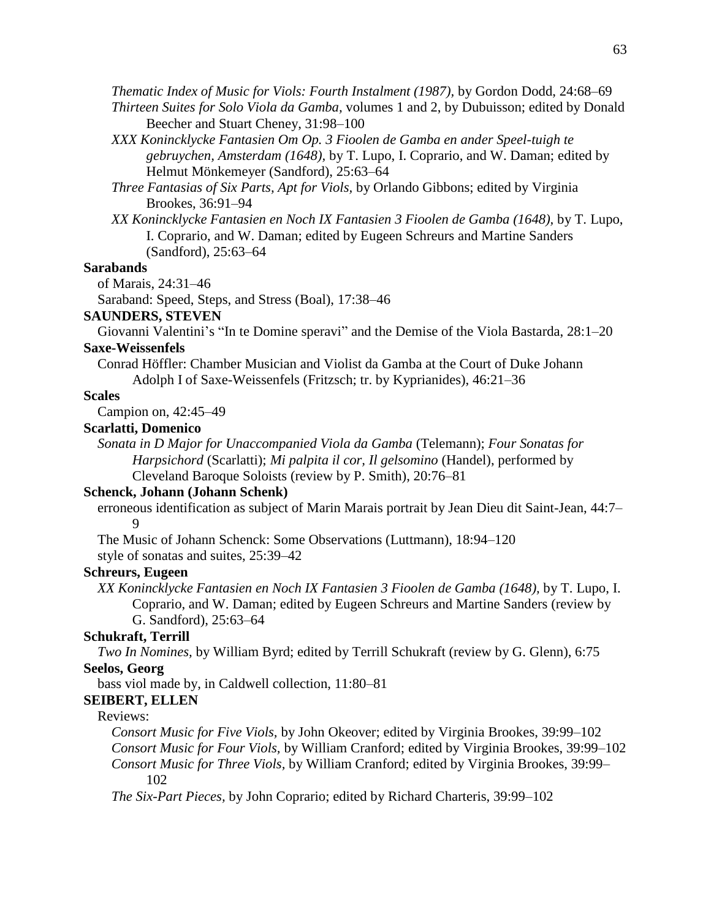*Thematic Index of Music for Viols: Fourth Instalment (1987),* by Gordon Dodd, 24:68–69

- *Thirteen Suites for Solo Viola da Gamba,* volumes 1 and 2, by Dubuisson; edited by Donald Beecher and Stuart Cheney, 31:98–100
- *XXX Konincklycke Fantasien Om Op. 3 Fioolen de Gamba en ander Speel-tuigh te gebruychen, Amsterdam (1648),* by T. Lupo, I. Coprario, and W. Daman; edited by Helmut Mönkemeyer (Sandford), 25:63–64
- *Three Fantasias of Six Parts, Apt for Viols,* by Orlando Gibbons; edited by Virginia Brookes, 36:91–94
- *XX Konincklycke Fantasien en Noch IX Fantasien 3 Fioolen de Gamba (1648),* by T. Lupo, I. Coprario, and W. Daman; edited by Eugeen Schreurs and Martine Sanders (Sandford), 25:63–64

# **Sarabands**

of Marais, 24:31–46

Saraband: Speed, Steps, and Stress (Boal), 17:38–46

#### **SAUNDERS, STEVEN**

Giovanni Valentini's "In te Domine speravi" and the Demise of the Viola Bastarda, 28:1–20 **Saxe-Weissenfels**

Conrad Höffler: Chamber Musician and Violist da Gamba at the Court of Duke Johann Adolph I of Saxe-Weissenfels (Fritzsch; tr. by Kyprianides), 46:21–36

# **Scales**

Campion on, 42:45–49

## **Scarlatti, Domenico**

*Sonata in D Major for Unaccompanied Viola da Gamba* (Telemann); *Four Sonatas for Harpsichord* (Scarlatti); *Mi palpita il cor, Il gelsomino* (Handel), performed by Cleveland Baroque Soloists (review by P. Smith), 20:76–81

#### **Schenck, Johann (Johann Schenk)**

erroneous identification as subject of Marin Marais portrait by Jean Dieu dit Saint-Jean, 44:7– 9

The Music of Johann Schenck: Some Observations (Luttmann), 18:94–120 style of sonatas and suites, 25:39–42

## **Schreurs, Eugeen**

*XX Konincklycke Fantasien en Noch IX Fantasien 3 Fioolen de Gamba (1648),* by T. Lupo, I. Coprario, and W. Daman; edited by Eugeen Schreurs and Martine Sanders (review by G. Sandford), 25:63–64

# **Schukraft, Terrill**

*Two In Nomines,* by William Byrd; edited by Terrill Schukraft (review by G. Glenn), 6:75

## **Seelos, Georg**

bass viol made by, in Caldwell collection, 11:80–81

#### **SEIBERT, ELLEN**

# Reviews:

*Consort Music for Five Viols,* by John Okeover; edited by Virginia Brookes, 39:99–102 *Consort Music for Four Viols,* by William Cranford; edited by Virginia Brookes, 39:99–102 *Consort Music for Three Viols,* by William Cranford; edited by Virginia Brookes, 39:99– 102

*The Six-Part Pieces,* by John Coprario; edited by Richard Charteris, 39:99–102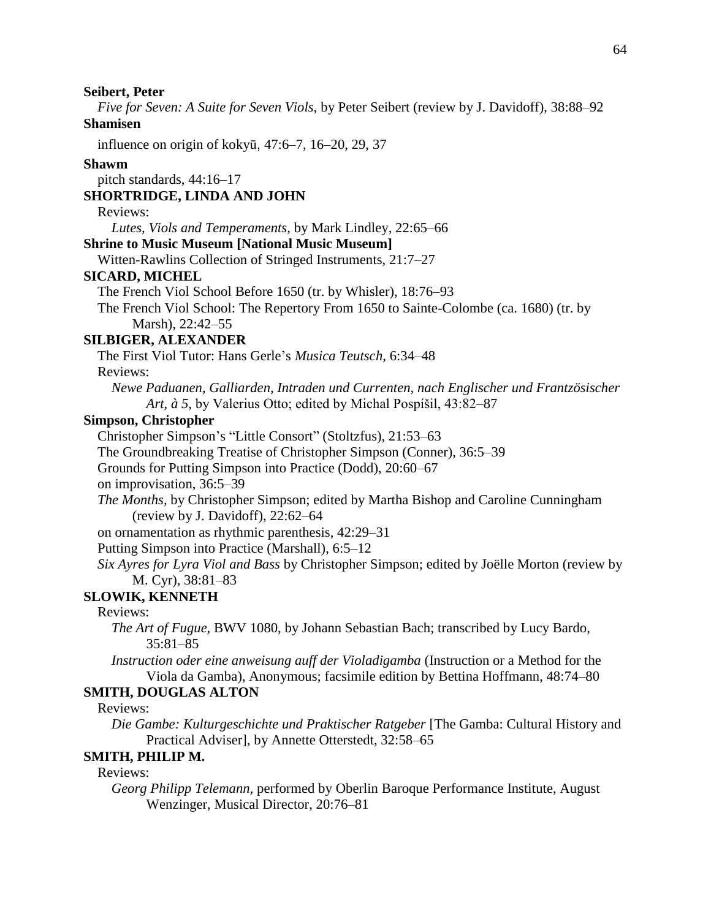*Five for Seven: A Suite for Seven Viols,* by Peter Seibert (review by J. Davidoff), 38:88–92

# **Shamisen**

influence on origin of kokyū, 47:6–7, 16–20, 29, 37

## **Shawm**

pitch standards, 44:16–17

# **SHORTRIDGE, LINDA AND JOHN**

# Reviews:

*Lutes, Viols and Temperaments,* by Mark Lindley, 22:65–66

## **Shrine to Music Museum [National Music Museum]**

Witten-Rawlins Collection of Stringed Instruments, 21:7–27

## **SICARD, MICHEL**

The French Viol School Before 1650 (tr. by Whisler), 18:76–93

The French Viol School: The Repertory From 1650 to Sainte-Colombe (ca. 1680) (tr. by Marsh), 22:42–55

#### **SILBIGER, ALEXANDER**

The First Viol Tutor: Hans Gerle's *Musica Teutsch,* 6:34–48

Reviews:

*Newe Paduanen, Galliarden, Intraden und Currenten, nach Englischer und Frantzösischer Art, à 5,* by Valerius Otto; edited by Michal Pospíšil, 43:82–87

# **Simpson, Christopher**

Christopher Simpson's "Little Consort" (Stoltzfus), 21:53–63

The Groundbreaking Treatise of Christopher Simpson (Conner), 36:5–39

Grounds for Putting Simpson into Practice (Dodd), 20:60–67

on improvisation, 36:5–39

*The Months,* by Christopher Simpson; edited by Martha Bishop and Caroline Cunningham (review by J. Davidoff), 22:62–64

on ornamentation as rhythmic parenthesis, 42:29–31

Putting Simpson into Practice (Marshall), 6:5–12

*Six Ayres for Lyra Viol and Bass* by Christopher Simpson; edited by Joëlle Morton (review by M. Cyr), 38:81–83

# **SLOWIK, KENNETH**

# Reviews:

- *The Art of Fugue,* BWV 1080, by Johann Sebastian Bach; transcribed by Lucy Bardo, 35:81–85
- *Instruction oder eine anweisung auff der Violadigamba* (Instruction or a Method for the Viola da Gamba), Anonymous; facsimile edition by Bettina Hoffmann, 48:74–80

# **SMITH, DOUGLAS ALTON**

#### Reviews:

*Die Gambe: Kulturgeschichte und Praktischer Ratgeber* [The Gamba: Cultural History and Practical Adviser], by Annette Otterstedt, 32:58–65

## **SMITH, PHILIP M.**

# Reviews:

*Georg Philipp Telemann,* performed by Oberlin Baroque Performance Institute, August Wenzinger, Musical Director, 20:76–81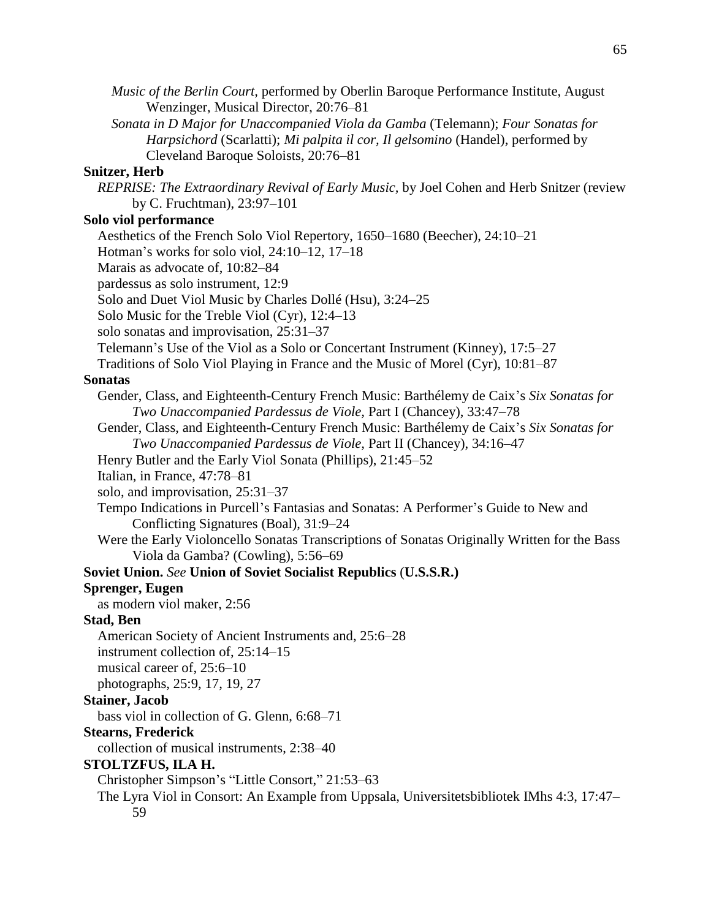| Harpsichord (Scarlatti); Mi palpita il cor, Il gelsomino (Handel), performed by                                          |
|--------------------------------------------------------------------------------------------------------------------------|
| Cleveland Baroque Soloists, 20:76-81                                                                                     |
| <b>Snitzer</b> , Herb                                                                                                    |
| REPRISE: The Extraordinary Revival of Early Music, by Joel Cohen and Herb Snitzer (review<br>by C. Fruchtman), 23:97-101 |
| Solo viol performance                                                                                                    |
| Aesthetics of the French Solo Viol Repertory, 1650–1680 (Beecher), 24:10–21                                              |
| Hotman's works for solo viol, $24:10-12$ , $17-18$                                                                       |
| Marais as advocate of, 10:82-84                                                                                          |
| pardessus as solo instrument, 12:9                                                                                       |
| Solo and Duet Viol Music by Charles Dollé (Hsu), 3:24–25                                                                 |
| Solo Music for the Treble Viol (Cyr), 12:4–13                                                                            |
| solo sonatas and improvisation, 25:31-37                                                                                 |
| Telemann's Use of the Viol as a Solo or Concertant Instrument (Kinney), 17:5-27                                          |
| Traditions of Solo Viol Playing in France and the Music of Morel (Cyr), 10:81–87                                         |
| <b>Sonatas</b>                                                                                                           |
| Gender, Class, and Eighteenth-Century French Music: Barthélemy de Caix's Six Sonatas for                                 |
| Two Unaccompanied Pardessus de Viole, Part I (Chancey), 33:47-78                                                         |
| Gender, Class, and Eighteenth-Century French Music: Barthélemy de Caix's Six Sonatas for                                 |
| Two Unaccompanied Pardessus de Viole, Part II (Chancey), 34:16-47                                                        |
| Henry Butler and the Early Viol Sonata (Phillips), 21:45–52                                                              |
| Italian, in France, 47:78-81                                                                                             |
| solo, and improvisation, 25:31-37                                                                                        |
| Tempo Indications in Purcell's Fantasias and Sonatas: A Performer's Guide to New and                                     |
| Conflicting Signatures (Boal), 31:9-24                                                                                   |
| Were the Early Violoncello Sonatas Transcriptions of Sonatas Originally Written for the Bass                             |
| Viola da Gamba? (Cowling), 5:56–69                                                                                       |
| Soviet Union. See Union of Soviet Socialist Republics (U.S.S.R.)                                                         |
| <b>Sprenger, Eugen</b>                                                                                                   |
| as modern viol maker, 2:56                                                                                               |
| <b>Stad, Ben</b>                                                                                                         |
| American Society of Ancient Instruments and, 25:6–28                                                                     |
| instrument collection of, $25:14-15$                                                                                     |
| musical career of, 25:6–10                                                                                               |
| photographs, 25:9, 17, 19, 27                                                                                            |
| <b>Stainer</b> , Jacob                                                                                                   |
| bass viol in collection of G. Glenn, 6:68–71                                                                             |
| <b>Stearns, Frederick</b>                                                                                                |
| collection of musical instruments, 2:38–40                                                                               |
| STOLTZFUS, ILA H.                                                                                                        |
| Christopher Simpson's "Little Consort," 21:53–63                                                                         |
| The Lyra Viol in Consort: An Example from Uppsala, Universitetsbibliotek IMhs 4:3, 17:47–                                |
| 59                                                                                                                       |
|                                                                                                                          |
|                                                                                                                          |
|                                                                                                                          |
|                                                                                                                          |
|                                                                                                                          |

*Music of the Berlin Court,* performed by Oberlin Baroque Performance Institute, August

*Sonata in D Major for Unaccompanied Viola da Gamba* (Telemann); *Four Sonatas for* 

Wenzinger, Musical Director, 20:76–81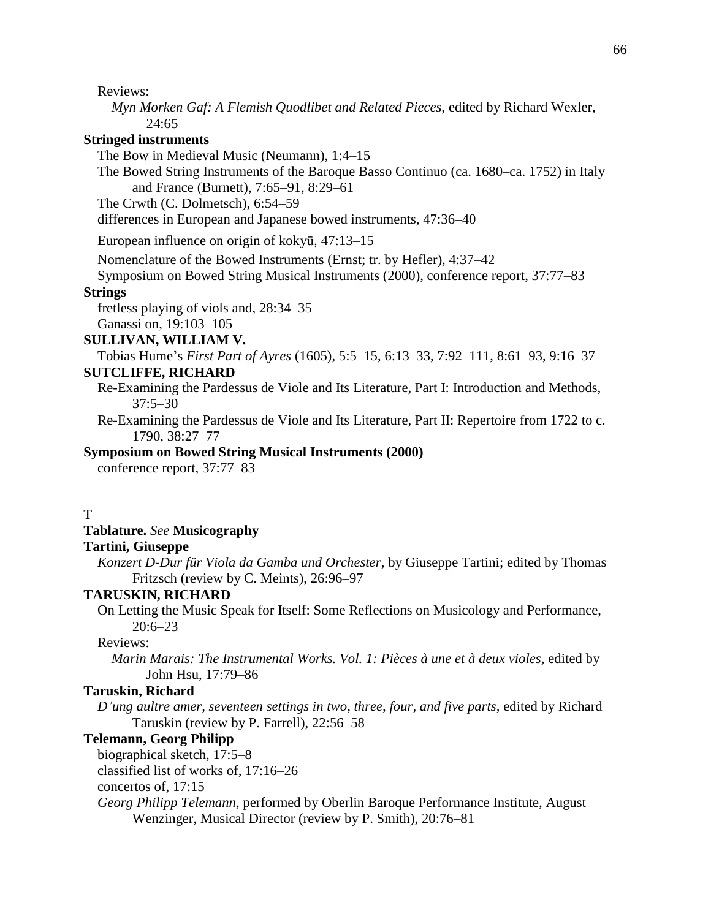Reviews:

*Myn Morken Gaf: A Flemish Quodlibet and Related Pieces,* edited by Richard Wexler, 24:65

# **Stringed instruments**

The Bow in Medieval Music (Neumann), 1:4–15

The Bowed String Instruments of the Baroque Basso Continuo (ca. 1680–ca. 1752) in Italy and France (Burnett), 7:65–91, 8:29–61

The Crwth (C. Dolmetsch), 6:54–59

differences in European and Japanese bowed instruments, 47:36–40

European influence on origin of kokyū, 47:13–15

Nomenclature of the Bowed Instruments (Ernst; tr. by Hefler), 4:37–42

Symposium on Bowed String Musical Instruments (2000), conference report, 37:77–83

#### **Strings**

fretless playing of viols and, 28:34–35

Ganassi on, 19:103–105

**SULLIVAN, WILLIAM V.**

Tobias Hume's *First Part of Ayres* (1605), 5:5–15, 6:13–33, 7:92–111, 8:61–93, 9:16–37

# **SUTCLIFFE, RICHARD**

Re-Examining the Pardessus de Viole and Its Literature, Part I: Introduction and Methods, 37:5–30

Re-Examining the Pardessus de Viole and Its Literature, Part II: Repertoire from 1722 to c. 1790, 38:27–77

#### **Symposium on Bowed String Musical Instruments (2000)**

conference report, 37:77–83

T

# **Tablature.** *See* **Musicography**

#### **Tartini, Giuseppe**

*Konzert D-Dur für Viola da Gamba und Orchester,* by Giuseppe Tartini; edited by Thomas Fritzsch (review by C. Meints), 26:96–97

# **TARUSKIN, RICHARD**

On Letting the Music Speak for Itself: Some Reflections on Musicology and Performance, 20:6–23

# Reviews:

*Marin Marais: The Instrumental Works. Vol. 1: Pièces à une et à deux violes,* edited by John Hsu, 17:79–86

# **Taruskin, Richard**

*D'ung aultre amer, seventeen settings in two, three, four, and five parts,* edited by Richard Taruskin (review by P. Farrell), 22:56–58

#### **Telemann, Georg Philipp**

biographical sketch, 17:5–8

classified list of works of, 17:16–26

concertos of, 17:15

*Georg Philipp Telemann,* performed by Oberlin Baroque Performance Institute, August Wenzinger, Musical Director (review by P. Smith), 20:76–81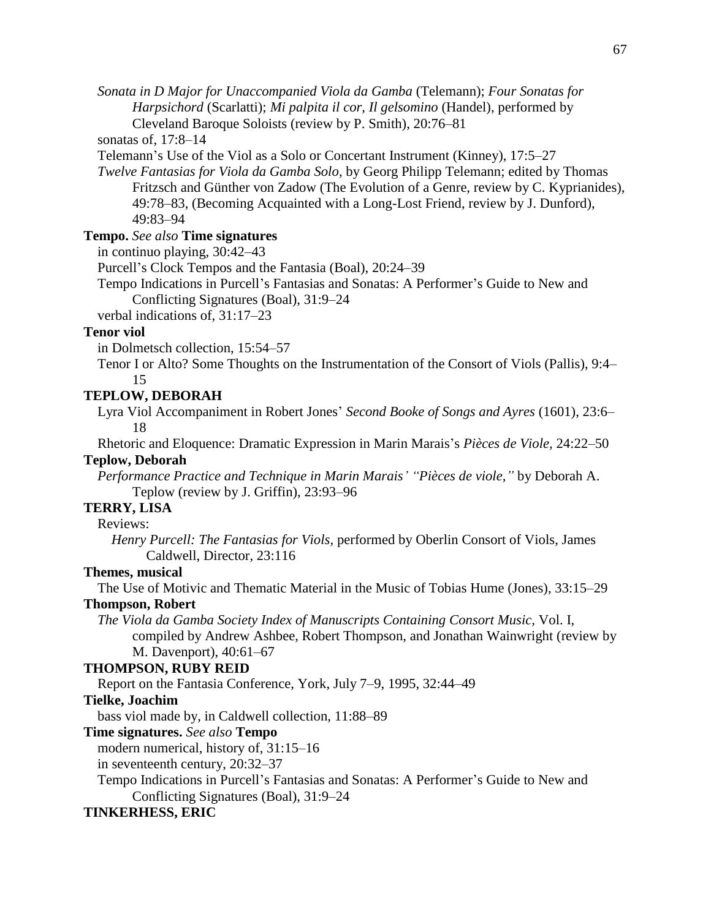*Sonata in D Major for Unaccompanied Viola da Gamba* (Telemann); *Four Sonatas for Harpsichord* (Scarlatti); *Mi palpita il cor, Il gelsomino* (Handel), performed by Cleveland Baroque Soloists (review by P. Smith), 20:76–81

sonatas of, 17:8–14

Telemann's Use of the Viol as a Solo or Concertant Instrument (Kinney), 17:5–27

*Twelve Fantasias for Viola da Gamba Solo*, by Georg Philipp Telemann; edited by Thomas Fritzsch and Günther von Zadow (The Evolution of a Genre, review by C. Kyprianides), 49:78–83, (Becoming Acquainted with a Long-Lost Friend, review by J. Dunford), 49:83–94

# **Tempo.** *See also* **Time signatures**

in continuo playing, 30:42–43

Purcell's Clock Tempos and the Fantasia (Boal), 20:24–39

Tempo Indications in Purcell's Fantasias and Sonatas: A Performer's Guide to New and Conflicting Signatures (Boal), 31:9–24

verbal indications of, 31:17–23

# **Tenor viol**

in Dolmetsch collection, 15:54–57

Tenor I or Alto? Some Thoughts on the Instrumentation of the Consort of Viols (Pallis), 9:4– 15

# **TEPLOW, DEBORAH**

Lyra Viol Accompaniment in Robert Jones' *Second Booke of Songs and Ayres* (1601), 23:6– 18

Rhetoric and Eloquence: Dramatic Expression in Marin Marais's *Pièces de Viole,* 24:22–50

# **Teplow, Deborah**

*Performance Practice and Technique in Marin Marais' "Pièces de viole,"* by Deborah A. Teplow (review by J. Griffin), 23:93–96

# **TERRY, LISA**

Reviews:

*Henry Purcell: The Fantasias for Viols,* performed by Oberlin Consort of Viols, James Caldwell, Director, 23:116

# **Themes, musical**

The Use of Motivic and Thematic Material in the Music of Tobias Hume (Jones), 33:15–29

# **Thompson, Robert**

*The Viola da Gamba Society Index of Manuscripts Containing Consort Music,* Vol. I, compiled by Andrew Ashbee, Robert Thompson, and Jonathan Wainwright (review by M. Davenport), 40:61–67

# **THOMPSON, RUBY REID**

Report on the Fantasia Conference, York, July 7–9, 1995, 32:44–49

# **Tielke, Joachim**

bass viol made by, in Caldwell collection, 11:88–89

# **Time signatures.** *See also* **Tempo**

modern numerical, history of, 31:15–16

in seventeenth century, 20:32–37

Tempo Indications in Purcell's Fantasias and Sonatas: A Performer's Guide to New and Conflicting Signatures (Boal), 31:9–24

# **TINKERHESS, ERIC**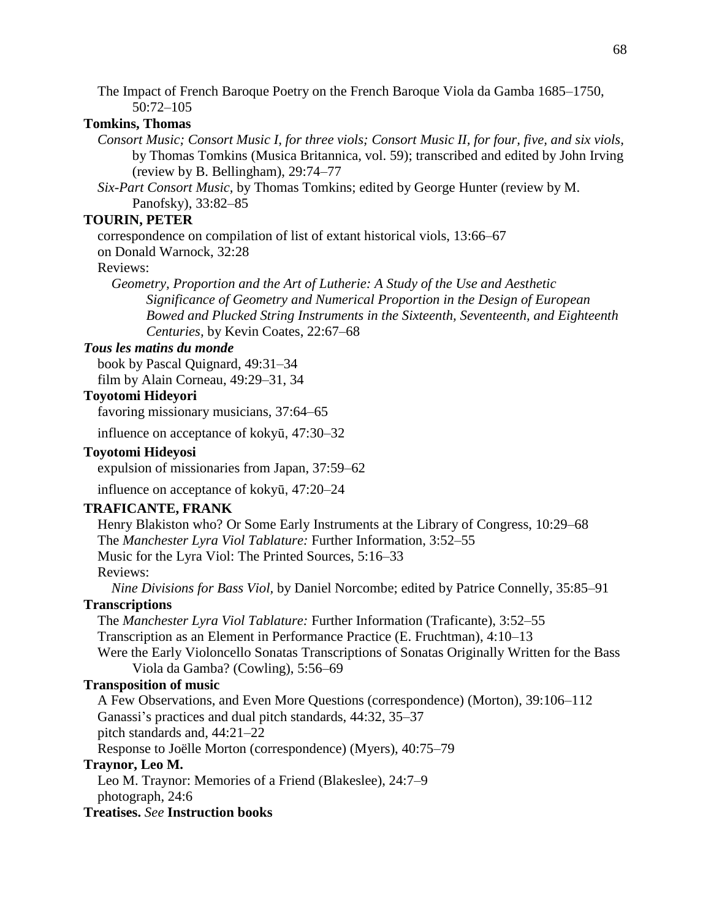The Impact of French Baroque Poetry on the French Baroque Viola da Gamba 1685–1750, 50:72–105

# **Tomkins, Thomas**

*Consort Music; Consort Music I, for three viols; Consort Music II, for four, five, and six viols,* by Thomas Tomkins (Musica Britannica, vol. 59); transcribed and edited by John Irving (review by B. Bellingham), 29:74–77

*Six-Part Consort Music,* by Thomas Tomkins; edited by George Hunter (review by M. Panofsky), 33:82–85

# **TOURIN, PETER**

correspondence on compilation of list of extant historical viols, 13:66–67

on Donald Warnock, 32:28

Reviews:

*Geometry, Proportion and the Art of Lutherie: A Study of the Use and Aesthetic Significance of Geometry and Numerical Proportion in the Design of European Bowed and Plucked String Instruments in the Sixteenth, Seventeenth, and Eighteenth Centuries,* by Kevin Coates, 22:67–68

## *Tous les matins du monde*

book by Pascal Quignard, 49:31–34 film by Alain Corneau, 49:29–31, 34

#### **Toyotomi Hideyori**

favoring missionary musicians, 37:64–65

influence on acceptance of kokyū, 47:30–32

# **Toyotomi Hideyosi**

expulsion of missionaries from Japan, 37:59–62

influence on acceptance of kokyū, 47:20–24

## **TRAFICANTE, FRANK**

Henry Blakiston who? Or Some Early Instruments at the Library of Congress, 10:29–68 The *Manchester Lyra Viol Tablature:* Further Information, 3:52–55 Music for the Lyra Viol: The Printed Sources, 5:16–33 Reviews: *Nine Divisions for Bass Viol,* by Daniel Norcombe; edited by Patrice Connelly, 35:85–91

# **Transcriptions**

The *Manchester Lyra Viol Tablature:* Further Information (Traficante), 3:52–55 Transcription as an Element in Performance Practice (E. Fruchtman), 4:10–13 Were the Early Violoncello Sonatas Transcriptions of Sonatas Originally Written for the Bass Viola da Gamba? (Cowling), 5:56–69

## **Transposition of music**

A Few Observations, and Even More Questions (correspondence) (Morton), 39:106–112 Ganassi's practices and dual pitch standards, 44:32, 35–37 pitch standards and, 44:21–22

Response to Joëlle Morton (correspondence) (Myers), 40:75–79

# **Traynor, Leo M.**

Leo M. Traynor: Memories of a Friend (Blakeslee), 24:7–9 photograph, 24:6

**Treatises.** *See* **Instruction books**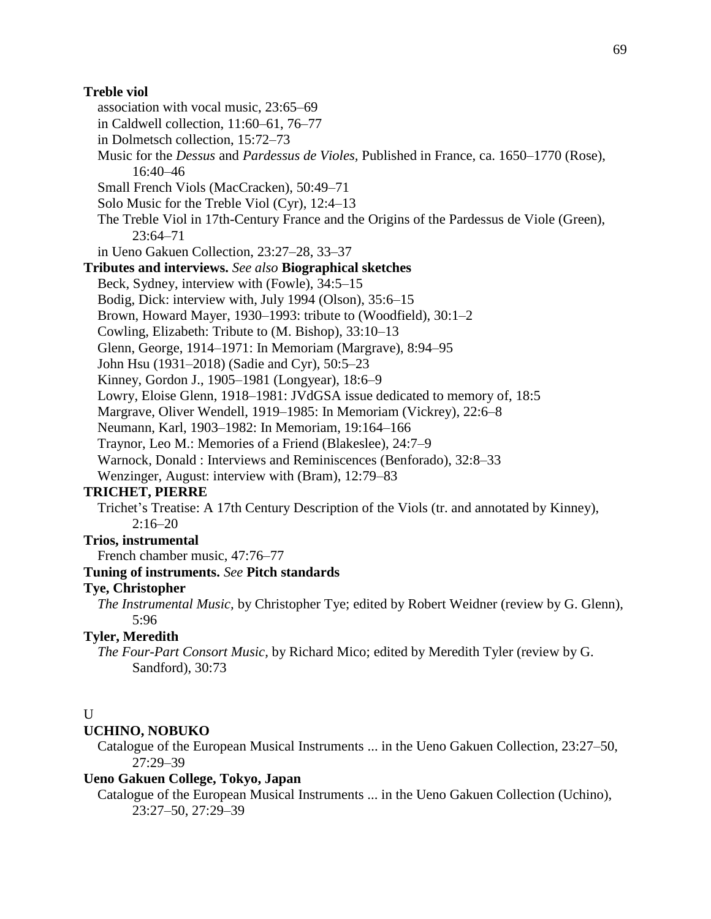## **Treble viol**

- association with vocal music, 23:65–69
- in Caldwell collection, 11:60–61, 76–77
- in Dolmetsch collection, 15:72–73
- Music for the *Dessus* and *Pardessus de Violes,* Published in France, ca. 1650–1770 (Rose), 16:40–46
- Small French Viols (MacCracken), 50:49–71
- Solo Music for the Treble Viol (Cyr), 12:4–13
- The Treble Viol in 17th-Century France and the Origins of the Pardessus de Viole (Green), 23:64–71
- in Ueno Gakuen Collection, 23:27–28, 33–37

# **Tributes and interviews.** *See also* **Biographical sketches**

- Beck, Sydney, interview with (Fowle), 34:5–15
- Bodig, Dick: interview with, July 1994 (Olson), 35:6–15
- Brown, Howard Mayer, 1930–1993: tribute to (Woodfield), 30:1–2
- Cowling, Elizabeth: Tribute to (M. Bishop), 33:10–13
- Glenn, George, 1914–1971: In Memoriam (Margrave), 8:94–95
- John Hsu (1931–2018) (Sadie and Cyr), 50:5–23
- Kinney, Gordon J., 1905–1981 (Longyear), 18:6–9
- Lowry, Eloise Glenn, 1918–1981: JVdGSA issue dedicated to memory of, 18:5
- Margrave, Oliver Wendell, 1919–1985: In Memoriam (Vickrey), 22:6–8
- Neumann, Karl, 1903–1982: In Memoriam, 19:164–166
- Traynor, Leo M.: Memories of a Friend (Blakeslee), 24:7–9
- Warnock, Donald : Interviews and Reminiscences (Benforado), 32:8–33
- Wenzinger, August: interview with (Bram), 12:79–83

# **TRICHET, PIERRE**

Trichet's Treatise: A 17th Century Description of the Viols (tr. and annotated by Kinney),  $2:16-20$ 

# **Trios, instrumental**

French chamber music, 47:76–77

# **Tuning of instruments.** *See* **Pitch standards**

# **Tye, Christopher**

*The Instrumental Music,* by Christopher Tye; edited by Robert Weidner (review by G. Glenn), 5:96

# **Tyler, Meredith**

*The Four-Part Consort Music,* by Richard Mico; edited by Meredith Tyler (review by G. Sandford), 30:73

# $U$

## **UCHINO, NOBUKO**

Catalogue of the European Musical Instruments ... in the Ueno Gakuen Collection, 23:27–50, 27:29–39

# **Ueno Gakuen College, Tokyo, Japan**

Catalogue of the European Musical Instruments ... in the Ueno Gakuen Collection (Uchino), 23:27–50, 27:29–39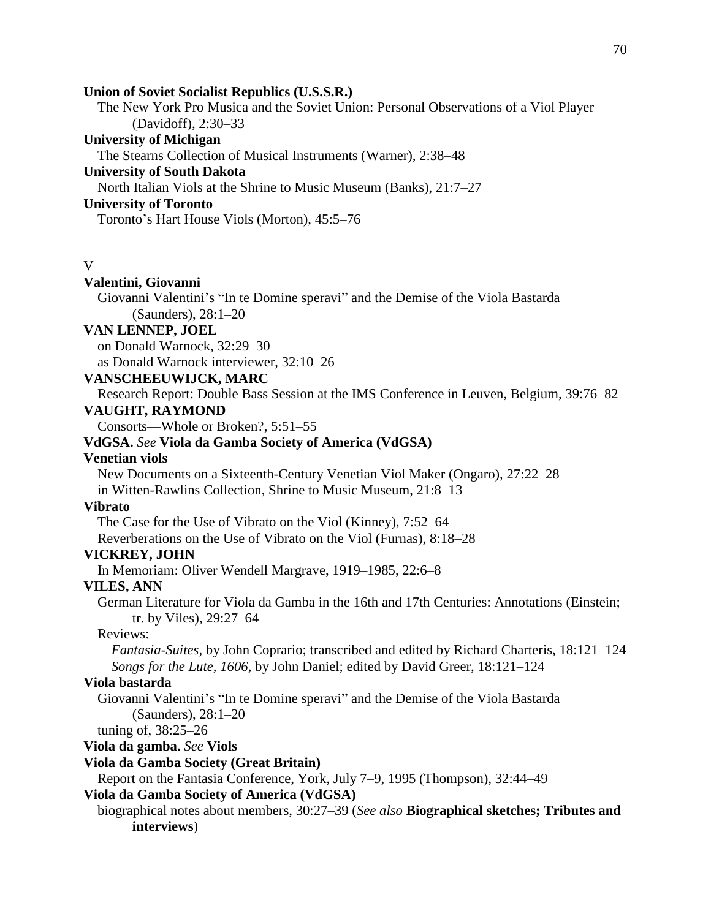#### **Union of Soviet Socialist Republics (U.S.S.R.)**

The New York Pro Musica and the Soviet Union: Personal Observations of a Viol Player (Davidoff), 2:30–33

# **University of Michigan**

The Stearns Collection of Musical Instruments (Warner), 2:38–48

# **University of South Dakota**

North Italian Viols at the Shrine to Music Museum (Banks), 21:7–27

# **University of Toronto**

Toronto's Hart House Viols (Morton), 45:5–76

#### V

# **Valentini, Giovanni**

Giovanni Valentini's "In te Domine speravi" and the Demise of the Viola Bastarda (Saunders), 28:1–20

# **VAN LENNEP, JOEL**

on Donald Warnock, 32:29–30

as Donald Warnock interviewer, 32:10–26

# **VANSCHEEUWIJCK, MARC**

Research Report: Double Bass Session at the IMS Conference in Leuven, Belgium, 39:76–82

# **VAUGHT, RAYMOND**

Consorts—Whole or Broken?, 5:51–55

# **VdGSA.** *See* **Viola da Gamba Society of America (VdGSA)**

# **Venetian viols**

New Documents on a Sixteenth-Century Venetian Viol Maker (Ongaro), 27:22–28 in Witten-Rawlins Collection, Shrine to Music Museum, 21:8–13

# **Vibrato**

The Case for the Use of Vibrato on the Viol (Kinney), 7:52–64

Reverberations on the Use of Vibrato on the Viol (Furnas), 8:18–28

# **VICKREY, JOHN**

In Memoriam: Oliver Wendell Margrave, 1919–1985, 22:6–8

# **VILES, ANN**

German Literature for Viola da Gamba in the 16th and 17th Centuries: Annotations (Einstein; tr. by Viles), 29:27–64

## Reviews:

*Fantasia-Suites,* by John Coprario; transcribed and edited by Richard Charteris, 18:121–124 *Songs for the Lute, 1606,* by John Daniel; edited by David Greer, 18:121–124

# **Viola bastarda**

Giovanni Valentini's "In te Domine speravi" and the Demise of the Viola Bastarda (Saunders), 28:1–20

tuning of, 38:25–26

# **Viola da gamba.** *See* **Viols**

#### **Viola da Gamba Society (Great Britain)**

Report on the Fantasia Conference, York, July 7–9, 1995 (Thompson), 32:44–49

## **Viola da Gamba Society of America (VdGSA)**

biographical notes about members, 30:27–39 (*See also* **Biographical sketches; Tributes and interviews**)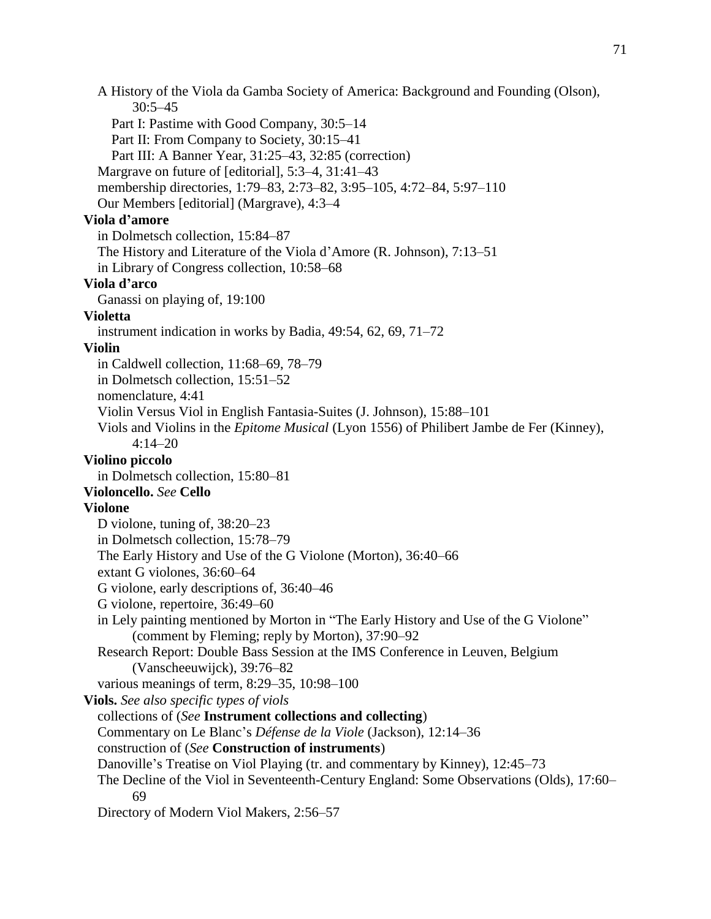A History of the Viola da Gamba Society of America: Background and Founding (Olson), 30:5–45 Part I: Pastime with Good Company, 30:5–14 Part II: From Company to Society, 30:15–41 Part III: A Banner Year, 31:25–43, 32:85 (correction) Margrave on future of [editorial], 5:3–4, 31:41–43 membership directories, 1:79–83, 2:73–82, 3:95–105, 4:72–84, 5:97–110 Our Members [editorial] (Margrave), 4:3–4 **Viola d'amore** in Dolmetsch collection, 15:84–87 The History and Literature of the Viola d'Amore (R. Johnson), 7:13–51 in Library of Congress collection, 10:58–68 **Viola d'arco** Ganassi on playing of, 19:100 **Violetta** instrument indication in works by Badia, 49:54, 62, 69, 71–72 **Violin** in Caldwell collection, 11:68–69, 78–79 in Dolmetsch collection, 15:51–52 nomenclature, 4:41 Violin Versus Viol in English Fantasia-Suites (J. Johnson), 15:88–101 Viols and Violins in the *Epitome Musical* (Lyon 1556) of Philibert Jambe de Fer (Kinney), 4:14–20 **Violino piccolo** in Dolmetsch collection, 15:80–81 **Violoncello.** *See* **Cello Violone** D violone, tuning of, 38:20–23 in Dolmetsch collection, 15:78–79 The Early History and Use of the G Violone (Morton), 36:40–66 extant G violones, 36:60–64 G violone, early descriptions of, 36:40–46 G violone, repertoire, 36:49–60 in Lely painting mentioned by Morton in "The Early History and Use of the G Violone" (comment by Fleming; reply by Morton), 37:90–92 Research Report: Double Bass Session at the IMS Conference in Leuven, Belgium (Vanscheeuwijck), 39:76–82 various meanings of term, 8:29–35, 10:98–100 **Viols.** *See also specific types of viols* collections of (*See* **Instrument collections and collecting**) Commentary on Le Blanc's *Défense de la Viole* (Jackson), 12:14–36 construction of (*See* **Construction of instruments**) Danoville's Treatise on Viol Playing (tr. and commentary by Kinney), 12:45–73 The Decline of the Viol in Seventeenth-Century England: Some Observations (Olds), 17:60– 69 Directory of Modern Viol Makers, 2:56–57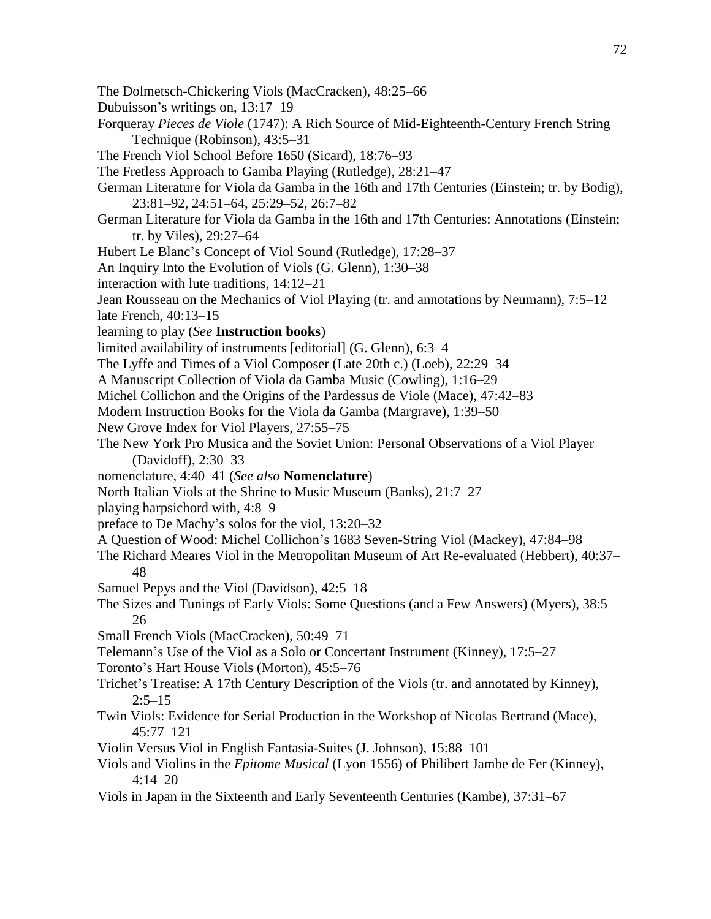- The Dolmetsch-Chickering Viols (MacCracken), 48:25–66
- Dubuisson's writings on, 13:17–19
- Forqueray *Pieces de Viole* (1747): A Rich Source of Mid-Eighteenth-Century French String Technique (Robinson), 43:5–31
- The French Viol School Before 1650 (Sicard), 18:76–93
- The Fretless Approach to Gamba Playing (Rutledge), 28:21–47
- German Literature for Viola da Gamba in the 16th and 17th Centuries (Einstein; tr. by Bodig), 23:81–92, 24:51–64, 25:29–52, 26:7–82
- German Literature for Viola da Gamba in the 16th and 17th Centuries: Annotations (Einstein; tr. by Viles), 29:27–64
- Hubert Le Blanc's Concept of Viol Sound (Rutledge), 17:28–37
- An Inquiry Into the Evolution of Viols (G. Glenn), 1:30–38
- interaction with lute traditions, 14:12–21

Jean Rousseau on the Mechanics of Viol Playing (tr. and annotations by Neumann), 7:5–12 late French, 40:13–15

- learning to play (*See* **Instruction books**)
- limited availability of instruments [editorial] (G. Glenn), 6:3–4
- The Lyffe and Times of a Viol Composer (Late 20th c.) (Loeb), 22:29–34
- A Manuscript Collection of Viola da Gamba Music (Cowling), 1:16–29
- Michel Collichon and the Origins of the Pardessus de Viole (Mace), 47:42–83
- Modern Instruction Books for the Viola da Gamba (Margrave), 1:39–50
- New Grove Index for Viol Players, 27:55–75
- The New York Pro Musica and the Soviet Union: Personal Observations of a Viol Player (Davidoff), 2:30–33
- nomenclature, 4:40–41 (*See also* **Nomenclature**)
- North Italian Viols at the Shrine to Music Museum (Banks), 21:7–27
- playing harpsichord with, 4:8–9
- preface to De Machy's solos for the viol, 13:20–32
- A Question of Wood: Michel Collichon's 1683 Seven-String Viol (Mackey), 47:84–98
- The Richard Meares Viol in the Metropolitan Museum of Art Re-evaluated (Hebbert), 40:37– 48
- Samuel Pepys and the Viol (Davidson), 42:5–18
- The Sizes and Tunings of Early Viols: Some Questions (and a Few Answers) (Myers), 38:5– 26
- Small French Viols (MacCracken), 50:49–71
- Telemann's Use of the Viol as a Solo or Concertant Instrument (Kinney), 17:5–27
- Toronto's Hart House Viols (Morton), 45:5–76
- Trichet's Treatise: A 17th Century Description of the Viols (tr. and annotated by Kinney),  $2:5-15$
- Twin Viols: Evidence for Serial Production in the Workshop of Nicolas Bertrand (Mace), 45:77–121
- Violin Versus Viol in English Fantasia-Suites (J. Johnson), 15:88–101
- Viols and Violins in the *Epitome Musical* (Lyon 1556) of Philibert Jambe de Fer (Kinney), 4:14–20
- Viols in Japan in the Sixteenth and Early Seventeenth Centuries (Kambe), 37:31–67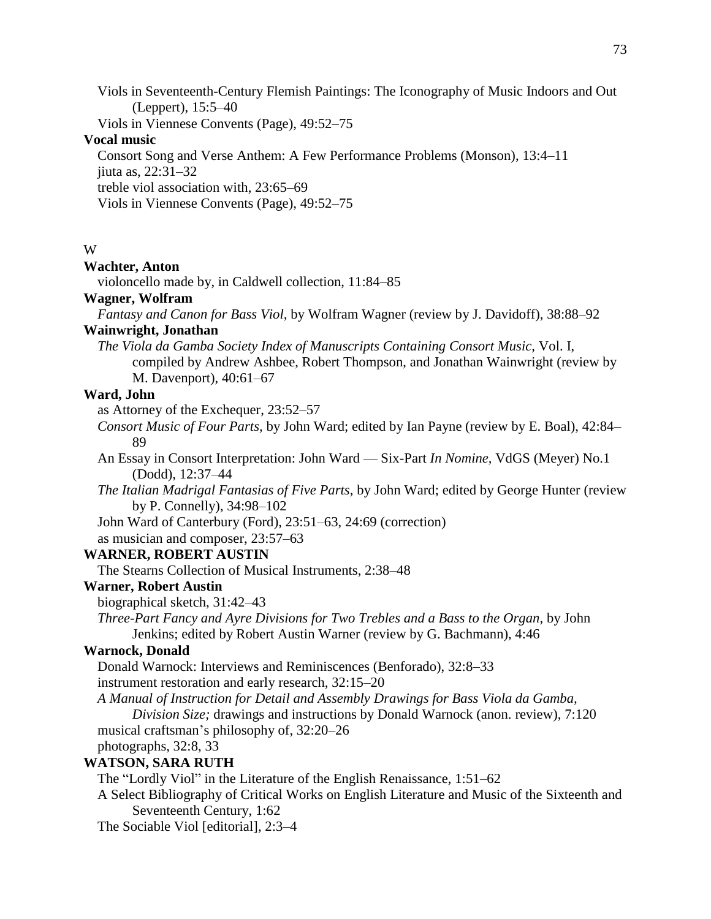Viols in Seventeenth-Century Flemish Paintings: The Iconography of Music Indoors and Out (Leppert), 15:5–40

Viols in Viennese Convents (Page), 49:52–75

### **Vocal music**

Consort Song and Verse Anthem: A Few Performance Problems (Monson), 13:4–11 jiuta as, 22:31–32 treble viol association with, 23:65–69

Viols in Viennese Convents (Page), 49:52–75

# W

# **Wachter, Anton**

violoncello made by, in Caldwell collection, 11:84–85

# **Wagner, Wolfram**

*Fantasy and Canon for Bass Viol,* by Wolfram Wagner (review by J. Davidoff), 38:88–92

# **Wainwright, Jonathan**

*The Viola da Gamba Society Index of Manuscripts Containing Consort Music,* Vol. I, compiled by Andrew Ashbee, Robert Thompson, and Jonathan Wainwright (review by M. Davenport), 40:61–67

# **Ward, John**

as Attorney of the Exchequer, 23:52–57

- *Consort Music of Four Parts,* by John Ward; edited by Ian Payne (review by E. Boal), 42:84– 89
- An Essay in Consort Interpretation: John Ward Six-Part *In Nomine,* VdGS (Meyer) No.1 (Dodd), 12:37–44
- *The Italian Madrigal Fantasias of Five Parts,* by John Ward; edited by George Hunter (review by P. Connelly), 34:98–102
- John Ward of Canterbury (Ford), 23:51–63, 24:69 (correction)
- as musician and composer, 23:57–63

# **WARNER, ROBERT AUSTIN**

The Stearns Collection of Musical Instruments, 2:38–48

### **Warner, Robert Austin**

biographical sketch, 31:42–43

*Three-Part Fancy and Ayre Divisions for Two Trebles and a Bass to the Organ,* by John Jenkins; edited by Robert Austin Warner (review by G. Bachmann), 4:46

# **Warnock, Donald**

Donald Warnock: Interviews and Reminiscences (Benforado), 32:8–33 instrument restoration and early research, 32:15–20

*A Manual of Instruction for Detail and Assembly Drawings for Bass Viola da Gamba, Division Size;* drawings and instructions by Donald Warnock (anon. review), 7:120 musical craftsman's philosophy of, 32:20–26 photographs, 32:8, 33

# **WATSON, SARA RUTH**

The "Lordly Viol" in the Literature of the English Renaissance, 1:51–62

A Select Bibliography of Critical Works on English Literature and Music of the Sixteenth and Seventeenth Century, 1:62

The Sociable Viol [editorial], 2:3–4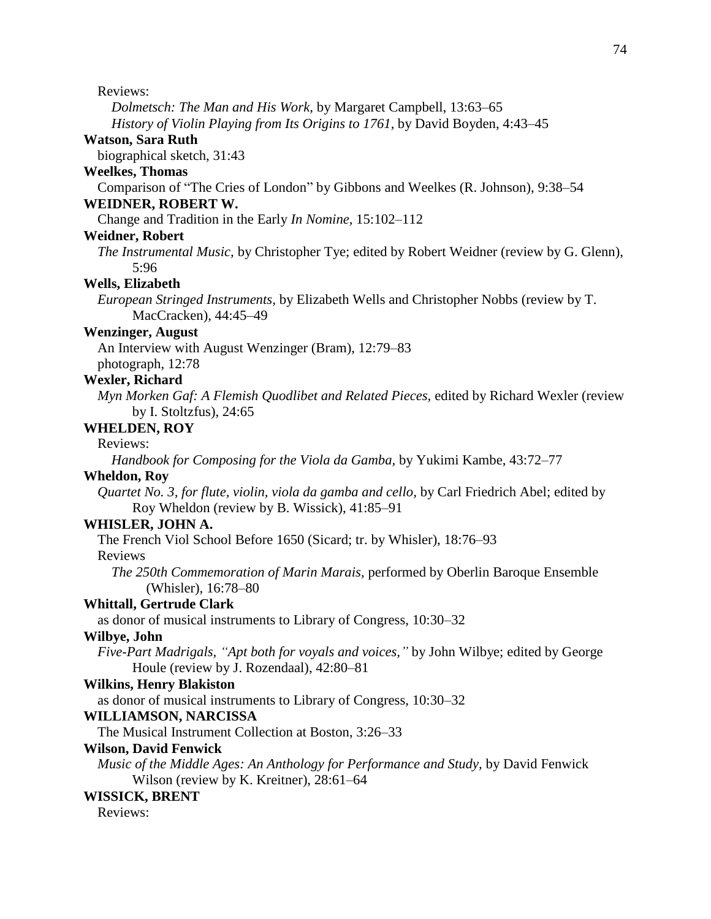Reviews:

*Dolmetsch: The Man and His Work,* by Margaret Campbell, 13:63–65 *History of Violin Playing from Its Origins to 1761,* by David Boyden, 4:43–45

#### **Watson, Sara Ruth**

biographical sketch, 31:43

#### **Weelkes, Thomas**

Comparison of "The Cries of London" by Gibbons and Weelkes (R. Johnson), 9:38–54 **WEIDNER, ROBERT W.**

#### Change and Tradition in the Early *In Nomine,* 15:102–112

#### **Weidner, Robert**

*The Instrumental Music,* by Christopher Tye; edited by Robert Weidner (review by G. Glenn), 5:96

#### **Wells, Elizabeth**

*European Stringed Instruments,* by Elizabeth Wells and Christopher Nobbs (review by T. MacCracken), 44:45–49

### **Wenzinger, August**

An Interview with August Wenzinger (Bram), 12:79–83 photograph, 12:78

# **Wexler, Richard**

*Myn Morken Gaf: A Flemish Quodlibet and Related Pieces,* edited by Richard Wexler (review by I. Stoltzfus), 24:65

# **WHELDEN, ROY**

#### Reviews:

*Handbook for Composing for the Viola da Gamba,* by Yukimi Kambe, 43:72–77

#### **Wheldon, Roy**

*Quartet No. 3, for flute, violin, viola da gamba and cello,* by Carl Friedrich Abel; edited by Roy Wheldon (review by B. Wissick), 41:85–91

### **WHISLER, JOHN A.**

The French Viol School Before 1650 (Sicard; tr. by Whisler), 18:76–93

Reviews

*The 250th Commemoration of Marin Marais,* performed by Oberlin Baroque Ensemble (Whisler), 16:78–80

### **Whittall, Gertrude Clark**

as donor of musical instruments to Library of Congress, 10:30–32

#### **Wilbye, John**

*Five-Part Madrigals, "Apt both for voyals and voices,"* by John Wilbye; edited by George Houle (review by J. Rozendaal), 42:80–81

#### **Wilkins, Henry Blakiston**

as donor of musical instruments to Library of Congress, 10:30–32

#### **WILLIAMSON, NARCISSA**

The Musical Instrument Collection at Boston, 3:26–33

#### **Wilson, David Fenwick**

*Music of the Middle Ages: An Anthology for Performance and Study,* by David Fenwick Wilson (review by K. Kreitner), 28:61–64

#### **WISSICK, BRENT**

Reviews: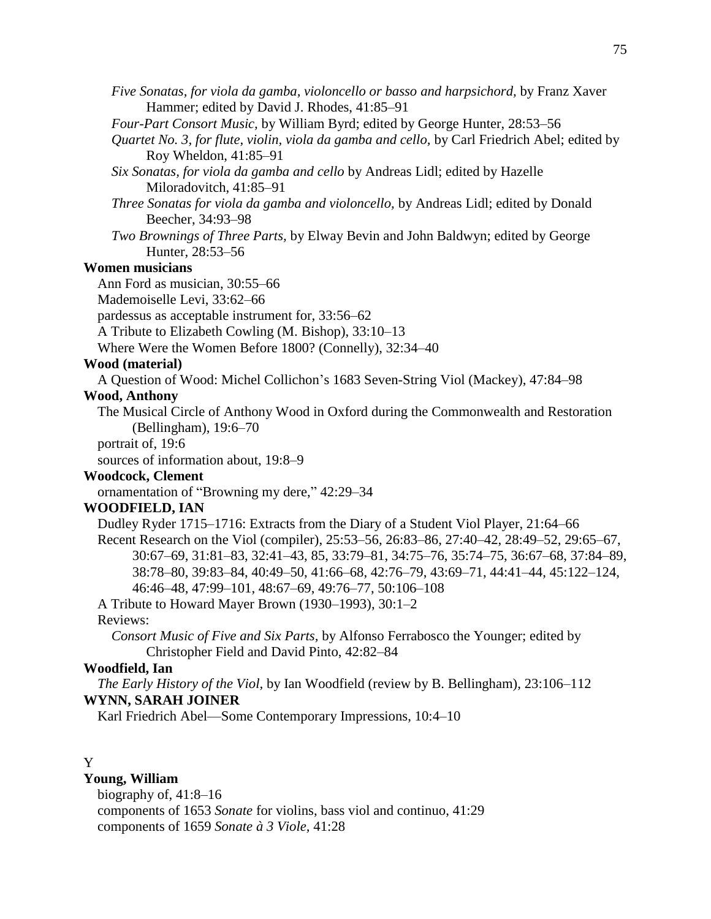- *Five Sonatas, for viola da gamba, violoncello or basso and harpsichord,* by Franz Xaver Hammer; edited by David J. Rhodes, 41:85–91
- *Four-Part Consort Music,* by William Byrd; edited by George Hunter, 28:53–56
- *Quartet No. 3, for flute, violin, viola da gamba and cello,* by Carl Friedrich Abel; edited by Roy Wheldon, 41:85–91
- *Six Sonatas, for viola da gamba and cello* by Andreas Lidl; edited by Hazelle Miloradovitch, 41:85–91
- *Three Sonatas for viola da gamba and violoncello,* by Andreas Lidl; edited by Donald Beecher, 34:93–98
- *Two Brownings of Three Parts,* by Elway Bevin and John Baldwyn; edited by George Hunter, 28:53–56

### **Women musicians**

Ann Ford as musician, 30:55–66

Mademoiselle Levi, 33:62–66

pardessus as acceptable instrument for, 33:56–62

A Tribute to Elizabeth Cowling (M. Bishop), 33:10–13

Where Were the Women Before 1800? (Connelly), 32:34–40

#### **Wood (material)**

A Question of Wood: Michel Collichon's 1683 Seven-String Viol (Mackey), 47:84–98

### **Wood, Anthony**

The Musical Circle of Anthony Wood in Oxford during the Commonwealth and Restoration (Bellingham), 19:6–70

portrait of, 19:6

sources of information about, 19:8–9

#### **Woodcock, Clement**

ornamentation of "Browning my dere," 42:29–34

### **WOODFIELD, IAN**

Dudley Ryder 1715–1716: Extracts from the Diary of a Student Viol Player, 21:64–66 Recent Research on the Viol (compiler), 25:53–56, 26:83–86, 27:40–42, 28:49–52, 29:65–67, 30:67–69, 31:81–83, 32:41–43, 85, 33:79–81, 34:75–76, 35:74–75, 36:67–68, 37:84–89, 38:78–80, 39:83–84, 40:49–50, 41:66–68, 42:76–79, 43:69–71, 44:41–44, 45:122–124, 46:46–48, 47:99–101, 48:67–69, 49:76–77, 50:106–108

A Tribute to Howard Mayer Brown (1930–1993), 30:1–2

#### Reviews:

*Consort Music of Five and Six Parts,* by Alfonso Ferrabosco the Younger; edited by Christopher Field and David Pinto, 42:82–84

# **Woodfield, Ian**

*The Early History of the Viol,* by Ian Woodfield (review by B. Bellingham), 23:106–112 **WYNN, SARAH JOINER**

Karl Friedrich Abel—Some Contemporary Impressions, 10:4–10

### Y

### **Young, William**

biography of, 41:8–16 components of 1653 *Sonate* for violins, bass viol and continuo, 41:29 components of 1659 *Sonate à 3 Viole,* 41:28